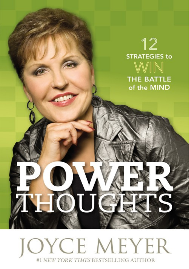

# OYCE MEYER #1 NEW YORK TIMES BESTSELLING AUTHOR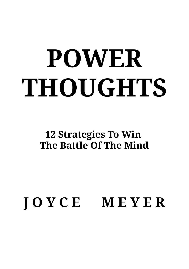# **POWER THOUGHTS**

**12 Strategies To Win The Battle Of The Mind**

# **J O Y C E M E Y E R**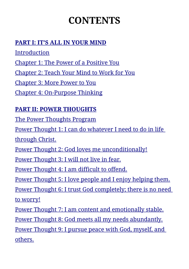# **CONTENTS**

#### **[PART I: IT'S ALL IN YOUR MIND](#page-4-0)**

**[Introduction](#page-5-0)** [Chapter 1: The Power of a Positive You](#page-16-0) [Chapter 2: Teach Your Mind to Work for You](#page-29-0) [Chapter 3: More Power to You](#page-47-0) [Chapter 4: On-Purpose Thinking](#page-63-0)

#### **[PART II: POWER THOUGHTS](#page-85-0)**

[The Power Thoughts Program](#page-86-0)

[Power Thought 1: I can do whatever I need to do in life](#page-89-0) 

[through Christ.](#page-89-0)

[Power Thought 2: God loves me unconditionally!](#page-110-0)

[Power Thought 3: I will not live in fear.](#page-127-0)

[Power Thought 4: I am difficult to offend.](#page-145-0)

[Power Thought 5: I love people and I enjoy helping them.](#page-163-0)

[Power Thought 6: I trust God completely; there is no need](#page-180-0)  [to worry!](#page-180-0)

[Power Thought 7: I am content and emotionally stable.](#page-200-0)

[Power Thought 8: God meets all my needs abundantly.](#page-220-0)

[Power Thought 9: I pursue peace with God, myself, and](#page-240-0)  [others.](#page-240-0)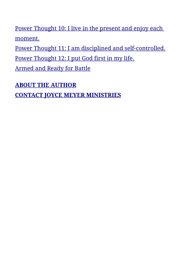[Power Thought 10: I live in the present and enjoy each](#page-253-0)  [moment.](#page-253-0)

[Power Thought 11: I am disciplined and self-controlled.](#page-274-0)

[Power Thought 12: I put God first in my life.](#page-295-0)

[Armed and Ready for Battle](#page-313-0)

#### **[ABOUT THE AUTHOR](#page-316-0)**

**[CONTACT JOYCE MEYER MINISTRIES](#page-317-0)**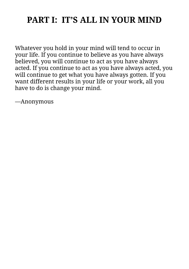# <span id="page-4-0"></span>**PART I: IT'S ALL IN YOUR MIND**

Whatever you hold in your mind will tend to occur in your life. If you continue to believe as you have always believed, you will continue to act as you have always acted. If you continue to act as you have always acted, you will continue to get what you have always gotten. If you want different results in your life or your work, all you have to do is change your mind.

—Anonymous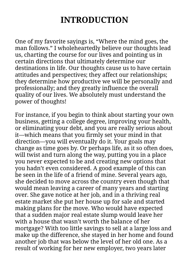## <span id="page-5-0"></span>**INTRODUCTION**

One of my favorite sayings is, "Where the mind goes, the man follows." I wholeheartedly believe our thoughts lead us, charting the course for our lives and pointing us in certain directions that ultimately determine our destinations in life. Our thoughts cause us to have certain attitudes and perspectives; they affect our relationships; they determine how productive we will be personally and professionally; and they greatly influence the overall quality of our lives. We absolutely must understand the power of thoughts!

For instance, if you begin to think about starting your own business, getting a college degree, improving your health, or eliminating your debt, and you are really serious about it—which means that you firmly set your mind in that direction—you will eventually do it. Your goals may change as time goes by. Or perhaps life, as it so often does, will twist and turn along the way, putting you in a place you never expected to be and creating new options that you hadn't even considered. A good example of this can be seen in the life of a friend of mine. Several years ago, she decided to move across the country even though that would mean leaving a career of many years and starting over. She gave notice at her job, and in a thriving real estate market she put her house up for sale and started making plans for the move. Who would have expected that a sudden major real estate slump would leave her with a house that wasn't worth the balance of her mortgage? With too little savings to sell at a large loss and make up the difference, she stayed in her home and found another job that was below the level of her old one. As a result of working for her new employer, two years later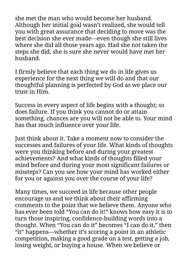she met the man who would become her husband. Although her initial goal wasn't realized, she would tell you with great assurance that deciding to move was the best decision she ever made—even though she still lives where she did all those years ago. Had she not taken the steps she did, she is sure she never would have met her hushand

I firmly believe that each thing we do in life gives us experience for the next thing we will do and that our thoughtful planning is perfected by God as we place our trust in Him.

Success in every aspect of life begins with a thought; so does failure. If you think you cannot do or attain something, chances are you will not be able to. Your mind has that much influence over your life.

Just think about it. Take a moment now to consider the successes and failures of your life. What kinds of thoughts were you thinking before and during your greatest achievements? And what kinds of thoughts filled your mind before and during your most significant failures or missteps? Can you see how your mind has worked either for you or against you over the course of your life?

Many times, we succeed in life because other people encourage us and we think about their affirming comments to the point that we believe them. Anyone who has ever been told "You can do it!" knows how easy it is to turn those inspiring, confidence-building words into a thought. When "You can do it" becomes "I can do it," then "it" happens—whether it's scoring a point in an athletic competition, making a good grade on a test, getting a job, losing weight, or buying a house. When we believe or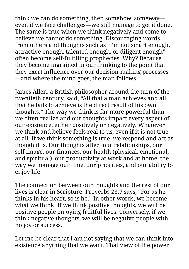think we can do something, then somehow, someway even if we face challenges—we still manage to get it done. The same is true when we think negatively and come to believe we cannot do something. Discouraging words from others and thoughts such as "I'm not smart enough, attractive enough, talented enough, or diligent enough" often become self-fulfilling prophecies. Why? Because they become ingrained in our thinking to the point that they exert influence over our decision-making processes —and where the mind goes, the man follows.

James Allen, a British philosopher around the turn of the twentieth century, said, "All that a man achieves and all that he fails to achieve is the direct result of his own thoughts." The way we think is far more powerful than we often realize and our thoughts impact every aspect of our existence, either positively or negatively. Whatever we think and believe feels real to us, even if it is not true at all. If we think something is true, we respond and act as though it is. Our thoughts affect our relationships, our self-image, our finances, our health (physical, emotional, and spiritual), our productivity at work and at home, the way we manage our time, our priorities, and our ability to enjoy life.

The connection between our thoughts and the rest of our lives is clear in Scripture. Proverbs 23:7 says, "For as he thinks in his heart, so is he." In other words, we become what we think. If we think positive thoughts, we will be positive people enjoying fruitful lives. Conversely, if we think negative thoughts, we will be negative people with no joy or success.

Let me be clear that I am not saying that we can think into existence anything that we want. That view of the power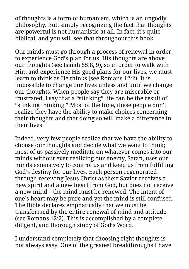of thoughts is a form of humanism, which is an ungodly philosophy. But, simply recognizing the fact that thoughts are powerful is not humanistic at all. In fact, it's quite biblical, and you will see that throughout this book.

Our minds must go through a process of renewal in order to experience God's plan for us. His thoughts are above our thoughts (see Isaiah 55:8, 9), so in order to walk with Him and experience His good plans for our lives, we must learn to think as He thinks (see Romans 12:2). It is impossible to change our lives unless and until we change our thoughts. When people say they are miserable or frustrated, I say that a "stinking" life can be the result of "stinking thinking." Most of the time, these people don't realize they have the ability to make choices concerning their thoughts and that doing so will make a difference in their lives.

Indeed, very few people realize that we have the ability to choose our thoughts and decide what we want to think; most of us passively meditate on whatever comes into our minds without ever realizing our enemy, Satan, uses our minds extensively to control us and keep us from fulfilling God's destiny for our lives. Each person regenerated through receiving Jesus Christ as their Savior receives a new spirit and a new heart from God, but does not receive a new mind—the mind must be renewed. The intent of one's heart may be pure and yet the mind is still confused. The Bible declares emphatically that we must be transformed by the entire renewal of mind and attitude (see Romans 12:2). This is accomplished by a complete, diligent, and thorough study of God's Word.

I understand completely that choosing right thoughts is not always easy. One of the greatest breakthroughs I have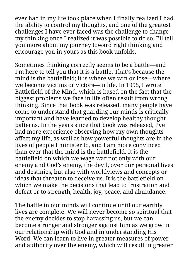ever had in my life took place when I finally realized I had the ability to control my thoughts, and one of the greatest challenges I have ever faced was the challenge to change my thinking once I realized it was possible to do so. I'll tell you more about my journey toward right thinking and encourage you in yours as this book unfolds.

Sometimes thinking correctly seems to be a battle—and I'm here to tell you that it is a battle. That's because the mind is the battlefield; it is where we win or lose—where we become victims or victors—in life. In 1995, I wrote Battlefield of the Mind, which is based on the fact that the biggest problems we face in life often result from wrong thinking. Since that book was released, many people have come to understand that guarding our minds is critically important and have learned to develop healthy thought patterns. In the years since that book was released, I've had more experience observing how my own thoughts affect my life, as well as how powerful thoughts are in the lives of people I minister to, and I am more convinced than ever that the mind is the battlefield. It is the battlefield on which we wage war not only with our enemy and God's enemy, the devil, over our personal lives and destinies, but also with worldviews and concepts or ideas that threaten to deceive us. It is the battlefield on which we make the decisions that lead to frustration and defeat or to strength, health, joy, peace, and abundance.

The battle in our minds will continue until our earthly lives are complete. We will never become so spiritual that the enemy decides to stop harassing us, but we can become stronger and stronger against him as we grow in our relationship with God and in understanding His Word. We can learn to live in greater measures of power and authority over the enemy, which will result in greater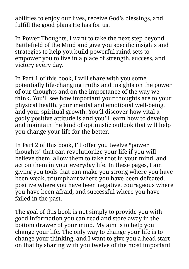abilities to enjoy our lives, receive God's blessings, and fulfill the good plans He has for us.

In Power Thoughts, I want to take the next step beyond Battlefield of the Mind and give you specific insights and strategies to help you build powerful mind-sets to empower you to live in a place of strength, success, and victory every day.

In Part 1 of this book, I will share with you some potentially life-changing truths and insights on the power of our thoughts and on the importance of the way we think. You'll see how important your thoughts are to your physical health, your mental and emotional well-being, and your spiritual growth. You'll discover how vital a godly positive attitude is and you'll learn how to develop and maintain the kind of optimistic outlook that will help you change your life for the better.

In Part 2 of this book, I'll offer you twelve "power thoughts" that can revolutionize your life if you will believe them, allow them to take root in your mind, and act on them in your everyday life. In these pages, I am giving you tools that can make you strong where you have been weak, triumphant where you have been defeated, positive where you have been negative, courageous where you have been afraid, and successful where you have failed in the past.

The goal of this book is not simply to provide you with good information you can read and store away in the bottom drawer of your mind. My aim is to help you change your life. The only way to change your life is to change your thinking, and I want to give you a head start on that by sharing with you twelve of the most important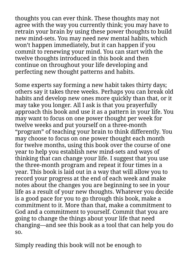thoughts you can ever think. These thoughts may not agree with the way you currently think; you may have to retrain your brain by using these power thoughts to build new mind-sets. You may need new mental habits, which won't happen immediately, but it can happen if you commit to renewing your mind. You can start with the twelve thoughts introduced in this book and then continue on throughout your life developing and perfecting new thought patterns and habits.

Some experts say forming a new habit takes thirty days; others say it takes three weeks. Perhaps you can break old habits and develop new ones more quickly than that, or it may take you longer. All I ask is that you prayerfully approach this book and use it as a pattern in your life. You may want to focus on one power thought per week for twelve weeks and put yourself on a three-month "program" of teaching your brain to think differently. You may choose to focus on one power thought each month for twelve months, using this book over the course of one year to help you establish new mind-sets and ways of thinking that can change your life. I suggest that you use the three-month program and repeat it four times in a year. This book is laid out in a way that will allow you to record your progress at the end of each week and make notes about the changes you are beginning to see in your life as a result of your new thoughts. Whatever you decide is a good pace for you to go through this book, make a commitment to it. More than that, make a commitment to God and a commitment to yourself. Commit that you are going to change the things about your life that need changing—and see this book as a tool that can help you do so.

Simply reading this book will not be enough to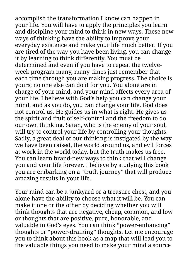accomplish the transformation I know can happen in your life. You will have to apply the principles you learn and discipline your mind to think in new ways. These new ways of thinking have the ability to improve your everyday existence and make your life much better. If you are tired of the way you have been living, you can change it by learning to think differently. You must be determined and even if you have to repeat the twelveweek program many, many times just remember that each time through you are making progress. The choice is yours; no one else can do it for you. You alone are in charge of your mind, and your mind affects every area of your life. I believe with God's help you can change your mind, and as you do, you can change your life. God does not control us. He guides us in what is right. He gives us the spirit and fruit of self-control and the freedom to do our own thinking. Satan, who is the enemy of your soul, will try to control your life by controlling your thoughts. Sadly, a great deal of our thinking is instigated by the way we have been raised, the world around us, and evil forces at work in the world today, but the truth makes us free. You can learn brand-new ways to think that will change you and your life forever. I believe by studying this book you are embarking on a "truth journey" that will produce amazing results in your life.

Your mind can be a junkyard or a treasure chest, and you alone have the ability to choose what it will be. You can make it one or the other by deciding whether you will think thoughts that are negative, cheap, common, and low or thoughts that are positive, pure, honorable, and valuable in God's eyes. You can think "power-enhancing" thoughts or "power-draining" thoughts. Let me encourage you to think about this book as a map that will lead you to the valuable things you need to make your mind a source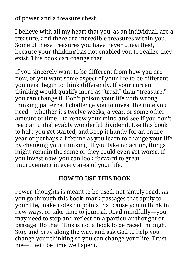of power and a treasure chest.

I believe with all my heart that you, as an individual, are a treasure, and there are incredible treasures within you. Some of these treasures you have never unearthed, because your thinking has not enabled you to realize they exist. This book can change that.

If you sincerely want to be different from how you are now, or you want some aspect of your life to be different, you must begin to think differently. If your current thinking would qualify more as "trash" than "treasure," you can change it. Don't poison your life with wrong thinking patterns. I challenge you to invest the time you need—whether it's twelve weeks, a year, or some other amount of time—to renew your mind and see if you don't reap an unbelievably wonderful dividend. Use this book to help you get started, and keep it handy for an entire year or perhaps a lifetime as you learn to change your life by changing your thinking. If you take no action, things might remain the same or they could even get worse. If you invest now, you can look forward to great improvement in every area of your life.

#### **HOW TO USE THIS BOOK**

Power Thoughts is meant to be used, not simply read. As you go through this book, mark passages that apply to your life, make notes on points that cause you to think in new ways, or take time to journal. Read mindfully—you may need to stop and reflect on a particular thought or passage. Do that! This is not a book to be raced through. Stop and pray along the way, and ask God to help you change your thinking so you can change your life. Trust me—it will be time well spent.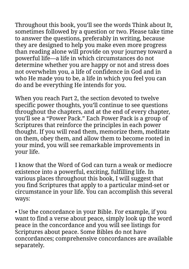Throughout this book, you'll see the words Think about It, sometimes followed by a question or two. Please take time to answer the questions, preferably in writing, because they are designed to help you make even more progress than reading alone will provide on your journey toward a powerful life—a life in which circumstances do not determine whether you are happy or not and stress does not overwhelm you, a life of confidence in God and in who He made you to be, a life in which you feel you can do and be everything He intends for you.

When you reach Part 2, the section devoted to twelve specific power thoughts, you'll continue to see questions throughout the chapters, and at the end of every chapter, you'll see a "Power Pack." Each Power Pack is a group of Scriptures that reinforce the principles in each power thought. If you will read them, memorize them, meditate on them, obey them, and allow them to become rooted in your mind, you will see remarkable improvements in your life.

I know that the Word of God can turn a weak or mediocre existence into a powerful, exciting, fulfilling life. In various places throughout this book, I will suggest that you find Scriptures that apply to a particular mind-set or circumstance in your life. You can accomplish this several ways:

• Use the concordance in your Bible. For example, if you want to find a verse about peace, simply look up the word peace in the concordance and you will see listings for Scriptures about peace. Some Bibles do not have concordances; comprehensive concordances are available separately.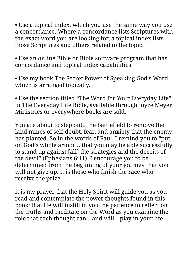• Use a topical index, which you use the same way you use a concordance. Where a concordance lists Scriptures with the exact word you are looking for, a topical index lists those Scriptures and others related to the topic.

• Use an online Bible or Bible software program that has concordance and topical index capabilities.

• Use my book The Secret Power of Speaking God's Word, which is arranged topically.

• Use the section titled "The Word for Your Everyday Life" in The Everyday Life Bible, available through Joyce Meyer Ministries or everywhere books are sold.

You are about to step onto the battlefield to remove the land mines of self-doubt, fear, and anxiety that the enemy has planted. So in the words of Paul, I remind you to "put on God's whole armor… that you may be able successfully to stand up against [all] the strategies and the deceits of the devil" (Ephesians 6:11). I encourage you to be determined from the beginning of your journey that you will not give up. It is those who finish the race who receive the prize.

It is my prayer that the Holy Spirit will guide you as you read and contemplate the power thoughts found in this book; that He will instill in you the patience to reflect on the truths and meditate on the Word as you examine the role that each thought can—and will—play in your life.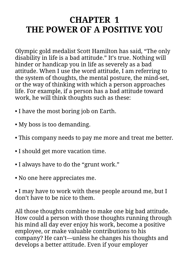# <span id="page-16-0"></span>**CHAPTER 1 THE POWER OF A POSITIVE YOU**

Olympic gold medalist Scott Hamilton has said, "The only disability in life is a bad attitude." It's true. Nothing will hinder or handicap you in life as severely as a bad attitude. When I use the word attitude, I am referring to the system of thoughts, the mental posture, the mind-set, or the way of thinking with which a person approaches life. For example, if a person has a bad attitude toward work, he will think thoughts such as these:

- I have the most boring job on Earth.
- My boss is too demanding.
- This company needs to pay me more and treat me better.
- I should get more vacation time.
- I always have to do the "grunt work."
- No one here appreciates me.

• I may have to work with these people around me, but I don't have to be nice to them.

All those thoughts combine to make one big bad attitude. How could a person with those thoughts running through his mind all day ever enjoy his work, become a positive employee, or make valuable contributions to his company? He can't—unless he changes his thoughts and develops a better attitude. Even if your employer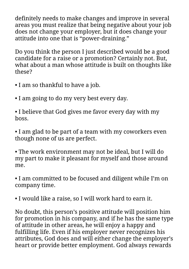definitely needs to make changes and improve in several areas you must realize that being negative about your job does not change your employer, but it does change your attitude into one that is "power-draining."

Do you think the person I just described would be a good candidate for a raise or a promotion? Certainly not. But, what about a man whose attitude is built on thoughts like these?

- I am so thankful to have a job.
- I am going to do my very best every day.

• I believe that God gives me favor every day with my boss.

• I am glad to be part of a team with my coworkers even though none of us are perfect.

• The work environment may not be ideal, but I will do my part to make it pleasant for myself and those around me.

• I am committed to be focused and diligent while I'm on company time.

• I would like a raise, so I will work hard to earn it.

No doubt, this person's positive attitude will position him for promotion in his company, and if he has the same type of attitude in other areas, he will enjoy a happy and fulfilling life. Even if his employer never recognizes his attributes, God does and will either change the employer's heart or provide better employment. God always rewards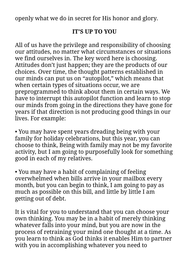openly what we do in secret for His honor and glory.

#### **IT'S UP TO YOU**

All of us have the privilege and responsibility of choosing our attitudes, no matter what circumstances or situations we find ourselves in. The key word here is choosing. Attitudes don't just happen; they are the products of our choices. Over time, the thought patterns established in our minds can put us on "autopilot," which means that when certain types of situations occur, we are preprogrammed to think about them in certain ways. We have to interrupt this autopilot function and learn to stop our minds from going in the directions they have gone for years if that direction is not producing good things in our lives. For example:

• You may have spent years dreading being with your family for holiday celebrations, but this year, you can choose to think, Being with family may not be my favorite activity, but I am going to purposefully look for something good in each of my relatives.

• You may have a habit of complaining of feeling overwhelmed when bills arrive in your mailbox every month, but you can begin to think, I am going to pay as much as possible on this bill, and little by little I am getting out of debt.

It is vital for you to understand that you can choose your own thinking. You may be in a habit of merely thinking whatever falls into your mind, but you are now in the process of retraining your mind one thought at a time. As you learn to think as God thinks it enables Him to partner with you in accomplishing whatever you need to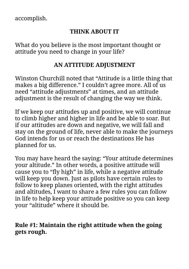accomplish.

#### **THINK ABOUT IT**

What do you believe is the most important thought or attitude you need to change in your life?

#### **AN ATTITUDE ADJUSTMENT**

Winston Churchill noted that "Attitude is a little thing that makes a big difference." I couldn't agree more. All of us need "attitude adjustments" at times, and an attitude adjustment is the result of changing the way we think.

If we keep our attitudes up and positive, we will continue to climb higher and higher in life and be able to soar. But if our attitudes are down and negative, we will fall and stay on the ground of life, never able to make the journeys God intends for us or reach the destinations He has planned for us.

You may have heard the saying: "Your attitude determines your altitude." In other words, a positive attitude will cause you to "fly high" in life, while a negative attitude will keep you down. Just as pilots have certain rules to follow to keep planes oriented, with the right attitudes and altitudes, I want to share a few rules you can follow in life to help keep your attitude positive so you can keep your "altitude" where it should be.

#### **Rule #1: Maintain the right attitude when the going gets rough.**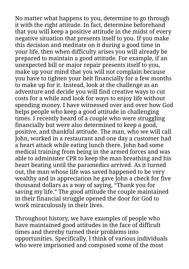No matter what happens to you, determine to go through it with the right attitude. In fact, determine beforehand that you will keep a positive attitude in the midst of every negative situation that presents itself to you. If you make this decision and meditate on it during a good time in your life, then when difficulty arises you will already be prepared to maintain a good attitude. For example, if an unexpected bill or major repair presents itself to you, make up your mind that you will not complain because you have to tighten your belt financially for a few months to make up for it. Instead, look at the challenge as an adventure and decide you will find creative ways to cut costs for a while and look for ways to enjoy life without spending money. I have witnessed over and over how God helps people who keep a good attitude in challenging times. I recently heard of a couple who were struggling financially but were also determined to keep a good, positive, and thankful attitude. The man, who we will call John, worked in a restaurant and one day a customer had a heart attack while eating lunch there. John had some medical training from being in the armed forces and was able to administer CPR to keep the man breathing and his heart beating until the paramedics arrived. As it turned out, the man whose life was saved happened to be very wealthy and in appreciation he gave John a check for five thousand dollars as a way of saying, "Thank you for saving my life." The good attitude the couple maintained in their financial struggle opened the door for God to work miraculously in their lives.

Throughout history, we have examples of people who have maintained good attitudes in the face of difficult times and thereby turned their problems into opportunities. Specifically, I think of various individuals who were imprisoned and composed some of the most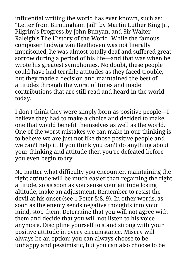influential writing the world has ever known, such as: "Letter from Birmingham Jail" by Martin Luther King Jr., Pilgrim's Progress by John Bunyan, and Sir Walter Raleigh's The History of the World. While the famous composer Ludwig van Beethoven was not literally imprisoned, he was almost totally deaf and suffered great sorrow during a period of his life—and that was when he wrote his greatest symphonies. No doubt, these people could have had terrible attitudes as they faced trouble, but they made a decision and maintained the best of attitudes through the worst of times and made contributions that are still read and heard in the world today.

I don't think they were simply born as positive people—I believe they had to make a choice and decided to make one that would benefit themselves as well as the world. One of the worst mistakes we can make in our thinking is to believe we are just not like those positive people and we can't help it. If you think you can't do anything about your thinking and attitude then you're defeated before you even begin to try.

No matter what difficulty you encounter, maintaining the right attitude will be much easier than regaining the right attitude, so as soon as you sense your attitude losing altitude, make an adjustment. Remember to resist the devil at his onset (see 1 Peter 5:8, 9). In other words, as soon as the enemy sends negative thoughts into your mind, stop them. Determine that you will not agree with them and decide that you will not listen to his voice anymore. Discipline yourself to stand strong with your positive attitude in every circumstance. Misery will always be an option; you can always choose to be unhappy and pessimistic, but you can also choose to be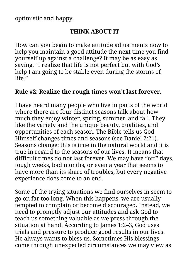optimistic and happy.

#### **THINK ABOUT IT**

How can you begin to make attitude adjustments now to help you maintain a good attitude the next time you find yourself up against a challenge? It may be as easy as saying, "I realize that life is not perfect but with God's help I am going to be stable even during the storms of life."

#### **Rule #2: Realize the rough times won't last forever.**

I have heard many people who live in parts of the world where there are four distinct seasons talk about how much they enjoy winter, spring, summer, and fall. They like the variety and the unique beauty, qualities, and opportunities of each season. The Bible tells us God Himself changes times and seasons (see Daniel 2:21). Seasons change; this is true in the natural world and it is true in regard to the seasons of our lives. It means that difficult times do not last forever. We may have "off" days, tough weeks, bad months, or even a year that seems to have more than its share of troubles, but every negative experience does come to an end.

Some of the trying situations we find ourselves in seem to go on far too long. When this happens, we are usually tempted to complain or become discouraged. Instead, we need to promptly adjust our attitudes and ask God to teach us something valuable as we press through the situation at hand. According to James 1:2–3, God uses trials and pressure to produce good results in our lives. He always wants to bless us. Sometimes His blessings come through unexpected circumstances we may view as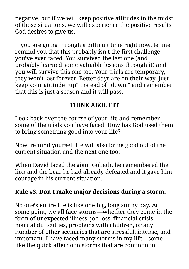negative, but if we will keep positive attitudes in the midst of those situations, we will experience the positive results God desires to give us.

If you are going through a difficult time right now, let me remind you that this probably isn't the first challenge you've ever faced. You survived the last one (and probably learned some valuable lessons through it) and you will survive this one too. Your trials are temporary; they won't last forever. Better days are on their way. Just keep your attitude "up" instead of "down," and remember that this is just a season and it will pass.

#### **THINK ABOUT IT**

Look back over the course of your life and remember some of the trials you have faced. How has God used them to bring something good into your life?

Now, remind yourself He will also bring good out of the current situation and the next one too!

When David faced the giant Goliath, he remembered the lion and the bear he had already defeated and it gave him courage in his current situation.

#### **Rule #3: Don't make major decisions during a storm.**

No one's entire life is like one big, long sunny day. At some point, we all face storms—whether they come in the form of unexpected illness, job loss, financial crisis, marital difficulties, problems with children, or any number of other scenarios that are stressful, intense, and important. I have faced many storms in my life—some like the quick afternoon storms that are common in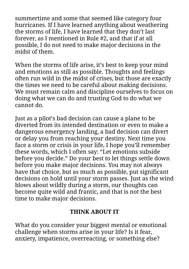summertime and some that seemed like category four hurricanes. If I have learned anything about weathering the storms of life, I have learned that they don't last forever, as I mentioned in Rule #2, and that if at all possible, I do not need to make major decisions in the midst of them.

When the storms of life arise, it's best to keep your mind and emotions as still as possible. Thoughts and feelings often run wild in the midst of crises, but those are exactly the times we need to be careful about making decisions. We must remain calm and discipline ourselves to focus on doing what we can do and trusting God to do what we cannot do.

Just as a pilot's bad decision can cause a plane to be diverted from its intended destination or even to make a dangerous emergency landing, a bad decision can divert or delay you from reaching your destiny. Next time you face a storm or crisis in your life, I hope you'll remember these words, which I often say: "Let emotions subside before you decide." Do your best to let things settle down before you make major decisions. You may not always have that choice, but as much as possible, put significant decisions on hold until your storm passes. Just as the wind blows about wildly during a storm, our thoughts can become quite wild and frantic, and that is not the best time to make major decisions.

#### **THINK ABOUT IT**

What do you consider your biggest mental or emotional challenge when storms arise in your life? Is it fear, anxiety, impatience, overreacting, or something else?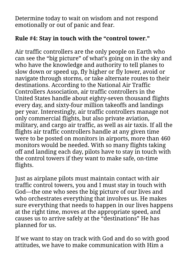Determine today to wait on wisdom and not respond emotionally or out of panic and fear.

#### **Rule #4: Stay in touch with the "control tower."**

Air traffic controllers are the only people on Earth who can see the "big picture" of what's going on in the sky and who have the knowledge and authority to tell planes to slow down or speed up, fly higher or fly lower, avoid or navigate through storms, or take alternate routes to their destinations. According to the National Air Traffic Controllers Association, air traffic controllers in the United States handle about eighty-seven thousand flights every day, and sixty-four million takeoffs and landings per year. Interestingly, air traffic controllers manage not only commercial flights, but also private aviation, military, and cargo air traffic, as well as air taxis. If all the flights air traffic controllers handle at any given time were to be posted on monitors in airports, more than 460 monitors would be needed. With so many flights taking off and landing each day, pilots have to stay in touch with the control towers if they want to make safe, on-time flights.

Just as airplane pilots must maintain contact with air traffic control towers, you and I must stay in touch with God—the one who sees the big picture of our lives and who orchestrates everything that involves us. He makes sure everything that needs to happen in our lives happens at the right time, moves at the appropriate speed, and causes us to arrive safely at the "destinations" He has planned for us.

If we want to stay on track with God and do so with good attitudes, we have to make communication with Him a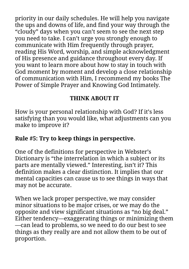priority in our daily schedules. He will help you navigate the ups and downs of life, and find your way through the "cloudy" days when you can't seem to see the next step you need to take. I can't urge you strongly enough to communicate with Him frequently through prayer, reading His Word, worship, and simple acknowledgment of His presence and guidance throughout every day. If you want to learn more about how to stay in touch with God moment by moment and develop a close relationship of communication with Him, I recommend my books The Power of Simple Prayer and Knowing God Intimately.

#### **THINK ABOUT IT**

How is your personal relationship with God? If it's less satisfying than you would like, what adjustments can you make to improve it?

#### **Rule #5: Try to keep things in perspective.**

One of the definitions for perspective in Webster's Dictionary is "the interrelation in which a subject or its parts are mentally viewed." Interesting, isn't it? This definition makes a clear distinction. It implies that our mental capacities can cause us to see things in ways that may not be accurate.

When we lack proper perspective, we may consider minor situations to be major crises, or we may do the opposite and view significant situations as "no big deal." Either tendency—exaggerating things or minimizing them —can lead to problems, so we need to do our best to see things as they really are and not allow them to be out of proportion.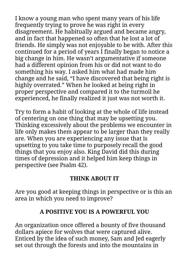I know a young man who spent many years of his life frequently trying to prove he was right in every disagreement. He habitually argued and became angry, and in fact that happened so often that he lost a lot of friends. He simply was not enjoyable to be with. After this continued for a period of years I finally began to notice a big change in him. He wasn't argumentative if someone had a different opinion from his or did not want to do something his way. I asked him what had made him change and he said, "I have discovered that being right is highly overrated." When he looked at being right in proper perspective and compared it to the turmoil he experienced, he finally realized it just was not worth it.

Try to form a habit of looking at the whole of life instead of centering on one thing that may be upsetting you. Thinking excessively about the problems we encounter in life only makes them appear to be larger than they really are. When you are experiencing any issue that is upsetting to you take time to purposely recall the good things that you enjoy also. King David did this during times of depression and it helped him keep things in perspective (see Psalm 42).

#### **THINK ABOUT IT**

Are you good at keeping things in perspective or is this an area in which you need to improve?

#### **A POSITIVE YOU IS A POWERFUL YOU**

An organization once offered a bounty of five thousand dollars apiece for wolves that were captured alive. Enticed by the idea of such money, Sam and Jed eagerly set out through the forests and into the mountains in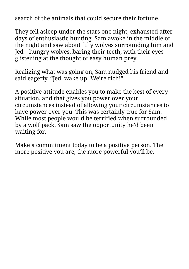search of the animals that could secure their fortune.

They fell asleep under the stars one night, exhausted after days of enthusiastic hunting. Sam awoke in the middle of the night and saw about fifty wolves surrounding him and Jed—hungry wolves, baring their teeth, with their eyes glistening at the thought of easy human prey.

Realizing what was going on, Sam nudged his friend and said eagerly, "Jed, wake up! We're rich!"

A positive attitude enables you to make the best of every situation, and that gives you power over your circumstances instead of allowing your circumstances to have power over you. This was certainly true for Sam. While most people would be terrified when surrounded by a wolf pack, Sam saw the opportunity he'd been waiting for.

Make a commitment today to be a positive person. The more positive you are, the more powerful you'll be.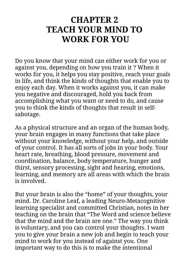### <span id="page-29-0"></span>**CHAPTER 2 TEACH YOUR MIND TO WORK FOR YOU**

Do you know that your mind can either work for you or against you, depending on how you train it ? When it works for you, it helps you stay positive, reach your goals in life, and think the kinds of thoughts that enable you to enjoy each day. When it works against you, it can make you negative and discouraged, hold you back from accomplishing what you want or need to do, and cause you to think the kinds of thoughts that result in selfsabotage.

As a physical structure and an organ of the human body, your brain engages in many functions that take place without your knowledge, without your help, and outside of your control. It has all sorts of jobs in your body. Your heart rate, breathing, blood pressure, movement and coordination, balance, body temperature, hunger and thirst, sensory processing, sight and hearing, emotions, learning, and memory are all areas with which the brain is involved.

But your brain is also the "home" of your thoughts, your mind. Dr. Caroline Leaf, a leading Neuro-Metacognitive learning specialist and committed Christian, notes in her teaching on the brain that "The Word and science believe that the mind and the brain are one." The way you think is voluntary, and you can control your thoughts. I want you to give your brain a new job and begin to teach your mind to work for you instead of against you. One important way to do this is to make the intentional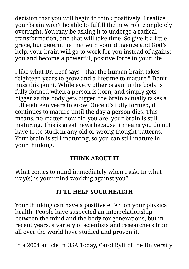decision that you will begin to think positively. I realize your brain won't be able to fulfill the new role completely overnight. You may be asking it to undergo a radical transformation, and that will take time. So give it a little grace, but determine that with your diligence and God's help, your brain will go to work for you instead of against you and become a powerful, positive force in your life.

I like what Dr. Leaf says—that the human brain takes "eighteen years to grow and a lifetime to mature." Don't miss this point. While every other organ in the body is fully formed when a person is born, and simply gets bigger as the body gets bigger, the brain actually takes a full eighteen years to grow. Once it's fully formed, it continues to mature until the day a person dies. This means, no matter how old you are, your brain is still maturing. This is great news because it means you do not have to be stuck in any old or wrong thought patterns. Your brain is still maturing, so you can still mature in your thinking.

#### **THINK ABOUT IT**

What comes to mind immediately when I ask: In what way(s) is your mind working against you?

#### **IT'LL HELP YOUR HEALTH**

Your thinking can have a positive effect on your physical health. People have suspected an interrelationship between the mind and the body for generations, but in recent years, a variety of scientists and researchers from all over the world have studied and proven it.

In a 2004 article in USA Today, Carol Ryff of the University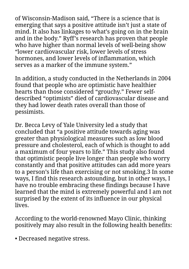of Wisconsin-Madison said, "There is a science that is emerging that says a positive attitude isn't just a state of mind. It also has linkages to what's going on in the brain and in the body." Ryff's research has proven that people who have higher than normal levels of well-being show "lower cardiovascular risk, lower levels of stress hormones, and lower levels of inflammation, which serves as a marker of the immune system."

In addition, a study conducted in the Netherlands in 2004 found that people who are optimistic have healthier hearts than those considered "grouchy." Fewer selfdescribed "optimists" died of cardiovascular disease and they had lower death rates overall than those of pessimists.

Dr. Becca Levy of Yale University led a study that concluded that "a positive attitude towards aging was greater than physiological measures such as low blood pressure and cholesterol, each of which is thought to add a maximum of four years to life." This study also found that optimistic people live longer than people who worry constantly and that positive attitudes can add more years to a person's life than exercising or not smoking.3 In some ways, I find this research astounding, but in other ways, I have no trouble embracing these findings because I have learned that the mind is extremely powerful and I am not surprised by the extent of its influence in our physical lives.

According to the world-renowned Mayo Clinic, thinking positively may also result in the following health benefits:

• Decreased negative stress.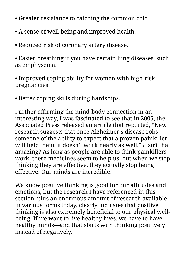- Greater resistance to catching the common cold.
- A sense of well-being and improved health.
- Reduced risk of coronary artery disease.
- Easier breathing if you have certain lung diseases, such as emphysema.
- Improved coping ability for women with high-risk pregnancies.
- Better coping skills during hardships.

Further affirming the mind-body connection in an interesting way, I was fascinated to see that in 2005, the Associated Press released an article that reported, "New research suggests that once Alzheimer's disease robs someone of the ability to expect that a proven painkiller will help them, it doesn't work nearly as well."5 Isn't that amazing? As long as people are able to think painkillers work, these medicines seem to help us, but when we stop thinking they are effective, they actually stop being effective. Our minds are incredible!

We know positive thinking is good for our attitudes and emotions, but the research I have referenced in this section, plus an enormous amount of research available in various forms today, clearly indicates that positive thinking is also extremely beneficial to our physical wellbeing. If we want to live healthy lives, we have to have healthy minds—and that starts with thinking positively instead of negatively.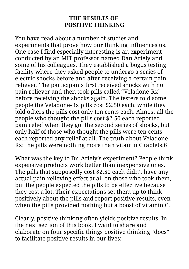#### **THE RESULTS OF POSITIVE THINKING**

You have read about a number of studies and experiments that prove how our thinking influences us. One case I find especially interesting is an experiment conducted by an MIT professor named Dan Ariely and some of his colleagues. They established a bogus testing facility where they asked people to undergo a series of electric shocks before and after receiving a certain pain reliever. The participants first received shocks with no pain reliever and then took pills called "Veladone-Rx" before receiving the shocks again. The testers told some people the Veladone-Rx pills cost \$2.50 each, while they told others the pills cost only ten cents each. Almost all the people who thought the pills cost \$2.50 each reported pain relief when they got the second series of shocks, but only half of those who thought the pills were ten cents each reported any relief at all. The truth about Veladone-Rx: the pills were nothing more than vitamin C tablets.6

What was the key to Dr. Ariely's experiment? People think expensive products work better than inexpensive ones. The pills that supposedly cost \$2.50 each didn't have any actual pain-relieving effect at all on those who took them, but the people expected the pills to be effective because they cost a lot. Their expectations set them up to think positively about the pills and report positive results, even when the pills provided nothing but a boost of vitamin C.

Clearly, positive thinking often yields positive results. In the next section of this book, I want to share and elaborate on four specific things positive thinking "does" to facilitate positive results in our lives: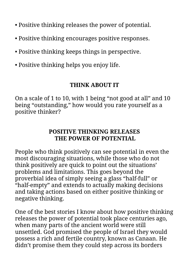- Positive thinking releases the power of potential.
- Positive thinking encourages positive responses.
- Positive thinking keeps things in perspective.
- Positive thinking helps you enjoy life.

#### **THINK ABOUT IT**

On a scale of 1 to 10, with 1 being "not good at all" and 10 being "outstanding," how would you rate yourself as a positive thinker?

#### **POSITIVE THINKING RELEASES THE POWER OF POTENTIAL**

People who think positively can see potential in even the most discouraging situations, while those who do not think positively are quick to point out the situations' problems and limitations. This goes beyond the proverbial idea of simply seeing a glass "half-full" or "half-empty" and extends to actually making decisions and taking actions based on either positive thinking or negative thinking.

One of the best stories I know about how positive thinking releases the power of potential took place centuries ago, when many parts of the ancient world were still unsettled. God promised the people of Israel they would possess a rich and fertile country, known as Canaan. He didn't promise them they could step across its borders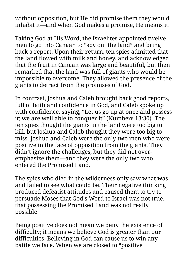without opposition, but He did promise them they would inhabit it—and when God makes a promise, He means it.

Taking God at His Word, the Israelites appointed twelve men to go into Canaan to "spy out the land" and bring back a report. Upon their return, ten spies admitted that the land flowed with milk and honey, and acknowledged that the fruit in Canaan was large and beautiful, but then remarked that the land was full of giants who would be impossible to overcome. They allowed the presence of the giants to detract from the promises of God.

In contrast, Joshua and Caleb brought back good reports, full of faith and confidence in God, and Caleb spoke up with confidence, saying, "Let us go up at once and possess it; we are well able to conquer it" (Numbers 13:30). The ten spies thought the giants in the land were too big to kill, but Joshua and Caleb thought they were too big to miss. Joshua and Caleb were the only two men who were positive in the face of opposition from the giants. They didn't ignore the challenges, but they did not overemphasize them—and they were the only two who entered the Promised Land.

The spies who died in the wilderness only saw what was and failed to see what could be. Their negative thinking produced defeatist attitudes and caused them to try to persuade Moses that God's Word to Israel was not true, that possessing the Promised Land was not really possible.

Being positive does not mean we deny the existence of difficulty; it means we believe God is greater than our difficulties. Believing in God can cause us to win any battle we face. When we are closed to "positive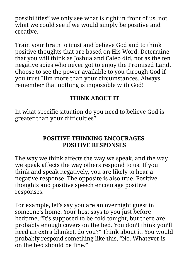possibilities" we only see what is right in front of us, not what we could see if we would simply be positive and creative.

Train your brain to trust and believe God and to think positive thoughts that are based on His Word. Determine that you will think as Joshua and Caleb did, not as the ten negative spies who never got to enjoy the Promised Land. Choose to see the power available to you through God if you trust Him more than your circumstances. Always remember that nothing is impossible with God!

## **THINK ABOUT IT**

In what specific situation do you need to believe God is greater than your difficulties?

## **POSITIVE THINKING ENCOURAGES POSITIVE RESPONSES**

The way we think affects the way we speak, and the way we speak affects the way others respond to us. If you think and speak negatively, you are likely to hear a negative response. The opposite is also true. Positive thoughts and positive speech encourage positive responses.

For example, let's say you are an overnight guest in someone's home. Your host says to you just before bedtime, "It's supposed to be cold tonight, but there are probably enough covers on the bed. You don't think you'll need an extra blanket, do you?" Think about it. You would probably respond something like this, "No. Whatever is on the bed should be fine."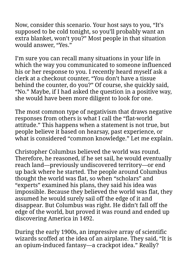Now, consider this scenario. Your host says to you, "It's supposed to be cold tonight, so you'll probably want an extra blanket, won't you?" Most people in that situation would answer, "Yes."

I'm sure you can recall many situations in your life in which the way you communicated to someone influenced his or her response to you. I recently heard myself ask a clerk at a checkout counter, "You don't have a tissue behind the counter, do you?" Of course, she quickly said, "No." Maybe, if I had asked the question in a positive way, she would have been more diligent to look for one.

The most common type of negativism that draws negative responses from others is what I call the "flat-world attitude." This happens when a statement is not true, but people believe it based on hearsay, past experience, or what is considered "common knowledge." Let me explain.

Christopher Columbus believed the world was round. Therefore, he reasoned, if he set sail, he would eventually reach land—previously undiscovered territory—or end up back where he started. The people around Columbus thought the world was flat, so when "scholars" and "experts" examined his plans, they said his idea was impossible. Because they believed the world was flat, they assumed he would surely sail off the edge of it and disappear. But Columbus was right. He didn't fall off the edge of the world, but proved it was round and ended up discovering America in 1492.

During the early 1900s, an impressive array of scientific wizards scoffed at the idea of an airplane. They said, "It is an opium-induced fantasy—a crackpot idea." Really?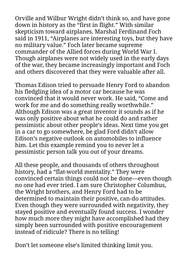Orville and Wilbur Wright didn't think so, and have gone down in history as the "first in flight." With similar skepticism toward airplanes, Marshal Ferdinand Foch said in 1911, "Airplanes are interesting toys, but they have no military value." Foch later became supreme commander of the Allied forces during World War I. Though airplanes were not widely used in the early days of the war, they became increasingly important and Foch and others discovered that they were valuable after all.

Thomas Edison tried to persuade Henry Ford to abandon his fledgling idea of a motor car because he was convinced that it would never work. He said, "Come and work for me and do something really worthwhile." Although Edison was a great inventor it sounds as if he was only positive about what he could do and rather pessimistic about other people's ideas. Next time you get in a car to go somewhere, be glad Ford didn't allow Edison's negative outlook on automobiles to influence him. Let this example remind you to never let a pessimistic person talk you out of your dreams.

All these people, and thousands of others throughout history, had a "flat-world mentality." They were convinced certain things could not be done—even though no one had ever tried. I am sure Christopher Columbus, the Wright brothers, and Henry Ford had to be determined to maintain their positive, can-do attitudes. Even though they were surrounded with negativity, they stayed positive and eventually found success. I wonder how much more they might have accomplished had they simply been surrounded with positive encouragement instead of ridicule? There is no telling!

Don't let someone else's limited thinking limit you.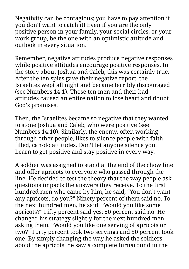Negativity can be contagious; you have to pay attention if you don't want to catch it! Even if you are the only positive person in your family, your social circles, or your work group, be the one with an optimistic attitude and outlook in every situation.

Remember, negative attitudes produce negative responses while positive attitudes encourage positive responses. In the story about Joshua and Caleb, this was certainly true. After the ten spies gave their negative report, the Israelites wept all night and became terribly discouraged (see Numbers 14:1). Those ten men and their bad attitudes caused an entire nation to lose heart and doubt God's promises.

Then, the Israelites became so negative that they wanted to stone Joshua and Caleb, who were positive (see Numbers 14:10). Similarly, the enemy, often working through other people, likes to silence people with faithfilled, can-do attitudes. Don't let anyone silence you. Learn to get positive and stay positive in every way.

A soldier was assigned to stand at the end of the chow line and offer apricots to everyone who passed through the line. He decided to test the theory that the way people ask questions impacts the answers they receive. To the first hundred men who came by him, he said, "You don't want any apricots, do you?" Ninety percent of them said no. To the next hundred men, he said, "Would you like some apricots?" Fifty percent said yes; 50 percent said no. He changed his strategy slightly for the next hundred men, asking them, "Would you like one serving of apricots or two?" Forty percent took two servings and 50 percent took one. By simply changing the way he asked the soldiers about the apricots, he saw a complete turnaround in the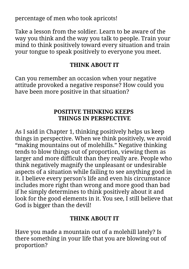percentage of men who took apricots!

Take a lesson from the soldier. Learn to be aware of the way you think and the way you talk to people. Train your mind to think positively toward every situation and train your tongue to speak positively to everyone you meet.

#### **THINK ABOUT IT**

Can you remember an occasion when your negative attitude provoked a negative response? How could you have been more positive in that situation?

#### **POSITIVE THINKING KEEPS THINGS IN PERSPECTIVE**

As I said in Chapter 1, thinking positively helps us keep things in perspective. When we think positively, we avoid "making mountains out of molehills." Negative thinking tends to blow things out of proportion, viewing them as larger and more difficult than they really are. People who think negatively magnify the unpleasant or undesirable aspects of a situation while failing to see anything good in it. I believe every person's life and even his circumstance includes more right than wrong and more good than bad if he simply determines to think positively about it and look for the good elements in it. You see, I still believe that God is bigger than the devil!

#### **THINK ABOUT IT**

Have you made a mountain out of a molehill lately? Is there something in your life that you are blowing out of proportion?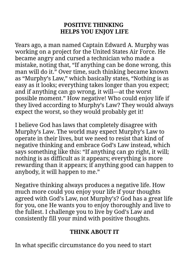#### **POSITIVE THINKING HELPS YOU ENJOY LIFE**

Years ago, a man named Captain Edward A. Murphy was working on a project for the United States Air Force. He became angry and cursed a technician who made a mistake, noting that, "If anything can be done wrong, this man will do it." Over time, such thinking became known as "Murphy's Law," which basically states, "Nothing is as easy as it looks; everything takes longer than you expect; and if anything can go wrong, it will—at the worst possible moment." How negative! Who could enjoy life if they lived according to Murphy's Law? They would always expect the worst, so they would probably get it!

I believe God has laws that completely disagree with Murphy's Law. The world may expect Murphy's Law to operate in their lives, but we need to resist that kind of negative thinking and embrace God's Law instead, which says something like this: "If anything can go right, it will; nothing is as difficult as it appears; everything is more rewarding than it appears; if anything good can happen to anybody, it will happen to me."

Negative thinking always produces a negative life. How much more could you enjoy your life if your thoughts agreed with God's Law, not Murphy's? God has a great life for you, one He wants you to enjoy thoroughly and live to the fullest. I challenge you to live by God's Law and consistently fill your mind with positive thoughts.

#### **THINK ABOUT IT**

In what specific circumstance do you need to start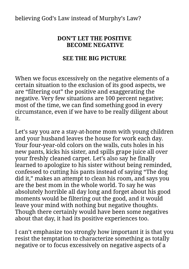#### **DON'T LET THE POSITIVE BECOME NEGATIVE**

#### **SEE THE BIG PICTURE**

When we focus excessively on the negative elements of a certain situation to the exclusion of its good aspects, we are "filtering out" the positive and exaggerating the negative. Very few situations are 100 percent negative; most of the time, we can find something good in every circumstance, even if we have to be really diligent about it.

Let's say you are a stay-at-home mom with young children and your husband leaves the house for work each day. Your four-year-old colors on the walls, cuts holes in his new pants, kicks his sister, and spills grape juice all over your freshly cleaned carpet. Let's also say he finally learned to apologize to his sister without being reminded, confessed to cutting his pants instead of saying "The dog did it," makes an attempt to clean his room, and says you are the best mom in the whole world. To say he was absolutely horrible all day long and forget about his good moments would be filtering out the good, and it would leave your mind with nothing but negative thoughts. Though there certainly would have been some negatives about that day, it had its positive experiences too.

I can't emphasize too strongly how important it is that you resist the temptation to characterize something as totally negative or to focus excessively on negative aspects of a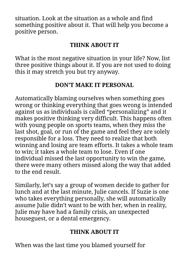situation. Look at the situation as a whole and find something positive about it. That will help you become a positive person.

## **THINK ABOUT IT**

What is the most negative situation in your life? Now, list three positive things about it. If you are not used to doing this it may stretch you but try anyway.

## **DON'T MAKE IT PERSONAL**

Automatically blaming ourselves when something goes wrong or thinking everything that goes wrong is intended against us as individuals is called "personalizing" and it makes positive thinking very difficult. This happens often with young people on sports teams, when they miss the last shot, goal, or run of the game and feel they are solely responsible for a loss. They need to realize that both winning and losing are team efforts. It takes a whole team to win; it takes a whole team to lose. Even if one individual missed the last opportunity to win the game, there were many others missed along the way that added to the end result.

Similarly, let's say a group of women decide to gather for lunch and at the last minute, Julie cancels. If Suzie is one who takes everything personally, she will automatically assume Julie didn't want to be with her, when in reality, Julie may have had a family crisis, an unexpected houseguest, or a dental emergency.

## **THINK ABOUT IT**

When was the last time you blamed yourself for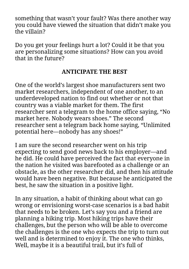something that wasn't your fault? Was there another way you could have viewed the situation that didn't make you the villain?

Do you get your feelings hurt a lot? Could it be that you are personalizing some situations? How can you avoid that in the future?

## **ANTICIPATE THE BEST**

One of the world's largest shoe manufacturers sent two market researchers, independent of one another, to an underdeveloped nation to find out whether or not that country was a viable market for them. The first researcher sent a telegram to the home office saying, "No market here. Nobody wears shoes." The second researcher sent a telegram back home saying, "Unlimited potential here—nobody has any shoes!"

I am sure the second researcher went on his trip expecting to send good news back to his employer—and he did. He could have perceived the fact that everyone in the nation he visited was barefooted as a challenge or an obstacle, as the other researcher did, and then his attitude would have been negative. But because he anticipated the best, he saw the situation in a positive light.

In any situation, a habit of thinking about what can go wrong or envisioning worst-case scenarios is a bad habit that needs to be broken. Let's say you and a friend are planning a hiking trip. Most hiking trips have their challenges, but the person who will be able to overcome the challenges is the one who expects the trip to turn out well and is determined to enjoy it. The one who thinks, Well, maybe it is a beautiful trail, but it's full of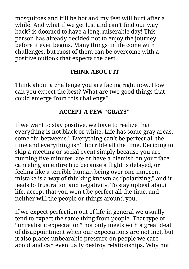mosquitoes and it'll be hot and my feet will hurt after a while. And what if we get lost and can't find our way back? is doomed to have a long, miserable day! This person has already decided not to enjoy the journey before it ever begins. Many things in life come with challenges, but most of them can be overcome with a positive outlook that expects the best.

#### **THINK ABOUT IT**

Think about a challenge you are facing right now. How can you expect the best? What are two good things that could emerge from this challenge?

## **ACCEPT A FEW "GRAYS"**

If we want to stay positive, we have to realize that everything is not black or white. Life has some gray areas, some "in-betweens." Everything can't be perfect all the time and everything isn't horrible all the time. Deciding to skip a meeting or social event simply because you are running five minutes late or have a blemish on your face, canceling an entire trip because a flight is delayed, or feeling like a terrible human being over one innocent mistake is a way of thinking known as "polarizing," and it leads to frustration and negativity. To stay upbeat about life, accept that you won't be perfect all the time, and neither will the people or things around you.

If we expect perfection out of life in general we usually tend to expect the same thing from people. That type of "unrealistic expectation" not only meets with a great deal of disappointment when our expectations are not met, but it also places unbearable pressure on people we care about and can eventually destroy relationships. Why not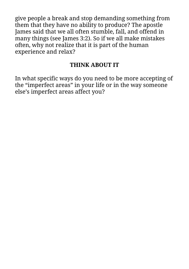give people a break and stop demanding something from them that they have no ability to produce? The apostle James said that we all often stumble, fall, and offend in many things (see James 3:2). So if we all make mistakes often, why not realize that it is part of the human experience and relax?

#### **THINK ABOUT IT**

In what specific ways do you need to be more accepting of the "imperfect areas" in your life or in the way someone else's imperfect areas affect you?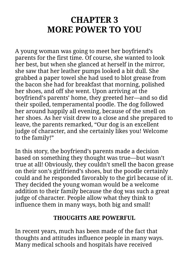# **CHAPTER 3 MORE POWER TO YOU**

A young woman was going to meet her boyfriend's parents for the first time. Of course, she wanted to look her best, but when she glanced at herself in the mirror, she saw that her leather pumps looked a bit dull. She grabbed a paper towel she had used to blot grease from the bacon she had for breakfast that morning, polished her shoes, and off she went. Upon arriving at the boyfriend's parents' home, they greeted her—and so did their spoiled, temperamental poodle. The dog followed her around happily all evening, because of the smell on her shoes. As her visit drew to a close and she prepared to leave, the parents remarked, "Our dog is an excellent judge of character, and she certainly likes you! Welcome to the family!"

In this story, the boyfriend's parents made a decision based on something they thought was true—but wasn't true at all! Obviously, they couldn't smell the bacon grease on their son's girlfriend's shoes, but the poodle certainly could and he responded favorably to the girl because of it. They decided the young woman would be a welcome addition to their family because the dog was such a great judge of character. People allow what they think to influence them in many ways, both big and small!

#### **THOUGHTS ARE POWERFUL**

In recent years, much has been made of the fact that thoughts and attitudes influence people in many ways. Many medical schools and hospitals have received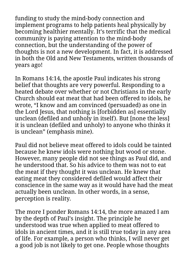funding to study the mind-body connection and implement programs to help patients heal physically by becoming healthier mentally. It's terrific that the medical community is paying attention to the mind-body connection, but the understanding of the power of thoughts is not a new development. In fact, it is addressed in both the Old and New Testaments, written thousands of years ago!

In Romans 14:14, the apostle Paul indicates his strong belief that thoughts are very powerful. Responding to a heated debate over whether or not Christians in the early Church should eat meat that had been offered to idols, he wrote, "I know and am convinced (persuaded) as one in the Lord Jesus, that nothing is [forbidden as] essentially unclean (defiled and unholy in itself). But [none the less] it is unclean (defiled and unholy) to anyone who thinks it is unclean" (emphasis mine).

Paul did not believe meat offered to idols could be tainted because he knew idols were nothing but wood or stone. However, many people did not see things as Paul did, and he understood that. So his advice to them was not to eat the meat if they thought it was unclean. He knew that eating meat they considered defiled would affect their conscience in the same way as it would have had the meat actually been unclean. In other words, in a sense, perception is reality.

The more I ponder Romans 14:14, the more amazed I am by the depth of Paul's insight. The principle he understood was true when applied to meat offered to idols in ancient times, and it is still true today in any area of life. For example, a person who thinks, I will never get a good job is not likely to get one. People whose thoughts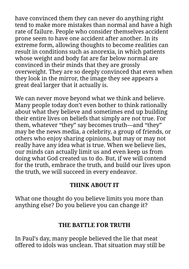have convinced them they can never do anything right tend to make more mistakes than normal and have a high rate of failure. People who consider themselves accident prone seem to have one accident after another. In its extreme form, allowing thoughts to become realities can result in conditions such as anorexia, in which patients whose weight and body fat are far below normal are convinced in their minds that they are grossly overweight. They are so deeply convinced that even when they look in the mirror, the image they see appears a great deal larger that it actually is.

We can never move beyond what we think and believe. Many people today don't even bother to think rationally about what they believe and sometimes end up building their entire lives on beliefs that simply are not true. For them, whatever "they" say becomes truth—and "they" may be the news media, a celebrity, a group of friends, or others who enjoy sharing opinions, but may or may not really have any idea what is true. When we believe lies, our minds can actually limit us and even keep us from doing what God created us to do. But, if we will contend for the truth, embrace the truth, and build our lives upon the truth, we will succeed in every endeavor.

#### **THINK ABOUT IT**

What one thought do you believe limits you more than anything else? Do you believe you can change it?

#### **THE BATTLE FOR TRUTH**

In Paul's day, many people believed the lie that meat offered to idols was unclean. That situation may still be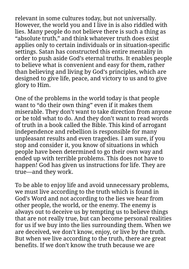relevant in some cultures today, but not universally. However, the world you and I live in is also riddled with lies. Many people do not believe there is such a thing as "absolute truth," and think whatever truth does exist applies only to certain individuals or in situation-specific settings. Satan has constructed this entire mentality in order to push aside God's eternal truths. It enables people to believe what is convenient and easy for them, rather than believing and living by God's principles, which are designed to give life, peace, and victory to us and to give glory to Him.

One of the problems in the world today is that people want to "do their own thing" even if it makes them miserable. They don't want to take direction from anyone or be told what to do. And they don't want to read words of truth in a book called the Bible. This kind of arrogant independence and rebellion is responsible for many unpleasant results and even tragedies. I am sure, if you stop and consider it, you know of situations in which people have been determined to go their own way and ended up with terrible problems. This does not have to happen! God has given us instructions for life. They are true—and they work.

To be able to enjoy life and avoid unnecessary problems, we must live according to the truth which is found in God's Word and not according to the lies we hear from other people, the world, or the enemy. The enemy is always out to deceive us by tempting us to believe things that are not really true, but can become personal realities for us if we buy into the lies surrounding them. When we are deceived, we don't know, enjoy, or live by the truth. But when we live according to the truth, there are great benefits. If we don't know the truth because we are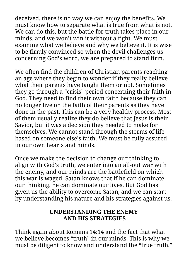deceived, there is no way we can enjoy the benefits. We must know how to separate what is true from what is not. We can do this, but the battle for truth takes place in our minds, and we won't win it without a fight. We must examine what we believe and why we believe it. It is wise to be firmly convinced so when the devil challenges us concerning God's word, we are prepared to stand firm.

We often find the children of Christian parents reaching an age where they begin to wonder if they really believe what their parents have taught them or not. Sometimes they go through a "crisis" period concerning their faith in God. They need to find their own faith because they can no longer live on the faith of their parents as they have done in the past. This can be a very healthy process. Most of them usually realize they do believe that Jesus is their Savior, but it was a decision they needed to make for themselves. We cannot stand through the storms of life based on someone else's faith. We must be fully assured in our own hearts and minds.

Once we make the decision to change our thinking to align with God's truth, we enter into an all-out war with the enemy, and our minds are the battlefield on which this war is waged. Satan knows that if he can dominate our thinking, he can dominate our lives. But God has given us the ability to overcome Satan, and we can start by understanding his nature and his strategies against us.

#### **UNDERSTANDING THE ENEMY AND HIS STRATEGIES**

Think again about Romans 14:14 and the fact that what we believe becomes "truth" in our minds. This is why we must be diligent to know and understand the "true truth,"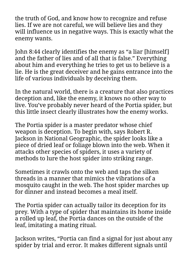the truth of God, and know how to recognize and refuse lies. If we are not careful, we will believe lies and they will influence us in negative ways. This is exactly what the enemy wants.

John 8:44 clearly identifies the enemy as "a liar [himself] and the father of lies and of all that is false." Everything about him and everything he tries to get us to believe is a lie. He is the great deceiver and he gains entrance into the life of various individuals by deceiving them.

In the natural world, there is a creature that also practices deception and, like the enemy, it knows no other way to live. You've probably never heard of the Portia spider, but this little insect clearly illustrates how the enemy works.

The Portia spider is a master predator whose chief weapon is deception. To begin with, says Robert R. Jackson in National Geographic, the spider looks like a piece of dried leaf or foliage blown into the web. When it attacks other species of spiders, it uses a variety of methods to lure the host spider into striking range.

Sometimes it crawls onto the web and taps the silken threads in a manner that mimics the vibrations of a mosquito caught in the web. The host spider marches up for dinner and instead becomes a meal itself.

The Portia spider can actually tailor its deception for its prey. With a type of spider that maintains its home inside a rolled up leaf, the Portia dances on the outside of the leaf, imitating a mating ritual.

Jackson writes, "Portia can find a signal for just about any spider by trial and error. It makes different signals until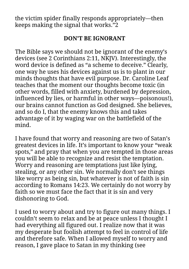the victim spider finally responds appropriately—then keeps making the signal that works."2

## **DON'T BE IGNORANT**

The Bible says we should not be ignorant of the enemy's devices (see 2 Corinthians 2:11, NKJV). Interestingly, the word device is defined as "a scheme to deceive." Clearly, one way he uses his devices against us is to plant in our minds thoughts that have evil purpose. Dr. Caroline Leaf teaches that the moment our thoughts become toxic (in other words, filled with anxiety, burdened by depression, influenced by lies, or harmful in other ways—poisonous!), our brains cannot function as God designed. She believes, and so do I, that the enemy knows this and takes advantage of it by waging war on the battlefield of the mind.

I have found that worry and reasoning are two of Satan's greatest devices in life. It's important to know your "weak spots," and pray that when you are tempted in those areas you will be able to recognize and resist the temptation. Worry and reasoning are temptations just like lying, stealing, or any other sin. We normally don't see things like worry as being sin, but whatever is not of faith is sin according to Romans 14:23. We certainly do not worry by faith so we must face the fact that it is sin and very dishonoring to God.

I used to worry about and try to figure out many things. I couldn't seem to relax and be at peace unless I thought I had everything all figured out. I realize now that it was my desperate but foolish attempt to feel in control of life and therefore safe. When I allowed myself to worry and reason, I gave place to Satan in my thinking (see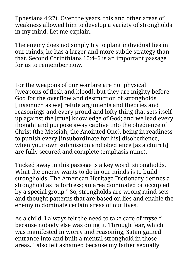Ephesians 4:27). Over the years, this and other areas of weakness allowed him to develop a variety of strongholds in my mind. Let me explain.

The enemy does not simply try to plant individual lies in our minds; he has a larger and more subtle strategy than that. Second Corinthians 10:4–6 is an important passage for us to remember now.

For the weapons of our warfare are not physical [weapons of flesh and blood], but they are mighty before God for the overflow and destruction of strongholds, [inasmuch as we] refute arguments and theories and reasonings and every proud and lofty thing that sets itself up against the [true] knowledge of God; and we lead every thought and purpose away captive into the obedience of Christ (the Messiah, the Anointed One), being in readiness to punish every [insubordinate for his] disobedience, when your own submission and obedience [as a church] are fully secured and complete (emphasis mine).

Tucked away in this passage is a key word: strongholds. What the enemy wants to do in our minds is to build strongholds. The American Heritage Dictionary defines a stronghold as "a fortress; an area dominated or occupied by a special group." So, strongholds are wrong mind-sets and thought patterns that are based on lies and enable the enemy to dominate certain areas of our lives.

As a child, I always felt the need to take care of myself because nobody else was doing it. Through fear, which was manifested in worry and reasoning, Satan gained entrance into and built a mental stronghold in those areas. I also felt ashamed because my father sexually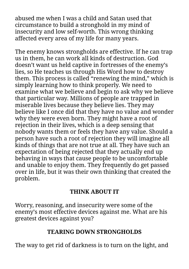abused me when I was a child and Satan used that circumstance to build a stronghold in my mind of insecurity and low self-worth. This wrong thinking affected every area of my life for many years.

The enemy knows strongholds are effective. If he can trap us in them, he can work all kinds of destruction. God doesn't want us held captive in fortresses of the enemy's lies, so He teaches us through His Word how to destroy them. This process is called "renewing the mind," which is simply learning how to think properly. We need to examine what we believe and begin to ask why we believe that particular way. Millions of people are trapped in miserable lives because they believe lies. They may believe like I once did that they have no value and wonder why they were even born. They might have a root of rejection in their lives, which is a deep sensing that nobody wants them or feels they have any value. Should a person have such a root of rejection they will imagine all kinds of things that are not true at all. They have such an expectation of being rejected that they actually end up behaving in ways that cause people to be uncomfortable and unable to enjoy them. They frequently do get passed over in life, but it was their own thinking that created the problem.

## **THINK ABOUT IT**

Worry, reasoning, and insecurity were some of the enemy's most effective devices against me. What are his greatest devices against you?

## **TEARING DOWN STRONGHOLDS**

The way to get rid of darkness is to turn on the light, and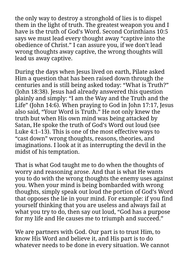the only way to destroy a stronghold of lies is to dispel them in the light of truth. The greatest weapon you and I have is the truth of God's Word. Second Corinthians 10:5 says we must lead every thought away "captive into the obedience of Christ." I can assure you, if we don't lead wrong thoughts away captive, the wrong thoughts will lead us away captive.

During the days when Jesus lived on earth, Pilate asked Him a question that has been raised down through the centuries and is still being asked today: "What is Truth?" (John 18:38). Jesus had already answered this question plainly and simply: "I am the Way and the Truth and the Life" (John 14:6). When praying to God in John 17:17, Jesus also said, "Your Word is Truth." He not only knew the truth but when His own mind was being attacked by Satan, He spoke the truth of God's Word out loud (see Luke 4:1–13). This is one of the most effective ways to "cast down" wrong thoughts, reasons, theories, and imaginations. I look at it as interrupting the devil in the midst of his temptation.

That is what God taught me to do when the thoughts of worry and reasoning arose. And that is what He wants you to do with the wrong thoughts the enemy uses against you. When your mind is being bombarded with wrong thoughts, simply speak out loud the portion of God's Word that opposes the lie in your mind. For example: if you find yourself thinking that you are useless and always fail at what you try to do, then say out loud, "God has a purpose for my life and He causes me to triumph and succeed."

We are partners with God. Our part is to trust Him, to know His Word and believe it, and His part is to do whatever needs to be done in every situation. We cannot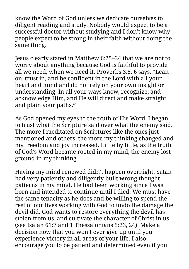know the Word of God unless we dedicate ourselves to diligent reading and study. Nobody would expect to be a successful doctor without studying and I don't know why people expect to be strong in their faith without doing the same thing.

Jesus clearly stated in Matthew 6:25–34 that we are not to worry about anything because God is faithful to provide all we need, when we need it. Proverbs 3:5, 6 says, "Lean on, trust in, and be confident in the Lord with all your heart and mind and do not rely on your own insight or understanding. In all your ways know, recognize, and acknowledge Him, and He will direct and make straight and plain your paths."

As God opened my eyes to the truth of His Word, I began to trust what the Scripture said over what the enemy said. The more I meditated on Scriptures like the ones just mentioned and others, the more my thinking changed and my freedom and joy increased. Little by little, as the truth of God's Word became rooted in my mind, the enemy lost ground in my thinking.

Having my mind renewed didn't happen overnight. Satan had very patiently and diligently built wrong thought patterns in my mind. He had been working since I was born and intended to continue until I died. We must have the same tenacity as he does and be willing to spend the rest of our lives working with God to undo the damage the devil did. God wants to restore everything the devil has stolen from us, and cultivate the character of Christ in us (see Isaiah 61:7 and 1 Thessalonians 5:23, 24). Make a decision now that you won't ever give up until you experience victory in all areas of your life. I also encourage you to be patient and determined even if you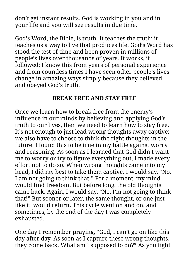don't get instant results. God is working in you and in your life and you will see results in due time.

God's Word, the Bible, is truth. It teaches the truth; it teaches us a way to live that produces life. God's Word has stood the test of time and been proven in millions of people's lives over thousands of years. It works, if followed; I know this from years of personal experience and from countless times I have seen other people's lives change in amazing ways simply because they believed and obeyed God's truth.

#### **BREAK FREE AND STAY FREE**

Once we learn how to break free from the enemy's influence in our minds by believing and applying God's truth to our lives, then we need to learn how to stay free. It's not enough to just lead wrong thoughts away captive; we also have to choose to think the right thoughts in the future. I found this to be true in my battle against worry and reasoning. As soon as I learned that God didn't want me to worry or try to figure everything out, I made every effort not to do so. When wrong thoughts came into my head, I did my best to take them captive. I would say, "No, I am not going to think that!" For a moment, my mind would find freedom. But before long, the old thoughts came back. Again, I would say, "No, I'm not going to think that!" But sooner or later, the same thought, or one just like it, would return. This cycle went on and on, and sometimes, by the end of the day I was completely exhausted.

One day I remember praying, "God, I can't go on like this day after day. As soon as I capture these wrong thoughts, they come back. What am I supposed to do?" As you fight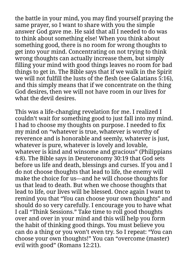the battle in your mind, you may find yourself praying the same prayer, so I want to share with you the simple answer God gave me. He said that all I needed to do was to think about something else! When you think about something good, there is no room for wrong thoughts to get into your mind. Concentrating on not trying to think wrong thoughts can actually increase them, but simply filling your mind with good things leaves no room for bad things to get in. The Bible says that if we walk in the Spirit we will not fulfill the lusts of the flesh (see Galatians 5:16), and this simply means that if we concentrate on the thing God desires, then we will not have room in our lives for what the devil desires.

This was a life-changing revelation for me. I realized I couldn't wait for something good to just fall into my mind. I had to choose my thoughts on purpose. I needed to fix my mind on "whatever is true, whatever is worthy of reverence and is honorable and seemly, whatever is just, whatever is pure, whatever is lovely and lovable, whatever is kind and winsome and gracious" (Philippians 4:8). The Bible says in Deuteronomy 30:19 that God sets before us life and death, blessings and curses. If you and I do not choose thoughts that lead to life, the enemy will make the choice for us—and he will choose thoughts for us that lead to death. But when we choose thoughts that lead to life, our lives will be blessed. Once again I want to remind you that "You can choose your own thoughts" and should do so very carefully. I encourage you to have what I call "Think Sessions." Take time to roll good thoughts over and over in your mind and this will help you form the habit of thinking good things. You must believe you can do a thing or you won't even try. So I repeat: "You can choose your own thoughts!" You can "overcome (master) evil with good" (Romans 12:21).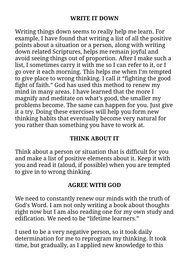#### **WRITE IT DOWN**

Writing things down seems to really help me learn. For example, I have found that writing a list of all the positive points about a situation or a person, along with writing down related Scriptures, helps me remain joyful and avoid seeing things out of proportion. After I make such a list, I sometimes carry it with me so I can refer to it, or I go over it each morning. This helps me when I'm tempted to give place to wrong thinking. I call it "fighting the good fight of faith." God has used this method to renew my mind in many areas. I have learned that the more I magnify and meditate on what's good, the smaller my problems become. The same can happen for you. Just give it a try. Doing these exercises will help you form new thinking habits that eventually become very natural for you rather than something you have to work at.

## **THINK ABOUT IT**

Think about a person or situation that is difficult for you and make a list of positive elements about it. Keep it with you and read it (aloud, if possible) when you are tempted to give in to wrong thinking.

#### **AGREE WITH GOD**

We need to constantly renew our minds with the truth of God's Word. I am not only writing a book about thoughts right now but I am also reading one for my own study and edification. We need to be "lifetime learners."

I used to be a very negative person, so it took daily determination for me to reprogram my thinking. It took time, but gradually, as I applied new knowledge to this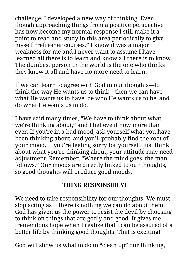challenge, I developed a new way of thinking. Even though approaching things from a positive perspective has now become my normal response I still make it a point to read and study in this area periodically to give myself "refresher courses." I know it was a major weakness for me and I never want to assume I have learned all there is to learn and know all there is to know. The dumbest person in the world is the one who thinks they know it all and have no more need to learn.

If we can learn to agree with God in our thoughts—to think the way He wants us to think—then we can have what He wants us to have, be who He wants us to be, and do what He wants us to do.

I have said many times, "We have to think about what we're thinking about," and I believe it now more than ever. If you're in a bad mood, ask yourself what you have been thinking about, and you'll probably find the root of your mood. If you're feeling sorry for yourself, just think about what you're thinking about; your attitude may need adjustment. Remember, "Where the mind goes, the man follows." Our moods are directly linked to our thoughts, so good thoughts will produce good moods.

#### **THINK RESPONSIBLY!**

We need to take responsibility for our thoughts. We must stop acting as if there is nothing we can do about them. God has given us the power to resist the devil by choosing to think on things that are godly and good. It gives me tremendous hope when I realize that I can be assured of a better life by thinking good thoughts. That is exciting!

God will show us what to do to "clean up" our thinking,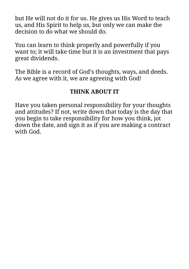but He will not do it for us. He gives us His Word to teach us, and His Spirit to help us, but only we can make the decision to do what we should do.

You can learn to think properly and powerfully if you want to; it will take time but it is an investment that pays great dividends.

The Bible is a record of God's thoughts, ways, and deeds. As we agree with it, we are agreeing with God!

## **THINK ABOUT IT**

Have you taken personal responsibility for your thoughts and attitudes? If not, write down that today is the day that you begin to take responsibility for how you think, jot down the date, and sign it as if you are making a contract with God.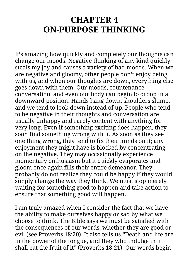# **CHAPTER 4 ON-PURPOSE THINKING**

It's amazing how quickly and completely our thoughts can change our moods. Negative thinking of any kind quickly steals my joy and causes a variety of bad moods. When we are negative and gloomy, other people don't enjoy being with us, and when our thoughts are down, everything else goes down with them. Our moods, countenance, conversation, and even our body can begin to droop in a downward position. Hands hang down, shoulders slump, and we tend to look down instead of up. People who tend to be negative in their thoughts and conversation are usually unhappy and rarely content with anything for very long. Even if something exciting does happen, they soon find something wrong with it. As soon as they see one thing wrong, they tend to fix their minds on it; any enjoyment they might have is blocked by concentrating on the negative. They may occasionally experience momentary enthusiasm but it quickly evaporates and gloom once again fills their entire demeanor. They probably do not realize they could be happy if they would simply change the way they think. We must stop merely waiting for something good to happen and take action to ensure that something good will happen.

I am truly amazed when I consider the fact that we have the ability to make ourselves happy or sad by what we choose to think. The Bible says we must be satisfied with the consequences of our words, whether they are good or evil (see Proverbs 18:20). It also tells us "Death and life are in the power of the tongue, and they who indulge in it shall eat the fruit of it" (Proverbs 18:21). Our words begin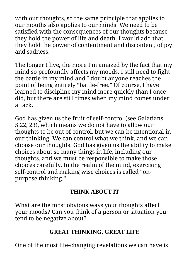with our thoughts, so the same principle that applies to our mouths also applies to our minds. We need to be satisfied with the consequences of our thoughts because they hold the power of life and death. I would add that they hold the power of contentment and discontent, of joy and sadness.

The longer I live, the more I'm amazed by the fact that my mind so profoundly affects my moods. I still need to fight the battle in my mind and I doubt anyone reaches the point of being entirely "battle-free." Of course, I have learned to discipline my mind more quickly than I once did, but there are still times when my mind comes under attack.

God has given us the fruit of self-control (see Galatians 5:22, 23), which means we do not have to allow our thoughts to be out of control, but we can be intentional in our thinking. We can control what we think, and we can choose our thoughts. God has given us the ability to make choices about so many things in life, including our thoughts, and we must be responsible to make those choices carefully. In the realm of the mind, exercising self-control and making wise choices is called "onpurpose thinking."

## **THINK ABOUT IT**

What are the most obvious ways your thoughts affect your moods? Can you think of a person or situation you tend to be negative about?

## **GREAT THINKING, GREAT LIFE**

One of the most life-changing revelations we can have is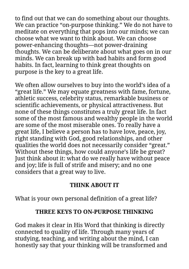to find out that we can do something about our thoughts. We can practice "on-purpose thinking." We do not have to meditate on everything that pops into our minds; we can choose what we want to think about. We can choose power-enhancing thoughts—not power-draining thoughts. We can be deliberate about what goes on in our minds. We can break up with bad habits and form good habits. In fact, learning to think great thoughts on purpose is the key to a great life.

We often allow ourselves to buy into the world's idea of a "great life." We may equate greatness with fame, fortune, athletic success, celebrity status, remarkable business or scientific achievements, or physical attractiveness. But none of these things constitutes a truly great life. In fact some of the most famous and wealthy people in the world are some of the most miserable ones. To really have a great life, I believe a person has to have love, peace, joy, right standing with God, good relationships, and other qualities the world does not necessarily consider "great." Without these things, how could anyone's life be great? Just think about it: what do we really have without peace and joy; life is full of strife and misery; and no one considers that a great way to live.

## **THINK ABOUT IT**

What is your own personal definition of a great life?

## **THREE KEYS TO ON-PURPOSE THINKING**

God makes it clear in His Word that thinking is directly connected to quality of life. Through many years of studying, teaching, and writing about the mind, I can honestly say that your thinking will be transformed and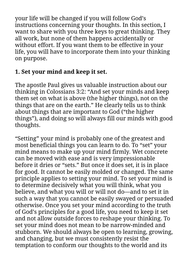your life will be changed if you will follow God's instructions concerning your thoughts. In this section, I want to share with you three keys to great thinking. They all work, but none of them happens accidentally or without effort. If you want them to be effective in your life, you will have to incorporate them into your thinking on purpose.

## **1. Set your mind and keep it set.**

The apostle Paul gives us valuable instruction about our thinking in Colossians 3:2: "And set your minds and keep them set on what is above (the higher things), not on the things that are on the earth." He clearly tells us to think about things that are important to God ("the higher things"), and doing so will always fill our minds with good thoughts.

"Setting" your mind is probably one of the greatest and most beneficial things you can learn to do. To "set" your mind means to make up your mind firmly. Wet concrete can be moved with ease and is very impressionable before it dries or "sets." But once it does set, it is in place for good. It cannot be easily molded or changed. The same principle applies to setting your mind. To set your mind is to determine decisively what you will think, what you believe, and what you will or will not do—and to set it in such a way that you cannot be easily swayed or persuaded otherwise. Once you set your mind according to the truth of God's principles for a good life, you need to keep it set and not allow outside forces to reshape your thinking. To set your mind does not mean to be narrow-minded and stubborn. We should always be open to learning, growing, and changing, but we must consistently resist the temptation to conform our thoughts to the world and its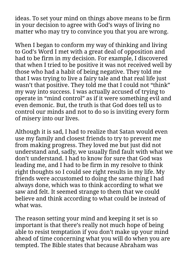ideas. To set your mind on things above means to be firm in your decision to agree with God's ways of living no matter who may try to convince you that you are wrong.

When I began to conform my way of thinking and living to God's Word I met with a great deal of opposition and had to be firm in my decision. For example, I discovered that when I tried to be positive it was not received well by those who had a habit of being negative. They told me that I was trying to live a fairy tale and that real life just wasn't that positive. They told me that I could not "think" my way into success. I was actually accused of trying to operate in "mind control" as if it were something evil and even demonic. But, the truth is that God does tell us to control our minds and not to do so is inviting every form of misery into our lives.

Although it is sad, I had to realize that Satan would even use my family and closest friends to try to prevent me from making progress. They loved me but just did not understand and, sadly, we usually find fault with what we don't understand. I had to know for sure that God was leading me, and I had to be firm in my resolve to think right thoughts so I could see right results in my life. My friends were accustomed to doing the same thing I had always done, which was to think according to what we saw and felt. It seemed strange to them that we could believe and think according to what could be instead of what was.

The reason setting your mind and keeping it set is so important is that there's really not much hope of being able to resist temptation if you don't make up your mind ahead of time concerning what you will do when you are tempted. The Bible states that because Abraham was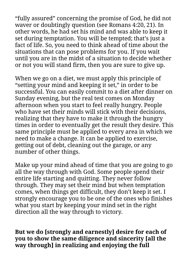"fully assured" concerning the promise of God, he did not waver or doubtingly question (see Romans 4:20, 21). In other words, he had set his mind and was able to keep it set during temptation. You will be tempted; that's just a fact of life. So, you need to think ahead of time about the situations that can pose problems for you. If you wait until you are in the midst of a situation to decide whether or not you will stand firm, then you are sure to give up.

When we go on a diet, we must apply this principle of "setting your mind and keeping it set," in order to be successful. You can easily commit to a diet after dinner on Sunday evening, but the real test comes on Monday afternoon when you start to feel really hungry. People who have set their minds will stick with their decisions, realizing that they have to make it through the hungry times in order to eventually get the result they desire. This same principle must be applied to every area in which we need to make a change. It can be applied to exercise, getting out of debt, cleaning out the garage, or any number of other things.

Make up your mind ahead of time that you are going to go all the way through with God. Some people spend their entire life starting and quitting. They never follow through. They may set their mind but when temptation comes, when things get difficult, they don't keep it set. I strongly encourage you to be one of the ones who finishes what you start by keeping your mind set in the right direction all the way through to victory.

**But we do [strongly and earnestly] desire for each of you to show the same diligence and sincerity [all the way through] in realizing and enjoying the full**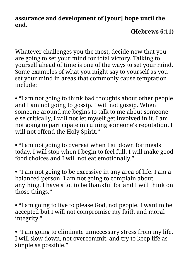## **assurance and development of [your] hope until the end.**

## **(Hebrews 6:11)**

Whatever challenges you the most, decide now that you are going to set your mind for total victory. Talking to yourself ahead of time is one of the ways to set your mind. Some examples of what you might say to yourself as you set your mind in areas that commonly cause temptation include:

• "I am not going to think bad thoughts about other people and I am not going to gossip. I will not gossip. When someone around me begins to talk to me about someone else critically, I will not let myself get involved in it. I am not going to participate in ruining someone's reputation. I will not offend the Holy Spirit."

• "I am not going to overeat when I sit down for meals today. I will stop when I begin to feel full. I will make good food choices and I will not eat emotionally."

• "I am not going to be excessive in any area of life. I am a balanced person. I am not going to complain about anything. I have a lot to be thankful for and I will think on those things."

• "I am going to live to please God, not people. I want to be accepted but I will not compromise my faith and moral integrity."

• "I am going to eliminate unnecessary stress from my life. I will slow down, not overcommit, and try to keep life as simple as possible."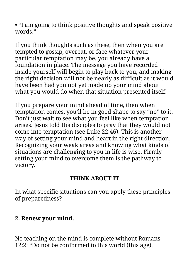• "I am going to think positive thoughts and speak positive words."

If you think thoughts such as these, then when you are tempted to gossip, overeat, or face whatever your particular temptation may be, you already have a foundation in place. The message you have recorded inside yourself will begin to play back to you, and making the right decision will not be nearly as difficult as it would have been had you not yet made up your mind about what you would do when that situation presented itself.

If you prepare your mind ahead of time, then when temptation comes, you'll be in good shape to say "no" to it. Don't just wait to see what you feel like when temptation arises. Jesus told His disciples to pray that they would not come into temptation (see Luke 22:46). This is another way of setting your mind and heart in the right direction. Recognizing your weak areas and knowing what kinds of situations are challenging to you in life is wise. Firmly setting your mind to overcome them is the pathway to victory.

## **THINK ABOUT IT**

In what specific situations can you apply these principles of preparedness?

## **2. Renew your mind.**

No teaching on the mind is complete without Romans 12:2: "Do not be conformed to this world (this age),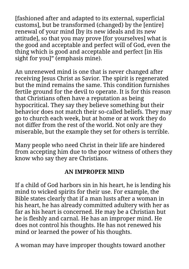[fashioned after and adapted to its external, superficial customs], but be transformed (changed) by the [entire] renewal of your mind [by its new ideals and its new attitude], so that you may prove [for yourselves] what is the good and acceptable and perfect will of God, even the thing which is good and acceptable and perfect [in His sight for you]" (emphasis mine).

An unrenewed mind is one that is never changed after receiving Jesus Christ as Savior. The spirit is regenerated but the mind remains the same. This condition furnishes fertile ground for the devil to operate. It is for this reason that Christians often have a reputation as being hypocritical. They say they believe something but their behavior does not match their so-called beliefs. They may go to church each week, but at home or at work they do not differ from the rest of the world. Not only are they miserable, but the example they set for others is terrible.

Many people who need Christ in their life are hindered from accepting him due to the poor witness of others they know who say they are Christians.

## **AN IMPROPER MIND**

If a child of God harbors sin in his heart, he is lending his mind to wicked spirits for their use. For example, the Bible states clearly that if a man lusts after a woman in his heart, he has already committed adultery with her as far as his heart is concerned. He may be a Christian but he is fleshly and carnal. He has an improper mind. He does not control his thoughts. He has not renewed his mind or learned the power of his thoughts.

A woman may have improper thoughts toward another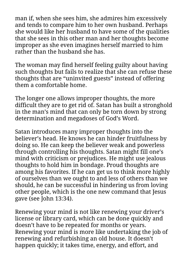man if, when she sees him, she admires him excessively and tends to compare him to her own husband. Perhaps she would like her husband to have some of the qualities that she sees in this other man and her thoughts become improper as she even imagines herself married to him rather than the husband she has.

The woman may find herself feeling guilty about having such thoughts but fails to realize that she can refuse these thoughts that are "uninvited guests" instead of offering them a comfortable home.

The longer one allows improper thoughts, the more difficult they are to get rid of. Satan has built a stronghold in the man's mind that can only be torn down by strong determination and megadoses of God's Word.

Satan introduces many improper thoughts into the believer's head. He knows he can hinder fruitfulness by doing so. He can keep the believer weak and powerless through controlling his thoughts. Satan might fill one's mind with criticism or prejudices. He might use jealous thoughts to hold him in bondage. Proud thoughts are among his favorites. If he can get us to think more highly of ourselves than we ought to and less of others than we should, he can be successful in hindering us from loving other people, which is the one new command that Jesus gave (see John 13:34).

Renewing your mind is not like renewing your driver's license or library card, which can be done quickly and doesn't have to be repeated for months or years. Renewing your mind is more like undertaking the job of renewing and refurbishing an old house. It doesn't happen quickly; it takes time, energy, and effort, and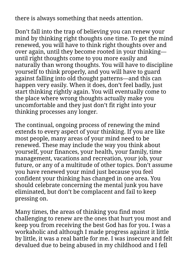there is always something that needs attention.

Don't fall into the trap of believing you can renew your mind by thinking right thoughts one time. To get the mind renewed, you will have to think right thoughts over and over again, until they become rooted in your thinking until right thoughts come to you more easily and naturally than wrong thoughts. You will have to discipline yourself to think properly, and you will have to guard against falling into old thought patterns—and this can happen very easily. When it does, don't feel badly, just start thinking rightly again. You will eventually come to the place where wrong thoughts actually make you uncomfortable and they just don't fit right into your thinking processes any longer.

The continual, ongoing process of renewing the mind extends to every aspect of your thinking. If you are like most people, many areas of your mind need to be renewed. These may include the way you think about yourself, your finances, your health, your family, time management, vacations and recreation, your job, your future, or any of a multitude of other topics. Don't assume you have renewed your mind just because you feel confident your thinking has changed in one area. You should celebrate concerning the mental junk you have eliminated, but don't be complacent and fail to keep pressing on.

Many times, the areas of thinking you find most challenging to renew are the ones that hurt you most and keep you from receiving the best God has for you. I was a workaholic and although I made progress against it little by little, it was a real battle for me. I was insecure and felt devalued due to being abused in my childhood and I fell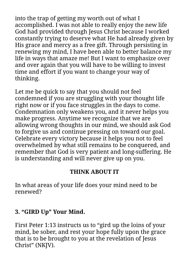into the trap of getting my worth out of what I accomplished. I was not able to really enjoy the new life God had provided through Jesus Christ because I worked constantly trying to deserve what He had already given by His grace and mercy as a free gift. Through persisting in renewing my mind, I have been able to better balance my life in ways that amaze me! But I want to emphasize over and over again that you will have to be willing to invest time and effort if you want to change your way of thinking.

Let me be quick to say that you should not feel condemned if you are struggling with your thought life right now or if you face struggles in the days to come. Condemnation only weakens you, and it never helps you make progress. Anytime we recognize that we are allowing wrong thoughts in our mind, we should ask God to forgive us and continue pressing on toward our goal. Celebrate every victory because it helps you not to feel overwhelmed by what still remains to be conquered, and remember that God is very patient and long-suffering. He is understanding and will never give up on you.

#### **THINK ABOUT IT**

In what areas of your life does your mind need to be renewed?

### **3. "GIRD Up" Your Mind.**

First Peter 1:13 instructs us to "gird up the loins of your mind, be sober, and rest your hope fully upon the grace that is to be brought to you at the revelation of Jesus Christ" (NKJV).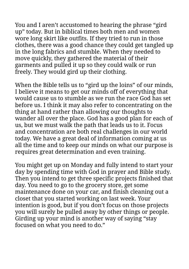You and I aren't accustomed to hearing the phrase "gird up" today. But in biblical times both men and women wore long skirt like outfits. If they tried to run in those clothes, there was a good chance they could get tangled up in the long fabrics and stumble. When they needed to move quickly, they gathered the material of their garments and pulled it up so they could walk or run freely. They would gird up their clothing.

When the Bible tells us to "gird up the loins" of our minds, I believe it means to get our minds off of everything that would cause us to stumble as we run the race God has set before us. I think it may also refer to concentrating on the thing at hand rather than allowing our thoughts to wander all over the place. God has a good plan for each of us, but we must walk the path that leads us to it. Focus and concentration are both real challenges in our world today. We have a great deal of information coming at us all the time and to keep our minds on what our purpose is requires great determination and even training.

You might get up on Monday and fully intend to start your day by spending time with God in prayer and Bible study. Then you intend to get three specific projects finished that day. You need to go to the grocery store, get some maintenance done on your car, and finish cleaning out a closet that you started working on last week. Your intention is good, but if you don't focus on those projects you will surely be pulled away by other things or people. Girding up your mind is another way of saying "stay focused on what you need to do."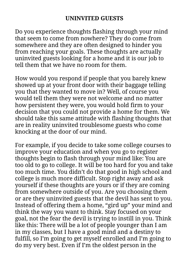#### **UNINVITED GUESTS**

Do you experience thoughts flashing through your mind that seem to come from nowhere? They do come from somewhere and they are often designed to hinder you from reaching your goals. These thoughts are actually uninvited guests looking for a home and it is our job to tell them that we have no room for them.

How would you respond if people that you barely knew showed up at your front door with their baggage telling you that they wanted to move in? Well, of course you would tell them they were not welcome and no matter how persistent they were, you would hold firm to your decision that you could not provide a home for them. We should take this same attitude with flashing thoughts that are in reality uninvited troublesome guests who come knocking at the door of our mind.

For example, if you decide to take some college courses to improve your education and when you go to register thoughts begin to flash through your mind like: You are too old to go to college. It will be too hard for you and take too much time. You didn't do that good in high school and college is much more difficult. Stop right away and ask yourself if these thoughts are yours or if they are coming from somewhere outside of you. Are you choosing them or are they uninvited guests that the devil has sent to you. Instead of offering them a home, "gird up" your mind and think the way you want to think. Stay focused on your goal, not the fear the devil is trying to instill in you. Think like this: There will be a lot of people younger than I am in my classes, but I have a good mind and a destiny to fulfill, so I'm going to get myself enrolled and I'm going to do my very best. Even if I'm the oldest person in the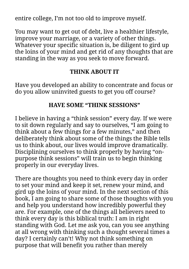entire college, I'm not too old to improve myself.

You may want to get out of debt, live a healthier lifestyle, improve your marriage, or a variety of other things. Whatever your specific situation is, be diligent to gird up the loins of your mind and get rid of any thoughts that are standing in the way as you seek to move forward.

#### **THINK ABOUT IT**

Have you developed an ability to concentrate and focus or do you allow uninvited guests to get you off course?

#### **HAVE SOME "THINK SESSIONS"**

I believe in having a "think session" every day. If we were to sit down regularly and say to ourselves, "I am going to think about a few things for a few minutes," and then deliberately think about some of the things the Bible tells us to think about, our lives would improve dramatically. Disciplining ourselves to think properly by having "onpurpose think sessions" will train us to begin thinking properly in our everyday lives.

There are thoughts you need to think every day in order to set your mind and keep it set, renew your mind, and gird up the loins of your mind. In the next section of this book, I am going to share some of those thoughts with you and help you understand how incredibly powerful they are. For example, one of the things all believers need to think every day is this biblical truth: I am in right standing with God. Let me ask you, can you see anything at all wrong with thinking such a thought several times a day? I certainly can't! Why not think something on purpose that will benefit you rather than merely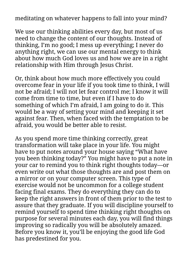meditating on whatever happens to fall into your mind?

We use our thinking abilities every day, but most of us need to change the content of our thoughts. Instead of thinking, I'm no good; I mess up everything; I never do anything right, we can use our mental energy to think about how much God loves us and how we are in a right relationship with Him through Jesus Christ.

Or, think about how much more effectively you could overcome fear in your life if you took time to think, I will not be afraid; I will not let fear control me; I know it will come from time to time, but even if I have to do something of which I'm afraid, I am going to do it. This would be a way of setting your mind and keeping it set against fear. Then, when faced with the temptation to be afraid, you would be better able to resist.

As you spend more time thinking correctly, great transformation will take place in your life. You might have to put notes around your house saying "What have you been thinking today?" You might have to put a note in your car to remind you to think right thoughts today—or even write out what those thoughts are and post them on a mirror or on your computer screen. This type of exercise would not be uncommon for a college student facing final exams. They do everything they can do to keep the right answers in front of them prior to the test to assure that they graduate. If you will discipline yourself to remind yourself to spend time thinking right thoughts on purpose for several minutes each day, you will find things improving so radically you will be absolutely amazed. Before you know it, you'll be enjoying the good life God has predestined for you.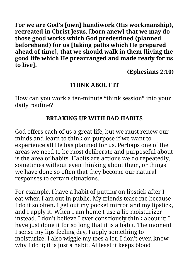**For we are God's [own] handiwork (His workmanship), recreated in Christ Jesus, [born anew] that we may do those good works which God predestined (planned beforehand) for us [taking paths which He prepared ahead of time], that we should walk in them [living the good life which He prearranged and made ready for us to live].**

**(Ephesians 2:10)**

#### **THINK ABOUT IT**

How can you work a ten-minute "think session" into your daily routine?

#### **BREAKING UP WITH BAD HABITS**

God offers each of us a great life, but we must renew our minds and learn to think on purpose if we want to experience all He has planned for us. Perhaps one of the areas we need to be most deliberate and purposeful about is the area of habits. Habits are actions we do repeatedly, sometimes without even thinking about them, or things we have done so often that they become our natural responses to certain situations.

For example, I have a habit of putting on lipstick after I eat when I am out in public. My friends tease me because I do it so often. I get out my pocket mirror and my lipstick, and I apply it. When I am home I use a lip moisturizer instead. I don't believe I ever consciously think about it; I have just done it for so long that it is a habit. The moment I sense my lips feeling dry, I apply something to moisturize. I also wiggle my toes a lot. I don't even know why I do it; it is just a habit. At least it keeps blood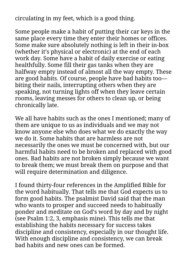circulating in my feet, which is a good thing.

Some people make a habit of putting their car keys in the same place every time they enter their homes or offices. Some make sure absolutely nothing is left in their in-box (whether it's physical or electronic) at the end of each work day. Some have a habit of daily exercise or eating healthfully. Some fill their gas tanks when they are halfway empty instead of almost all the way empty. These are good habits. Of course, people have bad habits too biting their nails, interrupting others when they are speaking, not turning lights off when they leave certain rooms, leaving messes for others to clean up, or being chronically late.

We all have habits such as the ones I mentioned; many of them are unique to us as individuals and we may not know anyone else who does what we do exactly the way we do it. Some habits that are harmless are not necessarily the ones we must be concerned with, but our harmful habits need to be broken and replaced with good ones. Bad habits are not broken simply because we want to break them; we must break them on purpose and that will require determination and diligence.

I found thirty-four references in the Amplified Bible for the word habitually. That tells me that God expects us to form good habits. The psalmist David said that the man who wants to prosper and succeed needs to habitually ponder and meditate on God's word by day and by night (see Psalm 1:2, 3, emphasis mine). This tells me that establishing the habits necessary for success takes discipline and consistency, especially in our thought life. With enough discipline and consistency, we can break bad habits and new ones can be formed.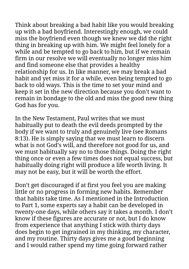Think about breaking a bad habit like you would breaking up with a bad boyfriend. Interestingly enough, we could miss the boyfriend even though we knew we did the right thing in breaking up with him. We might feel lonely for a while and be tempted to go back to him, but if we remain firm in our resolve we will eventually no longer miss him and find someone else that provides a healthy relationship for us. In like manner, we may break a bad habit and yet miss it for a while, even being tempted to go back to old ways. This is the time to set your mind and keep it set in the new direction because you don't want to remain in bondage to the old and miss the good new thing God has for you.

In the New Testament, Paul writes that we must habitually put to death the evil deeds prompted by the body if we want to truly and genuinely live (see Romans 8:13). He is simply saying that we must learn to discern what is not God's will, and therefore not good for us, and we must habitually say no to those things. Doing the right thing once or even a few times does not equal success, but habitually doing right will produce a life worth living. It may not be easy, but it will be worth the effort.

Don't get discouraged if at first you feel you are making little or no progress in forming new habits. Remember that habits take time. As I mentioned in the Introduction to Part 1, some experts say a habit can be developed in twenty-one days, while others say it takes a month. I don't know if these figures are accurate or not, but I do know from experience that anything I stick with thirty days does begin to get ingrained in my thinking, my character, and my routine. Thirty days gives me a good beginning and I would rather spend my time going forward rather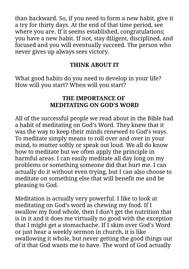than backward. So, if you need to form a new habit, give it a try for thirty days. At the end of that time period, see where you are. If it seems established, congratulations; you have a new habit. If not, stay diligent, disciplined, and focused and you will eventually succeed. The person who never gives up always sees victory.

#### **THINK ABOUT IT**

What good habits do you need to develop in your life? How will you start? When will you start?

#### **THE IMPORTANCE OF MEDITATING ON GOD'S WORD**

All of the successful people we read about in the Bible had a habit of meditating on God's Word. They knew that it was the way to keep their minds renewed to God's ways. To meditate simply means to roll over and over in your mind, to mutter softly or speak out loud. We all do know how to meditate but we often apply the principle in harmful areas. I can easily meditate all day long on my problems or something someone did that hurt me. I can actually do it without even trying, but I can also choose to meditate on something else that will benefit me and be pleasing to God.

Meditation is actually very powerful. I like to look at meditating on God's word as chewing my food. If I swallow my food whole, then I don't get the nutrition that is in it and it does me virtually no good with the exception that I might get a stomachache. If I skim over God's Word or just hear a weekly sermon in church, it is like swallowing it whole, but never getting the good things out of it that God wants me to have. The word of God actually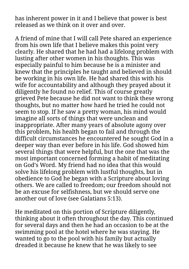has inherent power in it and I believe that power is best released as we think on it over and over.

A friend of mine that I will call Pete shared an experience from his own life that I believe makes this point very clearly. He shared that he had had a lifelong problem with lusting after other women in his thoughts. This was especially painful to him because he is a minister and knew that the principles he taught and believed in should be working in his own life. He had shared this with his wife for accountability and although they prayed about it diligently he found no relief. This of course greatly grieved Pete because he did not want to think these wrong thoughts, but no matter how hard he tried he could not seem to stop. If he saw a pretty woman, his mind would imagine all sorts of things that were unclean and inappropriate. After many years of absolute agony over this problem, his health began to fail and through the difficult circumstances he encountered he sought God in a deeper way than ever before in his life. God showed him several things that were helpful, but the one that was the most important concerned forming a habit of meditating on God's Word. My friend had no idea that this would solve his lifelong problem with lustful thoughts, but in obedience to God he began with a Scripture about loving others. We are called to freedom; our freedom should not be an excuse for selfishness, but we should serve one another out of love (see Galatians 5:13).

He meditated on this portion of Scripture diligently, thinking about it often throughout the day. This continued for several days and then he had an occasion to be at the swimming pool at the hotel where he was staying. He wanted to go to the pool with his family but actually dreaded it because he knew that he was likely to see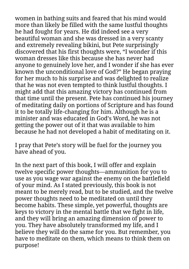women in bathing suits and feared that his mind would more than likely be filled with the same lustful thoughts he had fought for years. He did indeed see a very beautiful woman and she was dressed in a very scanty and extremely revealing bikini, but Pete surprisingly discovered that his first thoughts were, "I wonder if this woman dresses like this because she has never had anyone to genuinely love her, and I wonder if she has ever known the unconditional love of God?" He began praying for her much to his surprise and was delighted to realize that he was not even tempted to think lustful thoughts. I might add that this amazing victory has continued from that time until the present. Pete has continued his journey of meditating daily on portions of Scripture and has found it to be totally life-changing for him. Although he is a minister and was educated in God's Word, he was not getting the power out of it that was available to him because he had not developed a habit of meditating on it.

I pray that Pete's story will be fuel for the journey you have ahead of you.

In the next part of this book, I will offer and explain twelve specific power thoughts—ammunition for you to use as you wage war against the enemy on the battlefield of your mind. As I stated previously, this book is not meant to be merely read, but to be studied, and the twelve power thoughts need to be meditated on until they become habits. These simple, yet powerful, thoughts are keys to victory in the mental battle that we fight in life, and they will bring an amazing dimension of power to you. They have absolutely transformed my life, and I believe they will do the same for you. But remember, you have to meditate on them, which means to think them on purpose!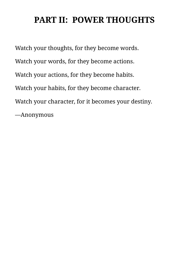# **PART II: POWER THOUGHTS**

Watch your thoughts, for they become words. Watch your words, for they become actions. Watch your actions, for they become habits. Watch your habits, for they become character. Watch your character, for it becomes your destiny. —Anonymous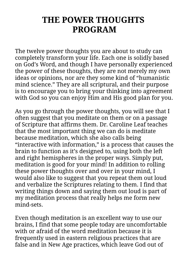## **THE POWER THOUGHTS PROGRAM**

The twelve power thoughts you are about to study can completely transform your life. Each one is solidly based on God's Word, and though I have personally experienced the power of these thoughts, they are not merely my own ideas or opinions, nor are they some kind of "humanistic mind science." They are all scriptural, and their purpose is to encourage you to bring your thinking into agreement with God so you can enjoy Him and His good plan for you.

As you go through the power thoughts, you will see that I often suggest that you meditate on them or on a passage of Scripture that affirms them. Dr. Caroline Leaf teaches that the most important thing we can do is meditate because meditation, which she also calls being "interactive with information," is a process that causes the brain to function as it's designed to, using both the left and right hemispheres in the proper ways. Simply put, meditation is good for your mind! In addition to rolling these power thoughts over and over in your mind, I would also like to suggest that you repeat them out loud and verbalize the Scriptures relating to them. I find that writing things down and saying them out loud is part of my meditation process that really helps me form new mind-sets.

Even though meditation is an excellent way to use our brains, I find that some people today are uncomfortable with or afraid of the word meditation because it is frequently used in eastern religious practices that are false and in New Age practices, which leave God out of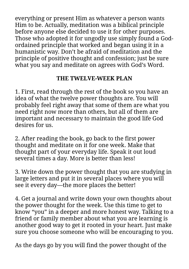everything or present Him as whatever a person wants Him to be. Actually, meditation was a biblical principle before anyone else decided to use it for other purposes. Those who adopted it for ungodly use simply found a Godordained principle that worked and began using it in a humanistic way. Don't be afraid of meditation and the principle of positive thought and confession; just be sure what you say and meditate on agrees with God's Word.

#### **THE TWELVE-WEEK PLAN**

1. First, read through the rest of the book so you have an idea of what the twelve power thoughts are. You will probably feel right away that some of them are what you need right now more than others, but all of them are important and necessary to maintain the good life God desires for us.

2. After reading the book, go back to the first power thought and meditate on it for one week. Make that thought part of your everyday life. Speak it out loud several times a day. More is better than less!

3. Write down the power thought that you are studying in large letters and put it in several places where you will see it every day—the more places the better!

4. Get a journal and write down your own thoughts about the power thought for the week. Use this time to get to know "you" in a deeper and more honest way. Talking to a friend or family member about what you are learning is another good way to get it rooted in your heart. Just make sure you choose someone who will be encouraging to you.

As the days go by you will find the power thought of the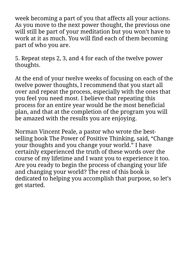week becoming a part of you that affects all your actions. As you move to the next power thought, the previous one will still be part of your meditation but you won't have to work at it as much. You will find each of them becoming part of who you are.

5. Repeat steps 2, 3, and 4 for each of the twelve power thoughts.

At the end of your twelve weeks of focusing on each of the twelve power thoughts, I recommend that you start all over and repeat the process, especially with the ones that you feel you need most. I believe that repeating this process for an entire year would be the most beneficial plan, and that at the completion of the program you will be amazed with the results you are enjoying.

Norman Vincent Peale, a pastor who wrote the bestselling book The Power of Positive Thinking, said, "Change your thoughts and you change your world." I have certainly experienced the truth of these words over the course of my lifetime and I want you to experience it too. Are you ready to begin the process of changing your life and changing your world? The rest of this book is dedicated to helping you accomplish that purpose, so let's get started.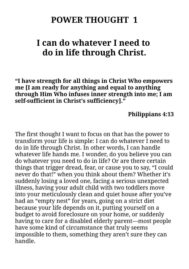### **POWER THOUGHT 1**

### **I can do whatever I need to do in life through Christ.**

**"I have strength for all things in Christ Who empowers me [I am ready for anything and equal to anything through Him Who infuses inner strength into me; I am self-sufficient in Christ's sufficiency]."**

#### **Philippians 4:13**

The first thought I want to focus on that has the power to transform your life is simple: I can do whatever I need to do in life through Christ. In other words, I can handle whatever life hands me. I wonder, do you believe you can do whatever you need to do in life? Or are there certain things that trigger dread, fear, or cause you to say, "I could never do that!" when you think about them? Whether it's suddenly losing a loved one, facing a serious unexpected illness, having your adult child with two toddlers move into your meticulously clean and quiet house after you've had an "empty nest" for years, going on a strict diet because your life depends on it, putting yourself on a budget to avoid foreclosure on your home, or suddenly having to care for a disabled elderly parent—most people have some kind of circumstance that truly seems impossible to them, something they aren't sure they can handle.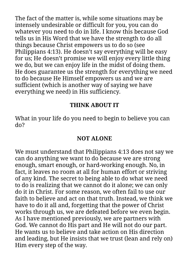The fact of the matter is, while some situations may be intensely undesirable or difficult for you, you can do whatever you need to do in life. I know this because God tells us in His Word that we have the strength to do all things because Christ empowers us to do so (see Philippians 4:13). He doesn't say everything will be easy for us; He doesn't promise we will enjoy every little thing we do, but we can enjoy life in the midst of doing them. He does guarantee us the strength for everything we need to do because He Himself empowers us and we are sufficient (which is another way of saying we have everything we need) in His sufficiency.

#### **THINK ABOUT IT**

What in your life do you need to begin to believe you can do?

#### **NOT ALONE**

We must understand that Philippians 4:13 does not say we can do anything we want to do because we are strong enough, smart enough, or hard-working enough. No, in fact, it leaves no room at all for human effort or striving of any kind. The secret to being able to do what we need to do is realizing that we cannot do it alone; we can only do it in Christ. For some reason, we often fail to use our faith to believe and act on that truth. Instead, we think we have to do it all and, forgetting that the power of Christ works through us, we are defeated before we even begin. As I have mentioned previously, we are partners with God. We cannot do His part and He will not do our part. He wants us to believe and take action on His direction and leading, but He insists that we trust (lean and rely on) Him every step of the way.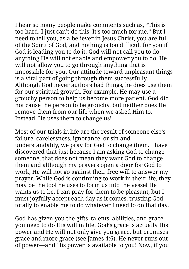I hear so many people make comments such as, "This is too hard. I just can't do this. It's too much for me." But I need to tell you, as a believer in Jesus Christ, you are full of the Spirit of God, and nothing is too difficult for you if God is leading you to do it. God will not call you to do anything He will not enable and empower you to do. He will not allow you to go through anything that is impossible for you. Our attitude toward unpleasant things is a vital part of going through them successfully. Although God never authors bad things, he does use them for our spiritual growth. For example, He may use a grouchy person to help us become more patient. God did not cause the person to be grouchy, but neither does He remove them from our life when we asked Him to. Instead, He uses them to change us!

Most of our trials in life are the result of someone else's failure, carelessness, ignorance, or sin and understandably, we pray for God to change them. I have discovered that just because I am asking God to change someone, that does not mean they want God to change them and although my prayers open a door for God to work, He will not go against their free will to answer my prayer. While God is continuing to work in their life, they may be the tool he uses to form us into the vessel He wants us to be. I can pray for them to be pleasant, but I must joyfully accept each day as it comes, trusting God totally to enable me to do whatever I need to do that day.

God has given you the gifts, talents, abilities, and grace you need to do His will in life. God's grace is actually His power and He will not only give you grace, but promises grace and more grace (see James 4:6). He never runs out of power—and His power is available to you! Now, if you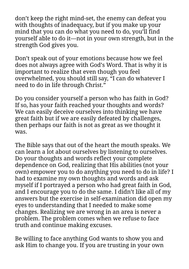don't keep the right mind-set, the enemy can defeat you with thoughts of inadequacy, but if you make up your mind that you can do what you need to do, you'll find yourself able to do it—not in your own strength, but in the strength God gives you.

Don't speak out of your emotions because how we feel does not always agree with God's Word. That is why it is important to realize that even though you feel overwhelmed, you should still say, "I can do whatever I need to do in life through Christ."

Do you consider yourself a person who has faith in God? If so, has your faith reached your thoughts and words? We can easily deceive ourselves into thinking we have great faith but if we are easily defeated by challenges, then perhaps our faith is not as great as we thought it was.

The Bible says that out of the heart the mouth speaks. We can learn a lot about ourselves by listening to ourselves. Do your thoughts and words reflect your complete dependence on God, realizing that His abilities (not your own) empower you to do anything you need to do in life? I had to examine my own thoughts and words and ask myself if I portrayed a person who had great faith in God, and I encourage you to do the same. I didn't like all of my answers but the exercise in self-examination did open my eyes to understanding that I needed to make some changes. Realizing we are wrong in an area is never a problem. The problem comes when we refuse to face truth and continue making excuses.

Be willing to face anything God wants to show you and ask Him to change you. If you are trusting in your own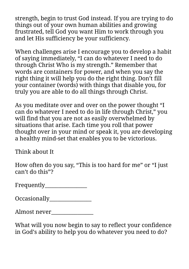strength, begin to trust God instead. If you are trying to do things out of your own human abilities and growing frustrated, tell God you want Him to work through you and let His sufficiency be your sufficiency.

When challenges arise I encourage you to develop a habit of saying immediately, "I can do whatever I need to do through Christ Who is my strength." Remember that words are containers for power, and when you say the right thing it will help you do the right thing. Don't fill your container (words) with things that disable you, for truly you are able to do all things through Christ.

As you meditate over and over on the power thought "I can do whatever I need to do in life through Christ," you will find that you are not as easily overwhelmed by situations that arise. Each time you roll that power thought over in your mind or speak it, you are developing a healthy mind-set that enables you to be victorious.

Think about It

How often do you say, "This is too hard for me" or "I just can't do this"?

Frequently\_\_\_\_\_\_\_\_\_\_\_\_\_\_\_\_

Occasionally\_\_\_\_\_\_\_\_\_\_\_\_\_\_\_\_

Almost never\_\_\_\_\_\_\_\_\_\_\_\_\_\_\_\_

What will you now begin to say to reflect your confidence in God's ability to help you do whatever you need to do?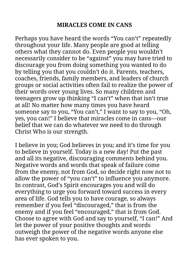#### **MIRACLES COME IN CANS**

Perhaps you have heard the words "You can't" repeatedly throughout your life. Many people are good at telling others what they cannot do. Even people you wouldn't necessarily consider to be "against" you may have tried to discourage you from doing something you wanted to do by telling you that you couldn't do it. Parents, teachers, coaches, friends, family members, and leaders of church groups or social activities often fail to realize the power of their words over young lives. So many children and teenagers grow up thinking "I can't" when that isn't true at all! No matter how many times you have heard someone say to you, "You can't," I want to say to you, "Oh, yes, you can!" I believe that miracles come in cans—our belief that we can do whatever we need to do through Christ Who is our strength.

I believe in you; God believes in you; and it's time for you to believe in yourself. Today is a new day! Put the past and all its negative, discouraging comments behind you. Negative words and words that speak of failure come from the enemy, not from God, so decide right now not to allow the power of "you can't" to influence you anymore. In contrast, God's Spirit encourages you and will do everything to urge you forward toward success in every area of life. God tells you to have courage, so always remember if you feel "discouraged," that is from the enemy and if you feel "encouraged," that is from God. Choose to agree with God and say to yourself, "I can!" And let the power of your positive thoughts and words outweigh the power of the negative words anyone else has ever spoken to you.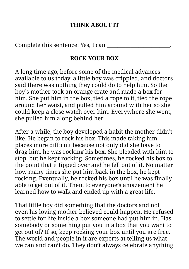#### **THINK ABOUT IT**

Complete this sentence: Yes, I can

#### **ROCK YOUR BOX**

A long time ago, before some of the medical advances available to us today, a little boy was crippled, and doctors said there was nothing they could do to help him. So the boy's mother took an orange crate and made a box for him. She put him in the box, tied a rope to it, tied the rope around her waist, and pulled him around with her so she could keep a close watch over him. Everywhere she went, she pulled him along behind her.

After a while, the boy developed a habit the mother didn't like. He began to rock his box. This made taking him places more difficult because not only did she have to drag him, he was rocking his box. She pleaded with him to stop, but he kept rocking. Sometimes, he rocked his box to the point that it tipped over and he fell out of it. No matter how many times she put him back in the box, he kept rocking. Eventually, he rocked his box until he was finally able to get out of it. Then, to everyone's amazement he learned how to walk and ended up with a great life.

That little boy did something that the doctors and not even his loving mother believed could happen. He refused to settle for life inside a box someone had put him in. Has somebody or something put you in a box that you want to get out of? If so, keep rocking your box until you are free. The world and people in it are experts at telling us what we can and can't do. They don't always celebrate anything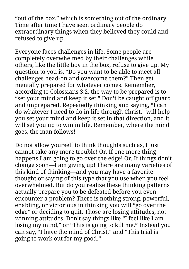"out of the box," which is something out of the ordinary. Time after time I have seen ordinary people do extraordinary things when they believed they could and refused to give up.

Everyone faces challenges in life. Some people are completely overwhelmed by their challenges while others, like the little boy in the box, refuse to give up. My question to you is, "Do you want to be able to meet all challenges head-on and overcome them?" Then get mentally prepared for whatever comes. Remember, according to Colossians 3:2, the way to be prepared is to "set your mind and keep it set." Don't be caught off guard and unprepared. Repeatedly thinking and saying, "I can do whatever I need to do in life through Christ," will help you set your mind and keep it set in that direction, and it will set you up to win in life. Remember, where the mind goes, the man follows!

Do not allow yourself to think thoughts such as, I just cannot take any more trouble! Or, If one more thing happens I am going to go over the edge! Or, If things don't change soon—I am giving up! There are many varieties of this kind of thinking—and you may have a favorite thought or saying of this type that you use when you feel overwhelmed. But do you realize these thinking patterns actually prepare you to be defeated before you even encounter a problem? There is nothing strong, powerful, enabling, or victorious in thinking you will "go over the edge" or deciding to quit. Those are losing attitudes, not winning attitudes. Don't say things like "I feel like I am losing my mind," or "This is going to kill me." Instead you can say, "I have the mind of Christ," and "This trial is going to work out for my good."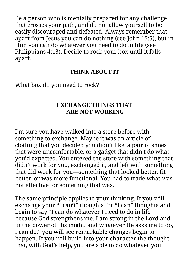Be a person who is mentally prepared for any challenge that crosses your path, and do not allow yourself to be easily discouraged and defeated. Always remember that apart from Jesus you can do nothing (see John 15:5), but in Him you can do whatever you need to do in life (see Philippians 4:13). Decide to rock your box until it falls apart.

#### **THINK ABOUT IT**

What box do you need to rock?

#### **EXCHANGE THINGS THAT ARE NOT WORKING**

I'm sure you have walked into a store before with something to exchange. Maybe it was an article of clothing that you decided you didn't like, a pair of shoes that were uncomfortable, or a gadget that didn't do what you'd expected. You entered the store with something that didn't work for you, exchanged it, and left with something that did work for you—something that looked better, fit better, or was more functional. You had to trade what was not effective for something that was.

The same principle applies to your thinking. If you will exchange your "I can't" thoughts for "I can" thoughts and begin to say "I can do whatever I need to do in life because God strengthens me. I am strong in the Lord and in the power of His might, and whatever He asks me to do, I can do," you will see remarkable changes begin to happen. If you will build into your character the thought that, with God's help, you are able to do whatever you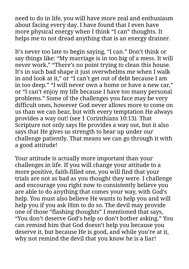need to do in life, you will have more zeal and enthusiasm about facing every day. I have found that I even have more physical energy when I think "I can" thoughts. It helps me to not dread anything that is an energy drainer.

It's never too late to begin saying, "I can." Don't think or say things like: "My marriage is in too big of a mess. It will never work," "There's no point trying to clean this house. It's in such bad shape it just overwhelms me when I walk in and look at it," or "I can't get out of debt because I am in too deep." "I will never own a home or have a new car," or "I can't enjoy my life because I have too many personal problems." Some of the challenges you face may be very difficult ones, however God never allows more to come on us than we can bear, but with every temptation He always provides a way out! (see 1 Corinthians 10:13). That Scripture not only says He provides a way out, but it also says that He gives us strength to bear up under our challenge patiently. That means we can go through it with a good attitude!

Your attitude is actually more important than your challenges in life. If you will change your attitude to a more positive, faith-filled one, you will find that your trials are not as bad as you thought they were. I challenge and encourage you right now to consistently believe you are able to do anything that comes your way, with God's help. You must also believe He wants to help you and will help you if you ask Him to do so. The devil may provide one of those "flashing thoughts" I mentioned that says, "You don't deserve God's help so don't bother asking." You can remind him that God doesn't help you because you deserve it, but because He is good, and while you're at it, why not remind the devil that you know he is a liar!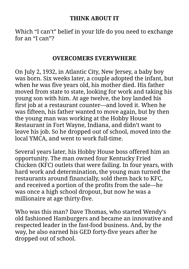#### **THINK ABOUT IT**

Which "I can't" belief in your life do you need to exchange for an "I can"?

#### **OVERCOMERS EVERYWHERE**

On July 2, 1932, in Atlantic City, New Jersey, a baby boy was born. Six weeks later, a couple adopted the infant, but when he was five years old, his mother died. His father moved from state to state, looking for work and taking his young son with him. At age twelve, the boy landed his first job at a restaurant counter—and loved it. When he was fifteen, his father wanted to move again, but by then the young man was working at the Hobby House Restaurant in Fort Wayne, Indiana, and didn't want to leave his job. So he dropped out of school, moved into the local YMCA, and went to work full-time.

Several years later, his Hobby House boss offered him an opportunity. The man owned four Kentucky Fried Chicken (KFC) outlets that were failing. In four years, with hard work and determination, the young man turned the restaurants around financially, sold them back to KFC, and received a portion of the profits from the sale—he was once a high school dropout, but now he was a millionaire at age thirty-five.

Who was this man? Dave Thomas, who started Wendy's old fashioned Hamburgers and became an innovative and respected leader in the fast-food business. And, by the way, he also earned his GED forty-five years after he dropped out of school.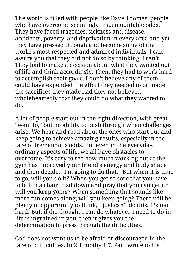The world is filled with people like Dave Thomas, people who have overcome seemingly insurmountable odds. They have faced tragedies, sickness and disease, accidents, poverty, and deprivation in every area and yet they have pressed through and become some of the world's most respected and admired individuals. I can assure you that they did not do so by thinking, I can't. They had to make a decision about what they wanted out of life and think accordingly. Then, they had to work hard to accomplish their goals. I don't believe any of them could have expended the effort they needed to or made the sacrifices they made had they not believed wholeheartedly that they could do what they wanted to do.

A lot of people start out in the right direction, with great "want to," but no ability to push through when challenges arise. We hear and read about the ones who start out and keep going to achieve amazing results, especially in the face of tremendous odds. But even in the everyday, ordinary aspects of life, we all have obstacles to overcome. It's easy to see how much working out at the gym has improved your friend's energy and body shape and then decide, "I'm going to do that." But when it is time to go, will you do it? When you get so sore that you have to fall in a chair to sit down and pray that you can get up will you keep going? When something that sounds like more fun comes along, will you keep going? There will be plenty of opportunity to think, I just can't do this. It's too hard. But, if the thought I can do whatever I need to do in life is ingrained in you, then it gives you the determination to press through the difficulties.

God does not want us to be afraid or discouraged in the face of difficulties. In 2 Timothy 1:7, Paul wrote to his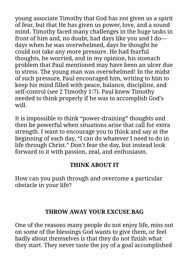young associate Timothy that God has not given us a spirit of fear, but that He has given us power, love, and a sound mind. Timothy faced many challenges in the huge tasks in front of him and, no doubt, had days like you and I do days when he was overwhelmed, days he thought he could not take any more pressure. He had fearful thoughts, he worried, and in my opinion, his stomach problem that Paul mentioned may have been an ulcer due to stress. The young man was overwhelmed! In the midst of such pressure, Paul encouraged him, writing to him to keep his mind filled with peace, balance, discipline, and self-control (see 2 Timothy 1:7). Paul knew Timothy needed to think properly if he was to accomplish God's will

It is impossible to think "power-draining" thoughts and then be powerful when situations arise that call for extra strength. I want to encourage you to think and say at the beginning of each day, "I can do whatever I need to do in life through Christ." Don't fear the day, but instead look forward to it with passion, zeal, and enthusiasm.

#### **THINK ABOUT IT**

How can you push through and overcome a particular obstacle in your life?

#### **THROW AWAY YOUR EXCUSE BAG**

One of the reasons many people do not enjoy life, miss out on some of the blessings God wants to give them, or feel badly about themselves is that they do not finish what they start. They never taste the joy of a goal accomplished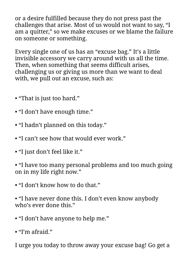or a desire fulfilled because they do not press past the challenges that arise. Most of us would not want to say, "I am a quitter," so we make excuses or we blame the failure on someone or something.

Every single one of us has an "excuse bag." It's a little invisible accessory we carry around with us all the time. Then, when something that seems difficult arises, challenging us or giving us more than we want to deal with, we pull out an excuse, such as:

- "That is just too hard."
- "I don't have enough time."
- "I hadn't planned on this today."
- "I can't see how that would ever work."
- "I just don't feel like it."
- "I have too many personal problems and too much going on in my life right now."
- "I don't know how to do that."

• "I have never done this. I don't even know anybody who's ever done this."

- "I don't have anyone to help me."
- "I'm afraid."

I urge you today to throw away your excuse bag! Go get a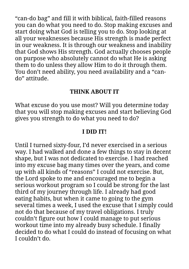"can-do bag" and fill it with biblical, faith-filled reasons you can do what you need to do. Stop making excuses and start doing what God is telling you to do. Stop looking at all your weaknesses because His strength is made perfect in our weakness. It is through our weakness and inability that God shows His strength. God actually chooses people on purpose who absolutely cannot do what He is asking them to do unless they allow Him to do it through them. You don't need ability, you need availability and a "cando" attitude.

#### **THINK ABOUT IT**

What excuse do you use most? Will you determine today that you will stop making excuses and start believing God gives you strength to do what you need to do?

#### **I DID IT!**

Until I turned sixty-four, I'd never exercised in a serious way. I had walked and done a few things to stay in decent shape, but I was not dedicated to exercise. I had reached into my excuse bag many times over the years, and come up with all kinds of "reasons" I could not exercise. But, the Lord spoke to me and encouraged me to begin a serious workout program so I could be strong for the last third of my journey through life. I already had good eating habits, but when it came to going to the gym several times a week, I used the excuse that I simply could not do that because of my travel obligations. I truly couldn't figure out how I could manage to put serious workout time into my already busy schedule. I finally decided to do what I could do instead of focusing on what I couldn't do.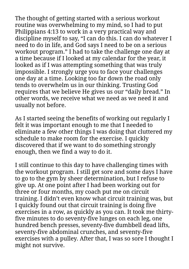The thought of getting started with a serious workout routine was overwhelming to my mind, so I had to put Philippians 4:13 to work in a very practical way and discipline myself to say, "I can do this. I can do whatever I need to do in life, and God says I need to be on a serious workout program." I had to take the challenge one day at a time because if I looked at my calendar for the year, it looked as if I was attempting something that was truly impossible. I strongly urge you to face your challenges one day at a time. Looking too far down the road only tends to overwhelm us in our thinking. Trusting God requires that we believe He gives us our "daily bread." In other words, we receive what we need as we need it and usually not before.

As I started seeing the benefits of working out regularly I felt it was important enough to me that I needed to eliminate a few other things I was doing that cluttered my schedule to make room for the exercise. I quickly discovered that if we want to do something strongly enough, then we find a way to do it.

I still continue to this day to have challenging times with the workout program. I still get sore and some days I have to go to the gym by sheer determination, but I refuse to give up. At one point after I had been working out for three or four months, my coach put me on circuit training. I didn't even know what circuit training was, but I quickly found out that circuit training is doing five exercises in a row, as quickly as you can. It took me thirtyfive minutes to do seventy-five lunges on each leg, one hundred bench presses, seventy-five dumbbell dead lifts, seventy-five abdominal crunches, and seventy-five exercises with a pulley. After that, I was so sore I thought I might not survive.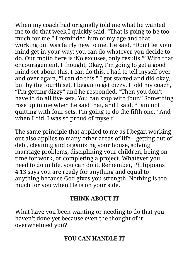When my coach had originally told me what he wanted me to do that week I quickly said, "That is going to be too much for me." I reminded him of my age and that working out was fairly new to me. He said, "Don't let your mind get in your way; you can do whatever you decide to do. Our motto here is 'No excuses, only results.'" With that encouragement, I thought, Okay, I'm going to get a good mind-set about this. I can do this. I had to tell myself over and over again, "I can do this." I got started and did okay, but by the fourth set, I began to get dizzy. I told my coach, "I'm getting dizzy" and he responded, "Then you don't have to do all five sets. You can stop with four." Something rose up in me when he said that, and I said, "I am not quitting with four sets. I'm going to do the fifth one." And when I did, I was so proud of myself!

The same principle that applied to me as I began working out also applies to many other areas of life—getting out of debt, cleaning and organizing your house, solving marriage problems, disciplining your children, being on time for work, or completing a project. Whatever you need to do in life, you can do it. Remember, Philippians 4:13 says you are ready for anything and equal to anything because God gives you strength. Nothing is too much for you when He is on your side.

#### **THINK ABOUT IT**

What have you been wanting or needing to do that you haven't done yet because even the thought of it overwhelmed you?

#### **YOU CAN HANDLE IT**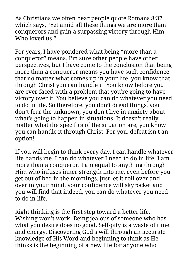As Christians we often hear people quote Romans 8:37 which says, "Yet amid all these things we are more than conquerors and gain a surpassing victory through Him Who loved us."

For years, I have pondered what being "more than a conqueror" means. I'm sure other people have other perspectives, but I have come to the conclusion that being more than a conqueror means you have such confidence that no matter what comes up in your life, you know that through Christ you can handle it. You know before you are ever faced with a problem that you're going to have victory over it. You believe you can do whatever you need to do in life. So therefore, you don't dread things, you don't fear the unknown, you don't live in anxiety about what's going to happen in situations. It doesn't really matter what the specifics of the situation are, you know you can handle it through Christ. For you, defeat isn't an option!

If you will begin to think every day, I can handle whatever life hands me. I can do whatever I need to do in life. I am more than a conqueror. I am equal to anything through Him who infuses inner strength into me, even before you get out of bed in the mornings, just let it roll over and over in your mind, your confidence will skyrocket and you will find that indeed, you can do whatever you need to do in life.

Right thinking is the first step toward a better life. Wishing won't work. Being jealous of someone who has what you desire does no good. Self-pity is a waste of time and energy. Discovering God's will through an accurate knowledge of His Word and beginning to think as He thinks is the beginning of a new life for anyone who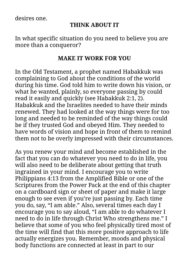desires one.

#### **THINK ABOUT IT**

In what specific situation do you need to believe you are more than a conqueror?

#### **MAKE IT WORK FOR YOU**

In the Old Testament, a prophet named Habakkuk was complaining to God about the conditions of the world during his time. God told him to write down his vision, or what he wanted, plainly, so everyone passing by could read it easily and quickly (see Habakkuk 2:1, 2). Habakkuk and the Israelites needed to have their minds renewed. They had looked at the way things were for too long and needed to be reminded of the way things could be if they trusted God and obeyed Him. They needed to have words of vision and hope in front of them to remind them not to be overly impressed with their circumstances.

As you renew your mind and become established in the fact that you can do whatever you need to do in life, you will also need to be deliberate about getting that truth ingrained in your mind. I encourage you to write Philippians 4:13 from the Amplified Bible or one of the Scriptures from the Power Pack at the end of this chapter on a cardboard sign or sheet of paper and make it large enough to see even if you're just passing by. Each time you do, say, "I am able." Also, several times each day I encourage you to say aloud, "I am able to do whatever I need to do in life through Christ Who strengthens me." I believe that some of you who feel physically tired most of the time will find that this more positive approach to life actually energizes you. Remember, moods and physical body functions are connected at least in part to our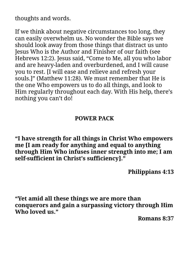thoughts and words.

If we think about negative circumstances too long, they can easily overwhelm us. No wonder the Bible says we should look away from those things that distract us unto Jesus Who is the Author and Finisher of our faith (see Hebrews 12:2). Jesus said, "Come to Me, all you who labor and are heavy-laden and overburdened, and I will cause you to rest. [I will ease and relieve and refresh your souls.]" (Matthew 11:28). We must remember that He is the one Who empowers us to do all things, and look to Him regularly throughout each day. With His help, there's nothing you can't do!

#### **POWER PACK**

**"I have strength for all things in Christ Who empowers me [I am ready for anything and equal to anything through Him Who infuses inner strength into me; I am self-sufficient in Christ's sufficiency]."**

**Philippians 4:13**

**"Yet amid all these things we are more than conquerors and gain a surpassing victory through Him Who loved us."**

**Romans 8:37**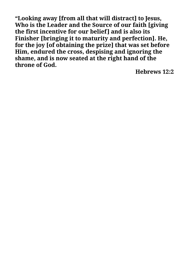**"Looking away [from all that will distract] to Jesus, Who is the Leader and the Source of our faith [giving the first incentive for our belief] and is also its Finisher [bringing it to maturity and perfection]. He, for the joy [of obtaining the prize] that was set before Him, endured the cross, despising and ignoring the shame, and is now seated at the right hand of the throne of God.**

**Hebrews 12:2**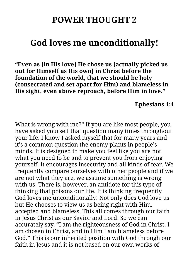## **POWER THOUGHT 2**

## **God loves me unconditionally!**

**"Even as [in His love] He chose us [actually picked us out for Himself as His own] in Christ before the foundation of the world, that we should be holy (consecrated and set apart for Him) and blameless in His sight, even above reproach, before Him in love."**

### **Ephesians 1:4**

What is wrong with me?" If you are like most people, you have asked yourself that question many times throughout your life. I know I asked myself that for many years and it's a common question the enemy plants in people's minds. It is designed to make you feel like you are not what you need to be and to prevent you from enjoying yourself. It encourages insecurity and all kinds of fear. We frequently compare ourselves with other people and if we are not what they are, we assume something is wrong with us. There is, however, an antidote for this type of thinking that poisons our life. It is thinking frequently God loves me unconditionally! Not only does God love us but He chooses to view us as being right with Him, accepted and blameless. This all comes through our faith in Jesus Christ as our Savior and Lord. So we can accurately say, "I am the righteousness of God in Christ. I am chosen in Christ, and in Him I am blameless before God." This is our inherited position with God through our faith in Jesus and it is not based on our own works of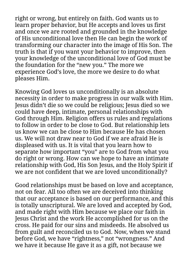right or wrong, but entirely on faith. God wants us to learn proper behavior, but He accepts and loves us first and once we are rooted and grounded in the knowledge of His unconditional love then He can begin the work of transforming our character into the image of His Son. The truth is that if you want your behavior to improve, then your knowledge of the unconditional love of God must be the foundation for the "new you." The more we experience God's love, the more we desire to do what pleases Him.

Knowing God loves us unconditionally is an absolute necessity in order to make progress in our walk with Him. Jesus didn't die so we could be religious; Jesus died so we could have deep, intimate, personal relationships with God through Him. Religion offers us rules and regulations to follow in order to be close to God. But relationship lets us know we can be close to Him because He has chosen us. We will not draw near to God if we are afraid He is displeased with us. It is vital that you learn how to separate how important "you" are to God from what you do right or wrong. How can we hope to have an intimate relationship with God, His Son Jesus, and the Holy Spirit if we are not confident that we are loved unconditionally?

Good relationships must be based on love and acceptance, not on fear. All too often we are deceived into thinking that our acceptance is based on our performance, and this is totally unscriptural. We are loved and accepted by God, and made right with Him because we place our faith in Jesus Christ and the work He accomplished for us on the cross. He paid for our sins and misdeeds. He absolved us from guilt and reconciled us to God. Now, when we stand before God, we have "rightness," not "wrongness." And we have it because He gave it as a gift, not because we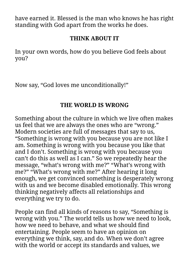have earned it. Blessed is the man who knows he has right standing with God apart from the works he does.

### **THINK ABOUT IT**

In your own words, how do you believe God feels about you?

Now say, "God loves me unconditionally!"

### **THE WORLD IS WRONG**

Something about the culture in which we live often makes us feel that we are always the ones who are "wrong." Modern societies are full of messages that say to us, "Something is wrong with you because you are not like I am. Something is wrong with you because you like that and I don't. Something is wrong with you because you can't do this as well as I can." So we repeatedly hear the message, "what's wrong with me?" "What's wrong with me?" "What's wrong with me?" After hearing it long enough, we get convinced something is desperately wrong with us and we become disabled emotionally. This wrong thinking negatively affects all relationships and everything we try to do.

People can find all kinds of reasons to say, "Something is wrong with you." The world tells us how we need to look, how we need to behave, and what we should find entertaining. People seem to have an opinion on everything we think, say, and do. When we don't agree with the world or accept its standards and values, we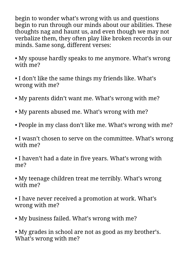begin to wonder what's wrong with us and questions begin to run through our minds about our abilities. These thoughts nag and haunt us, and even though we may not verbalize them, they often play like broken records in our minds. Same song, different verses:

• My spouse hardly speaks to me anymore. What's wrong with me?

• I don't like the same things my friends like. What's wrong with me?

- My parents didn't want me. What's wrong with me?
- My parents abused me. What's wrong with me?
- People in my class don't like me. What's wrong with me?

• I wasn't chosen to serve on the committee. What's wrong with me?

• I haven't had a date in five years. What's wrong with me?

• My teenage children treat me terribly. What's wrong with me?

• I have never received a promotion at work. What's wrong with me?

• My business failed. What's wrong with me?

• My grades in school are not as good as my brother's. What's wrong with me?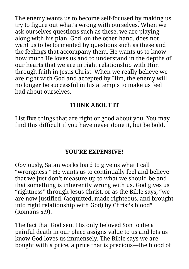The enemy wants us to become self-focused by making us try to figure out what's wrong with ourselves. When we ask ourselves questions such as these, we are playing along with his plan. God, on the other hand, does not want us to be tormented by questions such as these and the feelings that accompany them. He wants us to know how much He loves us and to understand in the depths of our hearts that we are in right relationship with Him through faith in Jesus Christ. When we really believe we are right with God and accepted by Him, the enemy will no longer be successful in his attempts to make us feel bad about ourselves.

### **THINK ABOUT IT**

List five things that are right or good about you. You may find this difficult if you have never done it, but be bold.

### **YOU'RE EXPENSIVE!**

Obviously, Satan works hard to give us what I call "wrongness." He wants us to continually feel and believe that we just don't measure up to what we should be and that something is inherently wrong with us. God gives us "rightness" through Jesus Christ, or as the Bible says, "we are now justified, (acquitted, made righteous, and brought into right relationship with God) by Christ's blood" (Romans 5:9).

The fact that God sent His only beloved Son to die a painful death in our place assigns value to us and lets us know God loves us immensely. The Bible says we are bought with a price, a price that is precious—the blood of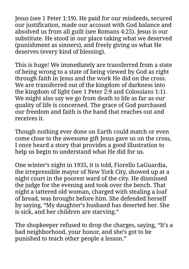Jesus (see 1 Peter 1:19). He paid for our misdeeds, secured our justification, made our account with God balance and absolved us from all guilt (see Romans 4:25). Jesus is our substitute. He stood in our place taking what we deserved (punishment as sinners), and freely giving us what He deserves (every kind of blessing).

This is huge! We immediately are transferred from a state of being wrong to a state of being viewed by God as right through faith in Jesus and the work He did on the cross. We are transferred out of the kingdom of darkness into the kingdom of light (see 1 Peter 2:9 and Colossians 1:1). We might also say we go from death to life as far as our quality of life is concerned. The grace of God purchased our freedom and faith is the hand that reaches out and receives it.

Though nothing ever done on Earth could match or even come close to the awesome gift Jesus gave us on the cross, I once heard a story that provides a good illustration to help us begin to understand what He did for us.

One winter's night in 1935, it is told, Fiorello LaGuardia, the irrepressible mayor of New York City, showed up at a night court in the poorest ward of the city. He dismissed the judge for the evening and took over the bench. That night a tattered old woman, charged with stealing a loaf of bread, was brought before him. She defended herself by saying, "My daughter's husband has deserted her. She is sick, and her children are starving."

The shopkeeper refused to drop the charges, saying, "It's a bad neighborhood, your honor, and she's got to be punished to teach other people a lesson."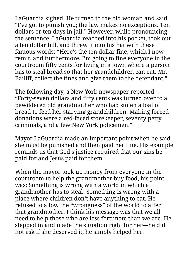LaGuardia sighed. He turned to the old woman and said, "I've got to punish you; the law makes no exceptions. Ten dollars or ten days in jail." However, while pronouncing the sentence, LaGuardia reached into his pocket, took out a ten dollar bill, and threw it into his hat with these famous words: "Here's the ten dollar fine, which I now remit, and furthermore, I'm going to fine everyone in the courtroom fifty cents for living in a town where a person has to steal bread so that her grandchildren can eat. Mr. Bailiff, collect the fines and give them to the defendant."

The following day, a New York newspaper reported: "Forty-seven dollars and fifty cents was turned over to a bewildered old grandmother who had stolen a loaf of bread to feed her starving grandchildren. Making forced donations were a red-faced storekeeper, seventy petty criminals, and a few New York policemen."

Mayor LaGuardia made an important point when he said she must be punished and then paid her fine. His example reminds us that God's justice required that our sins be paid for and Jesus paid for them.

When the mayor took up money from everyone in the courtroom to help the grandmother buy food, his point was: Something is wrong with a world in which a grandmother has to steal! Something is wrong with a place where children don't have anything to eat. He refused to allow the "wrongness" of the world to affect that grandmother. I think his message was that we all need to help those who are less fortunate than we are. He stepped in and made the situation right for her—he did not ask if she deserved it; he simply helped her.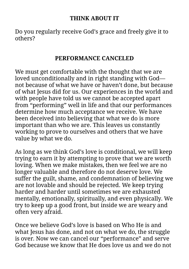### **THINK ABOUT IT**

Do you regularly receive God's grace and freely give it to others?

### **PERFORMANCE CANCELED**

We must get comfortable with the thought that we are loved unconditionally and in right standing with God not because of what we have or haven't done, but because of what Jesus did for us. Our experiences in the world and with people have told us we cannot be accepted apart from "performing" well in life and that our performances determine how much acceptance we receive. We have been deceived into believing that what we do is more important than who we are. This leaves us constantly working to prove to ourselves and others that we have value by what we do.

As long as we think God's love is conditional, we will keep trying to earn it by attempting to prove that we are worth loving. When we make mistakes, then we feel we are no longer valuable and therefore do not deserve love. We suffer the guilt, shame, and condemnation of believing we are not lovable and should be rejected. We keep trying harder and harder until sometimes we are exhausted mentally, emotionally, spiritually, and even physically. We try to keep up a good front, but inside we are weary and often very afraid.

Once we believe God's love is based on Who He is and what Jesus has done, and not on what we do, the struggle is over. Now we can cancel our "performance" and serve God because we know that He does love us and we do not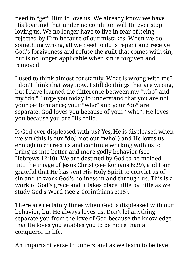need to "get" Him to love us. We already know we have His love and that under no condition will He ever stop loving us. We no longer have to live in fear of being rejected by Him because of our mistakes. When we do something wrong, all we need to do is repent and receive God's forgiveness and refuse the guilt that comes with sin, but is no longer applicable when sin is forgiven and removed.

I used to think almost constantly, What is wrong with me? I don't think that way now. I still do things that are wrong, but I have learned the difference between my "who" and my "do." I urge you today to understand that you are not your performance; your "who" and your "do" are separate. God loves you because of your "who"! He loves you because you are His child.

Is God ever displeased with us? Yes, He is displeased when we sin (this is our "do," not our "who") and He loves us enough to correct us and continue working with us to bring us into better and more godly behavior (see Hebrews 12:10). We are destined by God to be molded into the image of Jesus Christ (see Romans 8:29), and I am grateful that He has sent His Holy Spirit to convict us of sin and to work God's holiness in and through us. This is a work of God's grace and it takes place little by little as we study God's Word (see 2 Corinthians 3:18).

There are certainly times when God is displeased with our behavior, but He always loves us. Don't let anything separate you from the love of God because the knowledge that He loves you enables you to be more than a conqueror in life.

An important verse to understand as we learn to believe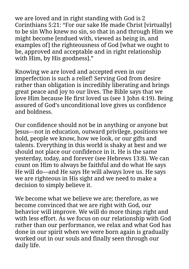we are loved and in right standing with God is 2 Corinthians 5:21: "For our sake He made Christ [virtually] to be sin Who knew no sin, so that in and through Him we might become [endued with, viewed as being in, and examples of] the righteousness of God [what we ought to be, approved and acceptable and in right relationship with Him, by His goodness]."

Knowing we are loved and accepted even in our imperfection is such a relief! Serving God from desire rather than obligation is incredibly liberating and brings great peace and joy to our lives. The Bible says that we love Him because He first loved us (see 1 John 4:19). Being assured of God's unconditional love gives us confidence and boldness.

Our confidence should not be in anything or anyone but Jesus—not in education, outward privilege, positions we hold, people we know, how we look, or our gifts and talents. Everything in this world is shaky at best and we should not place our confidence in it. He is the same yesterday, today, and forever (see Hebrews 13:8). We can count on Him to always be faithful and do what He says He will do—and He says He will always love us. He says we are righteous in His sight and we need to make a decision to simply believe it.

We become what we believe we are; therefore, as we become convinced that we are right with God, our behavior will improve. We will do more things right and with less effort. As we focus on our relationship with God rather than our performance, we relax and what God has done in our spirit when we were born again is gradually worked out in our souls and finally seen through our daily life.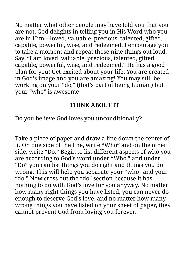No matter what other people may have told you that you are not, God delights in telling you in His Word who you are in Him—loved, valuable, precious, talented, gifted, capable, powerful, wise, and redeemed. I encourage you to take a moment and repeat those nine things out loud. Say, "I am loved, valuable, precious, talented, gifted, capable, powerful, wise, and redeemed." He has a good plan for you! Get excited about your life. You are created in God's image and you are amazing! You may still be working on your "do," (that's part of being human) but your "who" is awesome!

### **THINK ABOUT IT**

Do you believe God loves you unconditionally?

Take a piece of paper and draw a line down the center of it. On one side of the line, write "Who" and on the other side, write "Do." Begin to list different aspects of who you are according to God's word under "Who," and under "Do" you can list things you do right and things you do wrong. This will help you separate your "who" and your "do." Now cross out the "do" section because it has nothing to do with God's love for you anyway. No matter how many right things you have listed, you can never do enough to deserve God's love, and no matter how many wrong things you have listed on your sheet of paper, they cannot prevent God from loving you forever.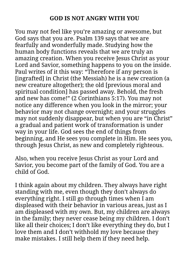### **GOD IS NOT ANGRY WITH YOU**

You may not feel like you're amazing or awesome, but God says that you are. Psalm 139 says that we are fearfully and wonderfully made. Studying how the human body functions reveals that we are truly an amazing creation. When you receive Jesus Christ as your Lord and Savior, something happens to you on the inside. Paul writes of it this way: "Therefore if any person is [ingrafted] in Christ (the Messiah) he is a new creation (a new creature altogether); the old [previous moral and spiritual condition] has passed away. Behold, the fresh and new has come!" (2 Corinthians 5:17). You may not notice any difference when you look in the mirror; your behavior may not change overnight; and your struggles may not suddenly disappear, but when you are "in Christ" a gradual and patient work of transformation is under way in your life. God sees the end of things from beginning, and He sees you complete in Him. He sees you, through Jesus Christ, as new and completely righteous.

Also, when you receive Jesus Christ as your Lord and Savior, you become part of the family of God. You are a child of God.

I think again about my children. They always have right standing with me, even though they don't always do everything right. I still go through times when I am displeased with their behavior in various areas, just as I am displeased with my own. But, my children are always in the family; they never cease being my children. I don't like all their choices; I don't like everything they do, but I love them and I don't withhold my love because they make mistakes. I still help them if they need help.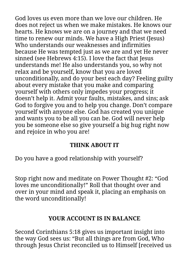God loves us even more than we love our children. He does not reject us when we make mistakes. He knows our hearts. He knows we are on a journey and that we need time to renew our minds. We have a High Priest (Jesus) Who understands our weaknesses and infirmities because He was tempted just as we are and yet He never sinned (see Hebrews 4:15). I love the fact that Jesus understands me! He also understands you, so why not relax and be yourself, know that you are loved unconditionally, and do your best each day? Feeling guilty about every mistake that you make and comparing yourself with others only impedes your progress; it doesn't help it. Admit your faults, mistakes, and sins; ask God to forgive you and to help you change. Don't compare yourself with anyone else. God has created you unique and wants you to be all you can be. God will never help you be someone else so give yourself a big hug right now and rejoice in who you are!

### **THINK ABOUT IT**

Do you have a good relationship with yourself?

Stop right now and meditate on Power Thought #2: "God loves me unconditionally!" Roll that thought over and over in your mind and speak it, placing an emphasis on the word unconditionally!

### **YOUR ACCOUNT IS IN BALANCE**

Second Corinthians 5:18 gives us important insight into the way God sees us: "But all things are from God, Who through Jesus Christ reconciled us to Himself [received us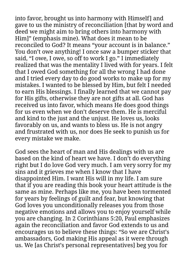into favor, brought us into harmony with Himself] and gave to us the ministry of reconciliation [that by word and deed we might aim to bring others into harmony with Him]" (emphasis mine). What does it mean to be reconciled to God? It means "your account is in balance." You don't owe anything! I once saw a bumper sticker that said, "I owe, I owe, so off to work I go." I immediately realized that was the mentality I lived with for years. I felt that I owed God something for all the wrong I had done and I tried every day to do good works to make up for my mistakes. I wanted to be blessed by Him, but felt I needed to earn His blessings. I finally learned that we cannot pay for His gifts, otherwise they are not gifts at all. God has received us into favor, which means He does good things for us even when we don't deserve them. He is merciful and kind to the just and the unjust. He loves us, looks favorably on us, and wants to bless us. He is not angry and frustrated with us, nor does He seek to punish us for every mistake we make.

God sees the heart of man and His dealings with us are based on the kind of heart we have. I don't do everything right but I do love God very much. I am very sorry for my sins and it grieves me when I know that I have disappointed Him. I want His will in my life. I am sure that if you are reading this book your heart attitude is the same as mine. Perhaps like me, you have been tormented for years by feelings of guilt and fear, but knowing that God loves you unconditionally releases you from those negative emotions and allows you to enjoy yourself while you are changing. In 2 Corinthians 5:20, Paul emphasizes again the reconciliation and favor God extends to us and encourages us to believe these things: "So we are Christ's ambassadors, God making His appeal as it were through us. We [as Christ's personal representatives] beg you for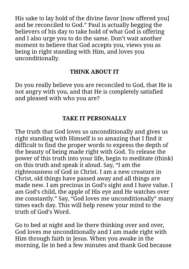His sake to lay hold of the divine favor [now offered you] and be reconciled to God." Paul is actually begging the believers of his day to take hold of what God is offering and I also urge you to do the same. Don't wait another moment to believe that God accepts you, views you as being in right standing with Him, and loves you unconditionally.

### **THINK ABOUT IT**

Do you really believe you are reconciled to God, that He is not angry with you, and that He is completely satisfied and pleased with who you are?

### **TAKE IT PERSONALLY**

The truth that God loves us unconditionally and gives us right standing with Himself is so amazing that I find it difficult to find the proper words to express the depth of the beauty of being made right with God. To release the power of this truth into your life, begin to meditate (think) on this truth and speak it aloud. Say, "I am the righteousness of God in Christ. I am a new creature in Christ, old things have passed away and all things are made new. I am precious in God's sight and I have value. I am God's child, the apple of His eye and He watches over me constantly." Say, "God loves me unconditionally" many times each day. This will help renew your mind to the truth of God's Word.

Go to bed at night and lie there thinking over and over, God loves me unconditionally and I am made right with Him through faith in Jesus. When you awake in the morning, lie in bed a few minutes and thank God because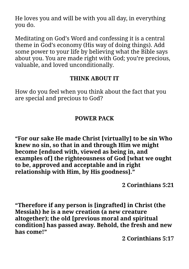He loves you and will be with you all day, in everything you do.

Meditating on God's Word and confessing it is a central theme in God's economy (His way of doing things). Add some power to your life by believing what the Bible says about you. You are made right with God; you're precious, valuable, and loved unconditionally.

### **THINK ABOUT IT**

How do you feel when you think about the fact that you are special and precious to God?

### **POWER PACK**

**"For our sake He made Christ [virtually] to be sin Who knew no sin, so that in and through Him we might become [endued with, viewed as being in, and examples of] the righteousness of God [what we ought to be, approved and acceptable and in right relationship with Him, by His goodness]."**

**2 Corinthians 5:21**

**"Therefore if any person is [ingrafted] in Christ (the Messiah) he is a new creation (a new creature altogether); the old [previous moral and spiritual condition] has passed away. Behold, the fresh and new has come!"**

**2 Corinthians 5:17**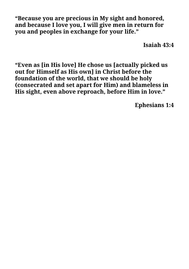**"Because you are precious in My sight and honored, and because I love you, I will give men in return for you and peoples in exchange for your life."**

**Isaiah 43:4**

**"Even as [in His love] He chose us [actually picked us out for Himself as His own] in Christ before the foundation of the world, that we should be holy (consecrated and set apart for Him) and blameless in His sight, even above reproach, before Him in love."**

**Ephesians 1:4**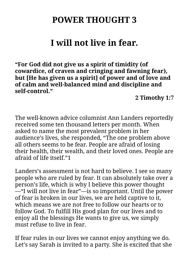## **POWER THOUGHT 3**

# **I will not live in fear.**

**"For God did not give us a spirit of timidity (of cowardice, of craven and cringing and fawning fear), but [He has given us a spirit] of power and of love and of calm and well-balanced mind and discipline and self-control."**

**2 Timothy 1:7**

The well-known advice columnist Ann Landers reportedly received some ten thousand letters per month. When asked to name the most prevalent problem in her audience's lives, she responded, "The one problem above all others seems to be fear. People are afraid of losing their health, their wealth, and their loved ones. People are afraid of life itself."1

Landers's assessment is not hard to believe. I see so many people who are ruled by fear. It can absolutely take over a person's life, which is why I believe this power thought —"I will not live in fear"—is so important. Until the power of fear is broken in our lives, we are held captive to it, which means we are not free to follow our hearts or to follow God. To fulfill His good plan for our lives and to enjoy all the blessings He wants to give us, we simply must refuse to live in fear.

If fear rules in our lives we cannot enjoy anything we do. Let's say Sarah is invited to a party. She is excited that she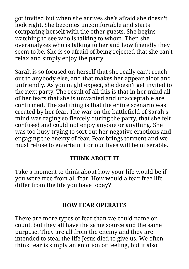got invited but when she arrives she's afraid she doesn't look right. She becomes uncomfortable and starts comparing herself with the other guests. She begins watching to see who is talking to whom. Then she overanalyzes who is talking to her and how friendly they seem to be. She is so afraid of being rejected that she can't relax and simply enjoy the party.

Sarah is so focused on herself that she really can't reach out to anybody else, and that makes her appear aloof and unfriendly. As you might expect, she doesn't get invited to the next party. The result of all this is that in her mind all of her fears that she is unwanted and unacceptable are confirmed. The sad thing is that the entire scenario was created by her fear. The war on the battlefield of Sarah's mind was raging so fiercely during the party, that she felt confused and could not enjoy anyone or anything. She was too busy trying to sort out her negative emotions and engaging the enemy of fear. Fear brings torment and we must refuse to entertain it or our lives will be miserable.

### **THINK ABOUT IT**

Take a moment to think about how your life would be if you were free from all fear. How would a fear-free life differ from the life you have today?

### **HOW FEAR OPERATES**

There are more types of fear than we could name or count, but they all have the same source and the same purpose. They are all from the enemy and they are intended to steal the life Jesus died to give us. We often think fear is simply an emotion or feeling, but it also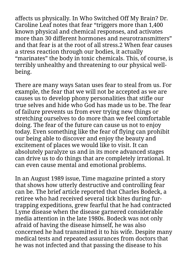affects us physically. In Who Switched Off My Brain? Dr. Caroline Leaf notes that fear "triggers more than 1,400 known physical and chemical responses, and activates more than 30 different hormones and neurotransmitters" and that fear is at the root of all stress.2 When fear causes a stress reaction through our bodies, it actually "marinates" the body in toxic chemicals. This, of course, is terribly unhealthy and threatening to our physical wellbeing.

There are many ways Satan uses fear to steal from us. For example, the fear that we will not be accepted as we are causes us to develop phony personalities that stifle our true selves and hide who God has made us to be. The fear of failure prevents us from ever trying new things or stretching ourselves to do more than we feel comfortable doing. The fear of the future can cause us not to enjoy today. Even something like the fear of flying can prohibit our being able to discover and enjoy the beauty and excitement of places we would like to visit. It can absolutely paralyze us and in its more advanced stages can drive us to do things that are completely irrational. It can even cause mental and emotional problems.

In an August 1989 issue, Time magazine printed a story that shows how utterly destructive and controlling fear can be. The brief article reported that Charles Bodeck, a retiree who had received several tick bites during furtrapping expeditions, grew fearful that he had contracted Lyme disease when the disease garnered considerable media attention in the late 1980s. Bodeck was not only afraid of having the disease himself, he was also concerned he had transmitted it to his wife. Despite many medical tests and repeated assurances from doctors that he was not infected and that passing the disease to his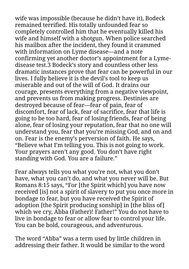wife was impossible (because he didn't have it), Bodeck remained terrified. His totally unfounded fear so completely controlled him that he eventually killed his wife and himself with a shotgun. When police searched his mailbox after the incident, they found it crammed with information on Lyme disease—and a note confirming yet another doctor's appointment for a Lymedisease test.3 Bodeck's story and countless other less dramatic instances prove that fear can be powerful in our lives. I fully believe it is the devil's tool to keep us miserable and out of the will of God. It drains our courage, presents everything from a negative viewpoint, and prevents us from making progress. Destinies are destroyed because of fear—fear of pain, fear of discomfort, fear of lack, fear of sacrifice, fear that life is going to be too hard, fear of losing friends, fear of being alone, fear of losing your reputation, fear that no one will understand you, fear that you're missing God, and on and on. Fear is the enemy's perversion of faith. He says, "Believe what I'm telling you. This is not going to work. Your prayers aren't any good. You don't have right standing with God. You are a failure."

Fear always tells you what you're not, what you don't have, what you can't do, and what you never will be. But Romans 8:15 says, "For [the Spirit which] you have now received [is] not a spirit of slavery to put you once more in bondage to fear, but you have received the Spirit of adoption [the Spirit producing sonship] in [the bliss of] which we cry, Abba (Father)! Father!" You do not have to live in bondage to fear or allow fear to control your life. You can be bold, courageous, and adventurous.

The word "Abba" was a term used by little children in addressing their father. It would be similar to the word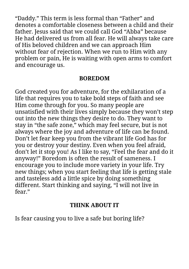"Daddy." This term is less formal than "Father" and denotes a comfortable closeness between a child and their father. Jesus said that we could call God "Abba" because He had delivered us from all fear. He will always take care of His beloved children and we can approach Him without fear of rejection. When we run to Him with any problem or pain, He is waiting with open arms to comfort and encourage us.

### **BOREDOM**

God created you for adventure, for the exhilaration of a life that requires you to take bold steps of faith and see Him come through for you. So many people are unsatisfied with their lives simply because they won't step out into the new things they desire to do. They want to stay in "the safe zone," which may feel secure, but is not always where the joy and adventure of life can be found. Don't let fear keep you from the vibrant life God has for you or destroy your destiny. Even when you feel afraid, don't let it stop you! As I like to say, "Feel the fear and do it anyway!" Boredom is often the result of sameness. I encourage you to include more variety in your life. Try new things; when you start feeling that life is getting stale and tasteless add a little spice by doing something different. Start thinking and saying, "I will not live in fear."

### **THINK ABOUT IT**

Is fear causing you to live a safe but boring life?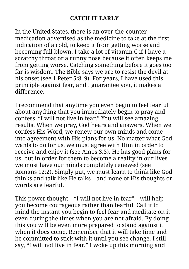### **CATCH IT EARLY**

In the United States, there is an over-the-counter medication advertised as the medicine to take at the first indication of a cold, to keep it from getting worse and becoming full-blown. I take a lot of vitamin C if I have a scratchy throat or a runny nose because it often keeps me from getting worse. Catching something before it goes too far is wisdom. The Bible says we are to resist the devil at his onset (see 1 Peter 5:8, 9). For years, I have used this principle against fear, and I guarantee you, it makes a difference.

I recommend that anytime you even begin to feel fearful about anything that you immediately begin to pray and confess, "I will not live in fear." You will see amazing results. When we pray, God hears and answers. When we confess His Word, we renew our own minds and come into agreement with His plans for us. No matter what God wants to do for us, we must agree with Him in order to receive and enjoy it (see Amos 3:3). He has good plans for us, but in order for them to become a reality in our lives we must have our minds completely renewed (see Romans 12:2). Simply put, we must learn to think like God thinks and talk like He talks—and none of His thoughts or words are fearful.

This power thought—"I will not live in fear"—will help you become courageous rather than fearful. Call it to mind the instant you begin to feel fear and meditate on it even during the times when you are not afraid. By doing this you will be even more prepared to stand against it when it does come. Remember that it will take time and be committed to stick with it until you see change. I still say, "I will not live in fear." I woke up this morning and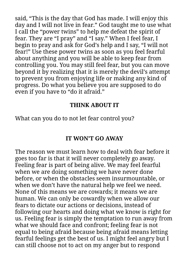said, "This is the day that God has made. I will enjoy this day and I will not live in fear." God taught me to use what I call the "power twins" to help me defeat the spirit of fear. They are "I pray" and "I say." When I feel fear, I begin to pray and ask for God's help and I say, "I will not fear!" Use these power twins as soon as you feel fearful about anything and you will be able to keep fear from controlling you. You may still feel fear, but you can move beyond it by realizing that it is merely the devil's attempt to prevent you from enjoying life or making any kind of progress. Do what you believe you are supposed to do even if you have to "do it afraid."

### **THINK ABOUT IT**

What can you do to not let fear control you?

### **IT WON'T GO AWAY**

The reason we must learn how to deal with fear before it goes too far is that it will never completely go away. Feeling fear is part of being alive. We may feel fearful when we are doing something we have never done before, or when the obstacles seem insurmountable, or when we don't have the natural help we feel we need. None of this means we are cowards; it means we are human. We can only be cowardly when we allow our fears to dictate our actions or decisions, instead of following our hearts and doing what we know is right for us. Feeling fear is simply the temptation to run away from what we should face and confront; feeling fear is not equal to being afraid because being afraid means letting fearful feelings get the best of us. I might feel angry but I can still choose not to act on my anger but to respond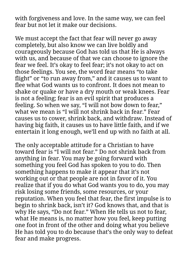with forgiveness and love. In the same way, we can feel fear but not let it make our decisions.

We must accept the fact that fear will never go away completely, but also know we can live boldly and courageously because God has told us that He is always with us, and because of that we can choose to ignore the fear we feel. It's okay to feel fear; it's not okay to act on those feelings. You see, the word fear means "to take flight" or "to run away from," and it causes us to want to flee what God wants us to confront. It does not mean to shake or quake or have a dry mouth or weak knees. Fear is not a feeling; fear is an evil spirit that produces a feeling. So when we say, "I will not bow down to fear," what we mean is "I will not shrink back in fear." Fear causes us to cower, shrink back, and withdraw. Instead of having big faith, it causes us to have little faith, and if we entertain it long enough, we'll end up with no faith at all.

The only acceptable attitude for a Christian to have toward fear is "I will not fear." Do not shrink back from anything in fear. You may be going forward with something you feel God has spoken to you to do. Then something happens to make it appear that it's not working out or that people are not in favor of it. You realize that if you do what God wants you to do, you may risk losing some friends, some resources, or your reputation. When you feel that fear, the first impulse is to begin to shrink back, isn't it? God knows that, and that is why He says, "Do not fear." When He tells us not to fear, what He means is, no matter how you feel, keep putting one foot in front of the other and doing what you believe He has told you to do because that's the only way to defeat fear and make progress.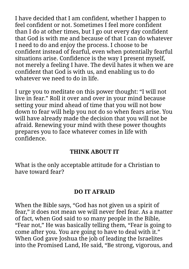I have decided that I am confident, whether I happen to feel confident or not. Sometimes I feel more confident than I do at other times, but I go out every day confident that God is with me and because of that I can do whatever I need to do and enjoy the process. I choose to be confident instead of fearful, even when potentially fearful situations arise. Confidence is the way I present myself, not merely a feeling I have. The devil hates it when we are confident that God is with us, and enabling us to do whatever we need to do in life.

I urge you to meditate on this power thought: "I will not live in fear." Roll it over and over in your mind because setting your mind ahead of time that you will not bow down to fear will help you not do so when fears arise. You will have already made the decision that you will not be afraid. Renewing your mind with these power thoughts prepares you to face whatever comes in life with confidence.

#### **THINK ABOUT IT**

What is the only acceptable attitude for a Christian to have toward fear?

### **DO IT AFRAID**

When the Bible says, "God has not given us a spirit of fear," it does not mean we will never feel fear. As a matter of fact, when God said to so many people in the Bible, "Fear not," He was basically telling them, "Fear is going to come after you. You are going to have to deal with it." When God gave Joshua the job of leading the Israelites into the Promised Land, He said, "Be strong, vigorous, and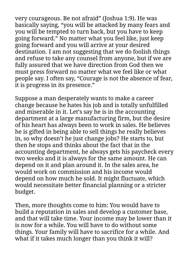very courageous. Be not afraid" (Joshua 1:9). He was basically saying, "you will be attacked by many fears and you will be tempted to turn back, but you have to keep going forward." No matter what you feel like, just keep going forward and you will arrive at your desired destination. I am not suggesting that we do foolish things and refuse to take any counsel from anyone, but if we are fully assured that we have direction from God then we must press forward no matter what we feel like or what people say. I often say, "Courage is not the absence of fear, it is progress in its presence."

Suppose a man desperately wants to make a career change because he hates his job and is totally unfulfilled and miserable in it. Let's say he is in the accounting department at a large manufacturing firm, but the desire of his heart has always been to work in sales. He believes he is gifted in being able to sell things he really believes in, so why doesn't he just change jobs? He starts to, but then he stops and thinks about the fact that in the accounting department, he always gets his paycheck every two weeks and it is always for the same amount. He can depend on it and plan around it. In the sales area, he would work on commission and his income would depend on how much he sold. It might fluctuate, which would necessitate better financial planning or a stricter budget.

Then, more thoughts come to him: You would have to build a reputation in sales and develop a customer base, and that will take time. Your income may be lower than it is now for a while. You will have to do without some things. Your family will have to sacrifice for a while. And what if it takes much longer than you think it will?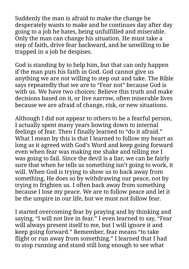Suddenly the man is afraid to make the change he desperately wants to make and he continues day after day going to a job he hates, being unfulfilled and miserable. Only the man can change his situation. He must take a step of faith, drive fear backward, and be unwilling to be trapped in a job he despises.

God is standing by to help him, but that can only happen if the man puts his faith in God. God cannot give us anything we are not willing to step out and take. The Bible says repeatedly that we are to "Fear not" because God is with us. We have two choices: Believe this truth and make decisions based on it, or live narrow, often miserable lives because we are afraid of change, risk, or new situations.

Although I did not appear to others to be a fearful person, I actually spent many years bowing down to internal feelings of fear. Then I finally learned to "do it afraid." What I mean by this is that I learned to follow my heart as long as it agreed with God's Word and keep going forward even when fear was making me shake and telling me I was going to fail. Since the devil is a liar, we can be fairly sure that when he tells us something isn't going to work, it will. When God is trying to show us to back away from something, He does so by withdrawing our peace, not by trying to frighten us. I often back away from something because I lose my peace. We are to follow peace and let it be the umpire in our life, but we must not follow fear.

I started overcoming fear by praying and by thinking and saying, "I will not live in fear." I even learned to say, "Fear will always present itself to me, but I will ignore it and keep going forward." Remember, fear means "to take flight or run away from something." I learned that I had to stop running and stand still long enough to see what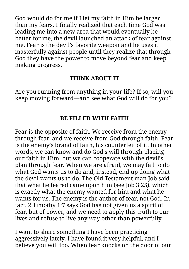God would do for me if I let my faith in Him be larger than my fears. I finally realized that each time God was leading me into a new area that would eventually be better for me, the devil launched an attack of fear against me. Fear is the devil's favorite weapon and he uses it masterfully against people until they realize that through God they have the power to move beyond fear and keep making progress.

### **THINK ABOUT IT**

Are you running from anything in your life? If so, will you keep moving forward—and see what God will do for you?

### **BE FILLED WITH FAITH**

Fear is the opposite of faith. We receive from the enemy through fear, and we receive from God through faith. Fear is the enemy's brand of faith, his counterfeit of it. In other words, we can know and do God's will through placing our faith in Him, but we can cooperate with the devil's plan through fear. When we are afraid, we may fail to do what God wants us to do and, instead, end up doing what the devil wants us to do. The Old Testament man Job said that what he feared came upon him (see Job 3:25), which is exactly what the enemy wanted for him and what he wants for us. The enemy is the author of fear, not God. In fact, 2 Timothy 1:7 says God has not given us a spirit of fear, but of power, and we need to apply this truth to our lives and refuse to live any way other than powerfully.

I want to share something I have been practicing aggressively lately. I have found it very helpful, and I believe you will too. When fear knocks on the door of our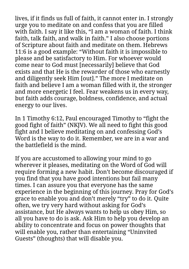lives, if it finds us full of faith, it cannot enter in. I strongly urge you to meditate on and confess that you are filled with faith. I say it like this, "I am a woman of faith. I think faith, talk faith, and walk in faith." I also choose portions of Scripture about faith and meditate on them. Hebrews 11:6 is a good example: "Without faith it is impossible to please and be satisfactory to Him. For whoever would come near to God must [necessarily] believe that God exists and that He is the rewarder of those who earnestly and diligently seek Him [out]." The more I meditate on faith and believe I am a woman filled with it, the stronger and more energetic I feel. Fear weakens us in every way, but faith adds courage, boldness, confidence, and actual energy to our lives.

In 1 Timothy 6:12, Paul encouraged Timothy to "fight the good fight of faith" (NKJV). We all need to fight this good fight and I believe meditating on and confessing God's Word is the way to do it. Remember, we are in a war and the battlefield is the mind.

If you are accustomed to allowing your mind to go wherever it pleases, meditating on the Word of God will require forming a new habit. Don't become discouraged if you find that you have good intentions but fail many times. I can assure you that everyone has the same experience in the beginning of this journey. Pray for God's grace to enable you and don't merely "try" to do it. Quite often, we try very hard without asking for God's assistance, but He always wants to help us obey Him, so all you have to do is ask. Ask Him to help you develop an ability to concentrate and focus on power thoughts that will enable you, rather than entertaining "Uninvited Guests" (thoughts) that will disable you.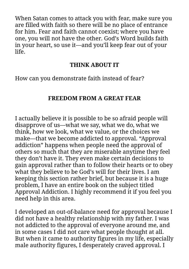When Satan comes to attack you with fear, make sure you are filled with faith so there will be no place of entrance for him. Fear and faith cannot coexist; where you have one, you will not have the other. God's Word builds faith in your heart, so use it—and you'll keep fear out of your life.

### **THINK ABOUT IT**

How can you demonstrate faith instead of fear?

### **FREEDOM FROM A GREAT FEAR**

I actually believe it is possible to be so afraid people will disapprove of us—what we say, what we do, what we think, how we look, what we value, or the choices we make—that we become addicted to approval. "Approval addiction" happens when people need the approval of others so much that they are miserable anytime they feel they don't have it. They even make certain decisions to gain approval rather than to follow their hearts or to obey what they believe to be God's will for their lives. I am keeping this section rather brief, but because it is a huge problem, I have an entire book on the subject titled Approval Addiction. I highly recommend it if you feel you need help in this area.

I developed an out-of-balance need for approval because I did not have a healthy relationship with my father. I was not addicted to the approval of everyone around me, and in some cases I did not care what people thought at all. But when it came to authority figures in my life, especially male authority figures, I desperately craved approval. I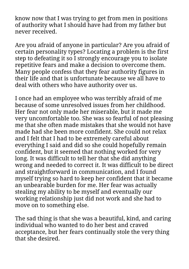know now that I was trying to get from men in positions of authority what I should have had from my father but never received.

Are you afraid of anyone in particular? Are you afraid of certain personality types? Locating a problem is the first step to defeating it so I strongly encourage you to isolate repetitive fears and make a decision to overcome them. Many people confess that they fear authority figures in their life and that is unfortunate because we all have to deal with others who have authority over us.

I once had an employee who was terribly afraid of me because of some unresolved issues from her childhood. Her fear not only made her miserable, but it made me very uncomfortable too. She was so fearful of not pleasing me that she often made mistakes that she would not have made had she been more confident. She could not relax and I felt that I had to be extremely careful about everything I said and did so she could hopefully remain confident, but it seemed that nothing worked for very long. It was difficult to tell her that she did anything wrong and needed to correct it. It was difficult to be direct and straightforward in communication, and I found myself trying so hard to keep her confident that it became an unbearable burden for me. Her fear was actually stealing my ability to be myself and eventually our working relationship just did not work and she had to move on to something else.

The sad thing is that she was a beautiful, kind, and caring individual who wanted to do her best and craved acceptance, but her fears continually stole the very thing that she desired.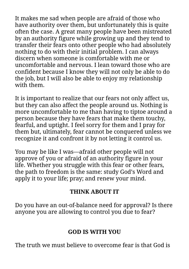It makes me sad when people are afraid of those who have authority over them, but unfortunately this is quite often the case. A great many people have been mistreated by an authority figure while growing up and they tend to transfer their fears onto other people who had absolutely nothing to do with their initial problem. I can always discern when someone is comfortable with me or uncomfortable and nervous. I lean toward those who are confident because I know they will not only be able to do the job, but I will also be able to enjoy my relationship with them.

It is important to realize that our fears not only affect us, but they can also affect the people around us. Nothing is more uncomfortable to me than having to tiptoe around a person because they have fears that make them touchy, fearful, and uptight. I feel sorry for them and I pray for them but, ultimately, fear cannot be conquered unless we recognize it and confront it by not letting it control us.

You may be like I was—afraid other people will not approve of you or afraid of an authority figure in your life. Whether you struggle with this fear or other fears, the path to freedom is the same: study God's Word and apply it to your life; pray; and renew your mind.

### **THINK ABOUT IT**

Do you have an out-of-balance need for approval? Is there anyone you are allowing to control you due to fear?

### **GOD IS WITH YOU**

The truth we must believe to overcome fear is that God is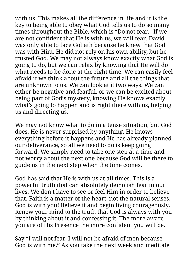with us. This makes all the difference in life and it is the key to being able to obey what God tells us to do so many times throughout the Bible, which is "Do not fear." If we are not confident that He is with us, we will fear. David was only able to face Goliath because he knew that God was with Him. He did not rely on his own ability, but he trusted God. We may not always know exactly what God is going to do, but we can relax by knowing that He will do what needs to be done at the right time. We can easily feel afraid if we think about the future and all the things that are unknown to us. We can look at it two ways. We can either be negative and fearful, or we can be excited about being part of God's mystery, knowing He knows exactly what's going to happen and is right there with us, helping us and directing us.

We may not know what to do in a tense situation, but God does. He is never surprised by anything. He knows everything before it happens and He has already planned our deliverance, so all we need to do is keep going forward. We simply need to take one step at a time and not worry about the next one because God will be there to guide us in the next step when the time comes.

God has said that He is with us at all times. This is a powerful truth that can absolutely demolish fear in our lives. We don't have to see or feel Him in order to believe that. Faith is a matter of the heart, not the natural senses. God is with you! Believe it and begin living courageously. Renew your mind to the truth that God is always with you by thinking about it and confessing it. The more aware you are of His Presence the more confident you will be.

Say "I will not fear. I will not be afraid of men because God is with me." As you take the next week and meditate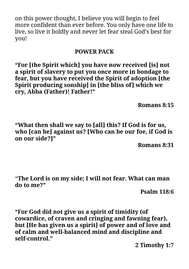on this power thought, I believe you will begin to feel more confident than ever before. You only have one life to live, so live it boldly and never let fear steal God's best for you!

#### **POWER PACK**

**"For [the Spirit which] you have now received [is] not a spirit of slavery to put you once more in bondage to fear, but you have received the Spirit of adoption [the Spirit producing sonship] in [the bliss of] which we cry, Abba (Father)! Father!"**

**Romans 8:15**

**"What then shall we say to [all] this? If God is for us, who [can be] against us? [Who can be our foe, if God is on our side?]"**

**Romans 8:31**

"**The Lord is on my side; I will not fear. What can man do to me?"**

**Psalm 118:6**

**"For God did not give us a spirit of timidity (of cowardice, of craven and cringing and fawning fear), but [He has given us a spirit] of power and of love and of calm and well-balanced mind and discipline and self-control."**

**2 Timothy 1:7**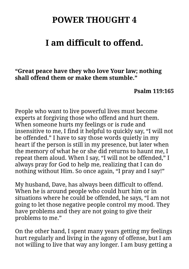## **POWER THOUGHT 4**

# **I am difficult to offend.**

**"Great peace have they who love Your law; nothing shall offend them or make them stumble."**

#### **Psalm 119:165**

People who want to live powerful lives must become experts at forgiving those who offend and hurt them. When someone hurts my feelings or is rude and insensitive to me, I find it helpful to quickly say, "I will not be offended." I have to say those words quietly in my heart if the person is still in my presence, but later when the memory of what he or she did returns to haunt me, I repeat them aloud. When I say, "I will not be offended," I always pray for God to help me, realizing that I can do nothing without Him. So once again, "I pray and I say!"

My husband, Dave, has always been difficult to offend. When he is around people who could hurt him or in situations where he could be offended, he says, "I am not going to let those negative people control my mood. They have problems and they are not going to give their problems to me."

On the other hand, I spent many years getting my feelings hurt regularly and living in the agony of offense, but I am not willing to live that way any longer. I am busy getting a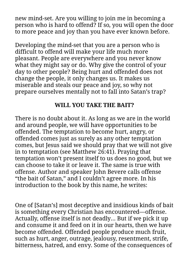new mind-set. Are you willing to join me in becoming a person who is hard to offend? If so, you will open the door to more peace and joy than you have ever known before.

Developing the mind-set that you are a person who is difficult to offend will make your life much more pleasant. People are everywhere and you never know what they might say or do. Why give the control of your day to other people? Being hurt and offended does not change the people, it only changes us. It makes us miserable and steals our peace and joy, so why not prepare ourselves mentally not to fall into Satan's trap?

## **WILL YOU TAKE THE BAIT?**

There is no doubt about it. As long as we are in the world and around people, we will have opportunities to be offended. The temptation to become hurt, angry, or offended comes just as surely as any other temptation comes, but Jesus said we should pray that we will not give in to temptation (see Matthew 26:41). Praying that temptation won't present itself to us does no good, but we can choose to take it or leave it. The same is true with offense. Author and speaker John Bevere calls offense "the bait of Satan," and I couldn't agree more. In his introduction to the book by this name, he writes:

One of [Satan's] most deceptive and insidious kinds of bait is something every Christian has encountered—offense. Actually, offense itself is not deadly… But if we pick it up and consume it and feed on it in our hearts, then we have become offended. Offended people produce much fruit, such as hurt, anger, outrage, jealousy, resentment, strife, bitterness, hatred, and envy. Some of the consequences of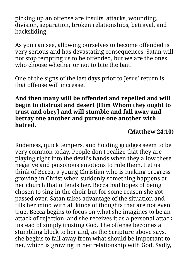picking up an offense are insults, attacks, wounding, division, separation, broken relationships, betrayal, and backsliding.

As you can see, allowing ourselves to become offended is very serious and has devastating consequences. Satan will not stop tempting us to be offended, but we are the ones who choose whether or not to bite the bait.

One of the signs of the last days prior to Jesus' return is that offense will increase.

### **And then many will be offended and repelled and will begin to distrust and desert [Him Whom they ought to trust and obey] and will stumble and fall away and betray one another and pursue one another with hatred.**

## **(Matthew 24:10)**

Rudeness, quick tempers, and holding grudges seem to be very common today. People don't realize that they are playing right into the devil's hands when they allow these negative and poisonous emotions to rule them. Let us think of Becca, a young Christian who is making progress growing in Christ when suddenly something happens at her church that offends her. Becca had hopes of being chosen to sing in the choir but for some reason she got passed over. Satan takes advantage of the situation and fills her mind with all kinds of thoughts that are not even true. Becca begins to focus on what she imagines to be an attack of rejection, and she receives it as a personal attack instead of simply trusting God. The offense becomes a stumbling block to her and, as the Scripture above says, she begins to fall away from what should be important to her, which is growing in her relationship with God. Sadly,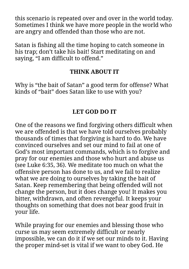this scenario is repeated over and over in the world today. Sometimes I think we have more people in the world who are angry and offended than those who are not.

Satan is fishing all the time hoping to catch someone in his trap; don't take his bait! Start meditating on and saying, "I am difficult to offend."

## **THINK ABOUT IT**

Why is "the bait of Satan" a good term for offense? What kinds of "bait" does Satan like to use with you?

## **LET GOD DO IT**

One of the reasons we find forgiving others difficult when we are offended is that we have told ourselves probably thousands of times that forgiving is hard to do. We have convinced ourselves and set our mind to fail at one of God's most important commands, which is to forgive and pray for our enemies and those who hurt and abuse us (see Luke 6:35, 36). We meditate too much on what the offensive person has done to us, and we fail to realize what we are doing to ourselves by taking the bait of Satan. Keep remembering that being offended will not change the person, but it does change you! It makes you bitter, withdrawn, and often revengeful. It keeps your thoughts on something that does not bear good fruit in your life.

While praying for our enemies and blessing those who curse us may seem extremely difficult or nearly impossible, we can do it if we set our minds to it. Having the proper mind-set is vital if we want to obey God. He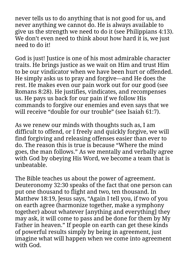never tells us to do anything that is not good for us, and never anything we cannot do. He is always available to give us the strength we need to do it (see Philippians 4:13). We don't even need to think about how hard it is, we just need to do it!

God is just! Justice is one of his most admirable character traits. He brings justice as we wait on Him and trust Him to be our vindicator when we have been hurt or offended. He simply asks us to pray and forgive—and He does the rest. He makes even our pain work out for our good (see Romans 8:28). He justifies, vindicates, and recompenses us. He pays us back for our pain if we follow His commands to forgive our enemies and even says that we will receive "double for our trouble" (see Isaiah 61:7).

As we renew our minds with thoughts such as, I am difficult to offend, or I freely and quickly forgive, we will find forgiving and releasing offenses easier than ever to do. The reason this is true is because "Where the mind goes, the man follows." As we mentally and verbally agree with God by obeying His Word, we become a team that is unbeatable

The Bible teaches us about the power of agreement. Deuteronomy 32:30 speaks of the fact that one person can put one thousand to flight and two, ten thousand. In Matthew 18:19, Jesus says, "Again I tell you, if two of you on earth agree (harmonize together, make a symphony together) about whatever [anything and everything] they may ask, it will come to pass and be done for them by My Father in heaven." If people on earth can get these kinds of powerful results simply by being in agreement, just imagine what will happen when we come into agreement with God.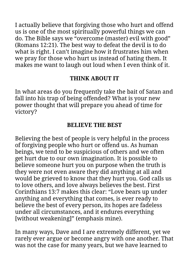I actually believe that forgiving those who hurt and offend us is one of the most spiritually powerful things we can do. The Bible says we "overcome (master) evil with good" (Romans 12:21). The best way to defeat the devil is to do what is right. I can't imagine how it frustrates him when we pray for those who hurt us instead of hating them. It makes me want to laugh out loud when I even think of it.

## **THINK ABOUT IT**

In what areas do you frequently take the bait of Satan and fall into his trap of being offended? What is your new power thought that will prepare you ahead of time for victory?

## **BELIEVE THE BEST**

Believing the best of people is very helpful in the process of forgiving people who hurt or offend us. As human beings, we tend to be suspicious of others and we often get hurt due to our own imagination. It is possible to believe someone hurt you on purpose when the truth is they were not even aware they did anything at all and would be grieved to know that they hurt you. God calls us to love others, and love always believes the best. First Corinthians 13:7 makes this clear: "Love bears up under anything and everything that comes, is ever ready to believe the best of every person, its hopes are fadeless under all circumstances, and it endures everything [without weakening]" (emphasis mine).

In many ways, Dave and I are extremely different, yet we rarely ever argue or become angry with one another. That was not the case for many years, but we have learned to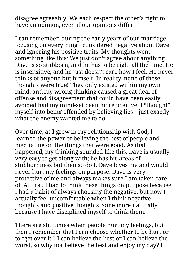disagree agreeably. We each respect the other's right to have an opinion, even if our opinions differ.

I can remember, during the early years of our marriage, focusing on everything I considered negative about Dave and ignoring his positive traits. My thoughts went something like this: We just don't agree about anything. Dave is so stubborn, and he has to be right all the time. He is insensitive, and he just doesn't care how I feel. He never thinks of anyone but himself. In reality, none of these thoughts were true! They only existed within my own mind; and my wrong thinking caused a great deal of offense and disagreement that could have been easily avoided had my mind-set been more positive. I "thought" myself into being offended by believing lies—just exactly what the enemy wanted me to do.

Over time, as I grew in my relationship with God, I learned the power of believing the best of people and meditating on the things that were good. As that happened, my thinking sounded like this, Dave is usually very easy to get along with; he has his areas of stubbornness but then so do I. Dave loves me and would never hurt my feelings on purpose. Dave is very protective of me and always makes sure I am taken care of. At first, I had to think these things on purpose because I had a habit of always choosing the negative, but now I actually feel uncomfortable when I think negative thoughts and positive thoughts come more naturally because I have disciplined myself to think them.

There are still times when people hurt my feelings, but then I remember that I can choose whether to be hurt or to "get over it." I can believe the best or I can believe the worst, so why not believe the best and enjoy my day? I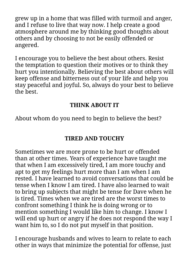grew up in a home that was filled with turmoil and anger, and I refuse to live that way now. I help create a good atmosphere around me by thinking good thoughts about others and by choosing to not be easily offended or angered.

I encourage you to believe the best about others. Resist the temptation to question their motives or to think they hurt you intentionally. Believing the best about others will keep offense and bitterness out of your life and help you stay peaceful and joyful. So, always do your best to believe the best.

## **THINK ABOUT IT**

About whom do you need to begin to believe the best?

## **TIRED AND TOUCHY**

Sometimes we are more prone to be hurt or offended than at other times. Years of experience have taught me that when I am excessively tired, I am more touchy and apt to get my feelings hurt more than I am when I am rested. I have learned to avoid conversations that could be tense when I know I am tired. I have also learned to wait to bring up subjects that might be tense for Dave when he is tired. Times when we are tired are the worst times to confront something I think he is doing wrong or to mention something I would like him to change. I know I will end up hurt or angry if he does not respond the way I want him to, so I do not put myself in that position.

I encourage husbands and wives to learn to relate to each other in ways that minimize the potential for offense, just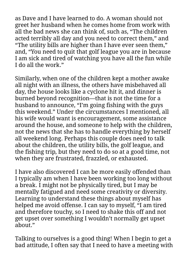as Dave and I have learned to do. A woman should not greet her husband when he comes home from work with all the bad news she can think of, such as, "The children acted terribly all day and you need to correct them," and "The utility bills are higher than I have ever seen them," and, "You need to quit that golf league you are in because I am sick and tired of watching you have all the fun while I do all the work."

Similarly, when one of the children kept a mother awake all night with an illness, the others have misbehaved all day, the house looks like a cyclone hit it, and dinner is burned beyond recognition—that is not the time for a husband to announce, "I'm going fishing with the guys this weekend." Under the circumstances I mentioned, all his wife would want is encouragement, some assistance around the house, and someone to help with the children, not the news that she has to handle everything by herself all weekend long. Perhaps this couple does need to talk about the children, the utility bills, the golf league, and the fishing trip, but they need to do so at a good time, not when they are frustrated, frazzled, or exhausted.

I have also discovered I can be more easily offended than I typically am when I have been working too long without a break. I might not be physically tired, but I may be mentally fatigued and need some creativity or diversity. Learning to understand these things about myself has helped me avoid offense. I can say to myself, "I am tired and therefore touchy, so I need to shake this off and not get upset over something I wouldn't normally get upset about."

Talking to ourselves is a good thing! When I begin to get a bad attitude, I often say that I need to have a meeting with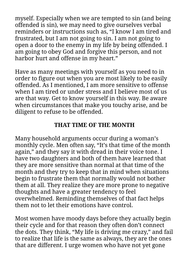myself. Especially when we are tempted to sin (and being offended is sin), we may need to give ourselves verbal reminders or instructions such as, "I know I am tired and frustrated, but I am not going to sin. I am not going to open a door to the enemy in my life by being offended. I am going to obey God and forgive this person, and not harbor hurt and offense in my heart."

Have as many meetings with yourself as you need to in order to figure out when you are most likely to be easily offended. As I mentioned, I am more sensitive to offense when I am tired or under stress and I believe most of us are that way. Get to know yourself in this way. Be aware when circumstances that make you touchy arise, and be diligent to refuse to be offended.

## **THAT TIME OF THE MONTH**

Many household arguments occur during a woman's monthly cycle. Men often say, "It's that time of the month again," and they say it with dread in their voice tone. I have two daughters and both of them have learned that they are more sensitive than normal at that time of the month and they try to keep that in mind when situations begin to frustrate them that normally would not bother them at all. They realize they are more prone to negative thoughts and have a greater tendency to feel overwhelmed. Reminding themselves of that fact helps them not to let their emotions have control.

Most women have moody days before they actually begin their cycle and for that reason they often don't connect the dots. They think, "My life is driving me crazy," and fail to realize that life is the same as always, they are the ones that are different. I urge women who have not yet gone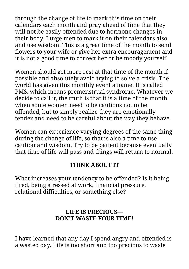through the change of life to mark this time on their calendars each month and pray ahead of time that they will not be easily offended due to hormone changes in their body. I urge men to mark it on their calendars also and use wisdom. This is a great time of the month to send flowers to your wife or give her extra encouragement and it is not a good time to correct her or be moody yourself.

Women should get more rest at that time of the month if possible and absolutely avoid trying to solve a crisis. The world has given this monthly event a name. It is called PMS, which means premenstrual syndrome. Whatever we decide to call it, the truth is that it is a time of the month when some women need to be cautious not to be offended, but to simply realize they are emotionally tender and need to be careful about the way they behave.

Women can experience varying degrees of the same thing during the change of life, so that is also a time to use caution and wisdom. Try to be patient because eventually that time of life will pass and things will return to normal.

#### **THINK ABOUT IT**

What increases your tendency to be offended? Is it being tired, being stressed at work, financial pressure, relational difficulties, or something else?

#### **LIFE IS PRECIOUS— DON'T WASTE YOUR TIME!**

I have learned that any day I spend angry and offended is a wasted day. Life is too short and too precious to waste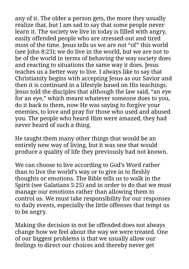any of it. The older a person gets, the more they usually realize that, but I am sad to say that some people never learn it. The society we live in today is filled with angry, easily offended people who are stressed-out and tired most of the time. Jesus tells us we are not "of" this world (see John 8:23); we do live in the world, but we are not to be of the world in terms of behaving the way society does and reacting to situations the same way it does. Jesus teaches us a better way to live. I always like to say that Christianity begins with accepting Jesus as our Savior and then it is continued in a lifestyle based on His teachings. Jesus told the disciples that although the law said, "an eye for an eye," which meant whatever someone does to you, do it back to them, now He was saying to forgive your enemies, to love and pray for those who used and abused you. The people who heard Him were amazed, they had never heard of such a thing.

He taught them many other things that would be an entirely new way of living, but it was one that would produce a quality of life they previously had not known.

We can choose to live according to God's Word rather than to live the world's way or to give in to fleshly thoughts or emotions. The Bible tells us to walk in the Spirit (see Galatians 5:25) and in order to do that we must manage our emotions rather than allowing them to control us. We must take responsibility for our responses to daily events, especially the little offenses that tempt us to be angry.

Making the decision to not be offended does not always change how we feel about the way we were treated. One of our biggest problems is that we usually allow our feelings to direct our choices and thereby never get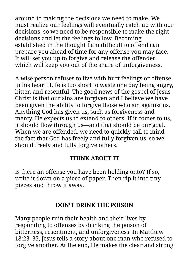around to making the decisions we need to make. We must realize our feelings will eventually catch up with our decisions, so we need to be responsible to make the right decisions and let the feelings follow. Becoming established in the thought I am difficult to offend can prepare you ahead of time for any offense you may face. It will set you up to forgive and release the offender, which will keep you out of the snare of unforgiveness.

A wise person refuses to live with hurt feelings or offense in his heart! Life is too short to waste one day being angry, bitter, and resentful. The good news of the gospel of Jesus Christ is that our sins are forgiven and I believe we have been given the ability to forgive those who sin against us. Anything God has given us, such as forgiveness and mercy, He expects us to extend to others. If it comes to us, it should flow through us—and that should be our goal. When we are offended, we need to quickly call to mind the fact that God has freely and fully forgiven us, so we should freely and fully forgive others.

## **THINK ABOUT IT**

Is there an offense you have been holding onto? If so, write it down on a piece of paper. Then rip it into tiny pieces and throw it away.

## **DON'T DRINK THE POISON**

Many people ruin their health and their lives by responding to offenses by drinking the poison of bitterness, resentment, and unforgiveness. In Matthew 18:23–35, Jesus tells a story about one man who refused to forgive another. At the end, He makes the clear and strong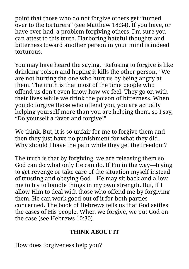point that those who do not forgive others get "turned over to the torturers" (see Matthew 18:34). If you have, or have ever had, a problem forgiving others, I'm sure you can attest to this truth. Harboring hateful thoughts and bitterness toward another person in your mind is indeed torturous.

You may have heard the saying, "Refusing to forgive is like drinking poison and hoping it kills the other person." We are not hurting the one who hurt us by being angry at them. The truth is that most of the time people who offend us don't even know how we feel. They go on with their lives while we drink the poison of bitterness. When you do forgive those who offend you, you are actually helping yourself more than you are helping them, so I say, "Do yourself a favor and forgive!"

We think, But, it is so unfair for me to forgive them and then they just have no punishment for what they did. Why should I have the pain while they get the freedom?

The truth is that by forgiving, we are releasing them so God can do what only He can do. If I'm in the way—trying to get revenge or take care of the situation myself instead of trusting and obeying God—He may sit back and allow me to try to handle things in my own strength. But, if I allow Him to deal with those who offend me by forgiving them, He can work good out of it for both parties concerned. The book of Hebrews tells us that God settles the cases of His people. When we forgive, we put God on the case (see Hebrews 10:30).

## **THINK ABOUT IT**

How does forgiveness help you?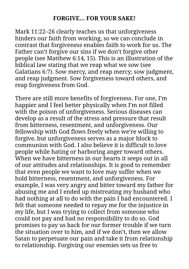## **FORGIVE… FOR YOUR SAKE!**

Mark 11:22–26 clearly teaches us that unforgiveness hinders our faith from working, so we can conclude in contrast that forgiveness enables faith to work for us. The Father can't forgive our sins if we don't forgive other people (see Matthew 6:14, 15). This is an illustration of the biblical law stating that we reap what we sow (see Galatians 6:7). Sow mercy, and reap mercy; sow judgment, and reap judgment. Sow forgiveness toward others, and reap forgiveness from God.

There are still more benefits of forgiveness. For one, I'm happier and I feel better physically when I'm not filled with the poison of unforgiveness. Serious diseases can develop as a result of the stress and pressure that result from bitterness, resentment, and unforgiveness. Our fellowship with God flows freely when we're willing to forgive, but unforgiveness serves as a major block to communion with God. I also believe it is difficult to love people while hating or harboring anger toward others. When we have bitterness in our hearts it seeps out in all of our attitudes and relationships. It is good to remember that even people we want to love may suffer when we hold bitterness, resentment, and unforgiveness. For example, I was very angry and bitter toward my father for abusing me and I ended up mistreating my husband who had nothing at all to do with the pain I had encountered. I felt that someone needed to repay me for the injustice in my life, but I was trying to collect from someone who could not pay and had no responsibility to do so. God promises to pay us back for our former trouble if we turn the situation over to him, and if we don't, then we allow Satan to perpetuate our pain and take it from relationship to relationship. Forgiving our enemies sets us free to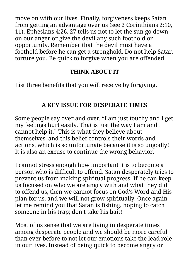move on with our lives. Finally, forgiveness keeps Satan from getting an advantage over us (see 2 Corinthians 2:10, 11). Ephesians 4:26, 27 tells us not to let the sun go down on our anger or give the devil any such foothold or opportunity. Remember that the devil must have a foothold before he can get a stronghold. Do not help Satan torture you. Be quick to forgive when you are offended.

## **THINK ABOUT IT**

List three benefits that you will receive by forgiving.

## **A KEY ISSUE FOR DESPERATE TIMES**

Some people say over and over, "I am just touchy and I get my feelings hurt easily. That is just the way I am and I cannot help it." This is what they believe about themselves, and this belief controls their words and actions, which is so unfortunate because it is so ungodly! It is also an excuse to continue the wrong behavior.

I cannot stress enough how important it is to become a person who is difficult to offend. Satan desperately tries to prevent us from making spiritual progress. If he can keep us focused on who we are angry with and what they did to offend us, then we cannot focus on God's Word and His plan for us, and we will not grow spiritually. Once again let me remind you that Satan is fishing, hoping to catch someone in his trap; don't take his bait!

Most of us sense that we are living in desperate times among desperate people and we should be more careful than ever before to not let our emotions take the lead role in our lives. Instead of being quick to become angry or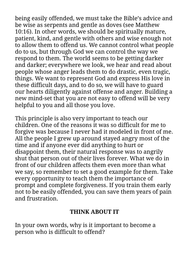being easily offended, we must take the Bible's advice and be wise as serpents and gentle as doves (see Matthew 10:16). In other words, we should be spiritually mature, patient, kind, and gentle with others and wise enough not to allow them to offend us. We cannot control what people do to us, but through God we can control the way we respond to them. The world seems to be getting darker and darker; everywhere we look, we hear and read about people whose anger leads them to do drastic, even tragic, things. We want to represent God and express His love in these difficult days, and to do so, we will have to guard our hearts diligently against offense and anger. Building a new mind-set that you are not easy to offend will be very helpful to you and all those you love.

This principle is also very important to teach our children. One of the reasons it was so difficult for me to forgive was because I never had it modeled in front of me. All the people I grew up around stayed angry most of the time and if anyone ever did anything to hurt or disappoint them, their natural response was to angrily shut that person out of their lives forever. What we do in front of our children affects them even more than what we say, so remember to set a good example for them. Take every opportunity to teach them the importance of prompt and complete forgiveness. If you train them early not to be easily offended, you can save them years of pain and frustration.

## **THINK ABOUT IT**

In your own words, why is it important to become a person who is difficult to offend?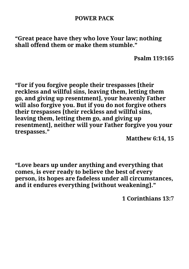#### **POWER PACK**

#### **"Great peace have they who love Your law; nothing shall offend them or make them stumble."**

#### **Psalm 119:165**

**"For if you forgive people their trespasses [their reckless and willful sins, leaving them, letting them go, and giving up resentment], your heavenly Father will also forgive you. But if you do not forgive others their trespasses [their reckless and willful sins, leaving them, letting them go, and giving up resentment], neither will your Father forgive you your trespasses."**

**Matthew 6:14, 15**

**"Love bears up under anything and everything that comes, is ever ready to believe the best of every person, its hopes are fadeless under all circumstances, and it endures everything [without weakening]."**

**1 Corinthians 13:7**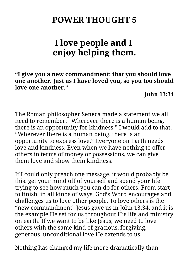## **POWER THOUGHT 5**

# **I love people and I enjoy helping them.**

**"I give you a new commandment: that you should love one another. Just as I have loved you, so you too should love one another."**

**John 13:34**

The Roman philosopher Seneca made a statement we all need to remember: "Wherever there is a human being, there is an opportunity for kindness." I would add to that, "Wherever there is a human being, there is an opportunity to express love." Everyone on Earth needs love and kindness. Even when we have nothing to offer others in terms of money or possessions, we can give them love and show them kindness.

If I could only preach one message, it would probably be this: get your mind off of yourself and spend your life trying to see how much you can do for others. From start to finish, in all kinds of ways, God's Word encourages and challenges us to love other people. To love others is the "new commandment" Jesus gave us in John 13:34, and it is the example He set for us throughout His life and ministry on earth. If we want to be like Jesus, we need to love others with the same kind of gracious, forgiving, generous, unconditional love He extends to us.

Nothing has changed my life more dramatically than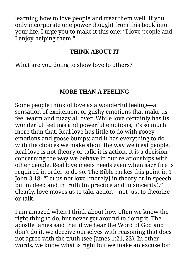learning how to love people and treat them well. If you only incorporate one power thought from this book into your life, I urge you to make it this one: "I love people and I enjoy helping them."

#### **THINK ABOUT IT**

What are you doing to show love to others?

#### **MORE THAN A FEELING**

Some people think of love as a wonderful feeling—a sensation of excitement or gushy emotions that make us feel warm and fuzzy all over. While love certainly has its wonderful feelings and powerful emotions, it's so much more than that. Real love has little to do with gooey emotions and goose bumps; and it has everything to do with the choices we make about the way we treat people. Real love is not theory or talk; it is action. It is a decision concerning the way we behave in our relationships with other people. Real love meets needs even when sacrifice is required in order to do so. The Bible makes this point in 1 John 3:18: "Let us not love [merely] in theory or in speech but in deed and in truth (in practice and in sincerity)." Clearly, love moves us to take action—not just to theorize or talk.

I am amazed when I think about how often we know the right thing to do, but never get around to doing it. The apostle James said that if we hear the Word of God and don't do it, we deceive ourselves with reasoning that does not agree with the truth (see James 1:21, 22). In other words, we know what is right but we make an excuse for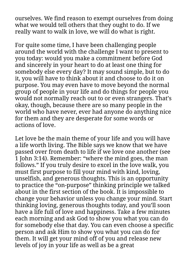ourselves. We find reason to exempt ourselves from doing what we would tell others that they ought to do. If we really want to walk in love, we will do what is right.

For quite some time, I have been challenging people around the world with the challenge I want to present to you today: would you make a commitment before God and sincerely in your heart to do at least one thing for somebody else every day? It may sound simple, but to do it, you will have to think about it and choose to do it on purpose. You may even have to move beyond the normal group of people in your life and do things for people you would not normally reach out to or even strangers. That's okay, though, because there are so many people in the world who have never, ever had anyone do anything nice for them and they are desperate for some words or actions of love.

Let love be the main theme of your life and you will have a life worth living. The Bible says we know that we have passed over from death to life if we love one another (see 1 John 3:14). Remember: "where the mind goes, the man follows." If you truly desire to excel in the love walk, you must first purpose to fill your mind with kind, loving, unselfish, and generous thoughts. This is an opportunity to practice the "on-purpose" thinking principle we talked about in the first section of the book. It is impossible to change your behavior unless you change your mind. Start thinking loving, generous thoughts today, and you'll soon have a life full of love and happiness. Take a few minutes each morning and ask God to show you what you can do for somebody else that day. You can even choose a specific person and ask Him to show you what you can do for them. It will get your mind off of you and release new levels of joy in your life as well as be a great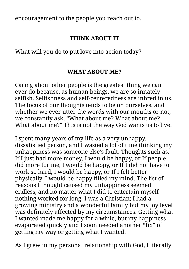encouragement to the people you reach out to.

#### **THINK ABOUT IT**

What will you do to put love into action today?

#### **WHAT ABOUT ME?**

Caring about other people is the greatest thing we can ever do because, as human beings, we are so innately selfish. Selfishness and self-centeredness are inbred in us. The focus of our thoughts tends to be on ourselves, and whether we ever utter the words with our mouths or not, we constantly ask, "What about me? What about me? What about me?" This is not the way God wants us to live.

I spent many years of my life as a very unhappy, dissatisfied person, and I wasted a lot of time thinking my unhappiness was someone else's fault. Thoughts such as, If I just had more money, I would be happy, or If people did more for me, I would be happy, or If I did not have to work so hard, I would be happy, or If I felt better physically, I would be happy filled my mind. The list of reasons I thought caused my unhappiness seemed endless, and no matter what I did to entertain myself nothing worked for long. I was a Christian; I had a growing ministry and a wonderful family but my joy level was definitely affected by my circumstances. Getting what I wanted made me happy for a while, but my happiness evaporated quickly and I soon needed another "fix" of getting my way or getting what I wanted.

As I grew in my personal relationship with God, I literally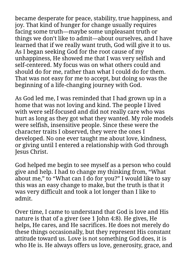became desperate for peace, stability, true happiness, and joy. That kind of hunger for change usually requires facing some truth—maybe some unpleasant truth or things we don't like to admit—about ourselves, and I have learned that if we really want truth, God will give it to us. As I began seeking God for the root cause of my unhappiness, He showed me that I was very selfish and self-centered. My focus was on what others could and should do for me, rather than what I could do for them. That was not easy for me to accept, but doing so was the beginning of a life-changing journey with God.

As God led me, I was reminded that I had grown up in a home that was not loving and kind. The people I lived with were self-focused and did not really care who was hurt as long as they got what they wanted. My role models were selfish, insensitive people. Since these were the character traits I observed, they were the ones I developed. No one ever taught me about love, kindness, or giving until I entered a relationship with God through Jesus Christ.

God helped me begin to see myself as a person who could give and help. I had to change my thinking from, "What about me," to "What can I do for you?" I would like to say this was an easy change to make, but the truth is that it was very difficult and took a lot longer than I like to admit.

Over time, I came to understand that God is love and His nature is that of a giver (see 1 John 4:8). He gives, He helps, He cares, and He sacrifices. He does not merely do these things occasionally, but they represent His constant attitude toward us. Love is not something God does, it is who He is. He always offers us love, generosity, grace, and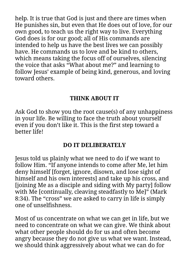help. It is true that God is just and there are times when He punishes sin, but even that He does out of love, for our own good, to teach us the right way to live. Everything God does is for our good; all of His commands are intended to help us have the best lives we can possibly have. He commands us to love and be kind to others. which means taking the focus off of ourselves, silencing the voice that asks "What about me?" and learning to follow Jesus' example of being kind, generous, and loving toward others.

#### **THINK ABOUT IT**

Ask God to show you the root cause(s) of any unhappiness in your life. Be willing to face the truth about yourself even if you don't like it. This is the first step toward a better life!

## **DO IT DELIBERATELY**

Jesus told us plainly what we need to do if we want to follow Him. "If anyone intends to come after Me, let him deny himself [forget, ignore, disown, and lose sight of himself and his own interests] and take up his cross, and [joining Me as a disciple and siding with My party] follow with Me [continually, cleaving steadfastly to Me]" (Mark 8:34). The "cross" we are asked to carry in life is simply one of unselfishness.

Most of us concentrate on what we can get in life, but we need to concentrate on what we can give. We think about what other people should do for us and often become angry because they do not give us what we want. Instead, we should think aggressively about what we can do for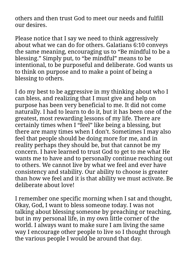others and then trust God to meet our needs and fulfill our desires.

Please notice that I say we need to think aggressively about what we can do for others. Galatians 6:10 conveys the same meaning, encouraging us to "Be mindful to be a blessing." Simply put, to "be mindful" means to be intentional, to be purposeful and deliberate. God wants us to think on purpose and to make a point of being a blessing to others.

I do my best to be aggressive in my thinking about who I can bless, and realizing that I must give and help on purpose has been very beneficial to me. It did not come naturally. I had to learn to do it, but it has been one of the greatest, most rewarding lessons of my life. There are certainly times when I "feel" like being a blessing, but there are many times when I don't. Sometimes I may also feel that people should be doing more for me, and in reality perhaps they should be, but that cannot be my concern. I have learned to trust God to get to me what He wants me to have and to personally continue reaching out to others. We cannot live by what we feel and ever have consistency and stability. Our ability to choose is greater than how we feel and it is that ability we must activate. Be deliberate about love!

I remember one specific morning when I sat and thought, Okay, God, I want to bless someone today. I was not talking about blessing someone by preaching or teaching, but in my personal life, in my own little corner of the world. I always want to make sure I am living the same way I encourage other people to live so I thought through the various people I would be around that day.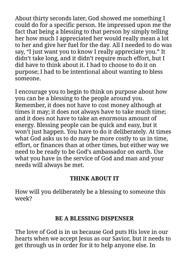About thirty seconds later, God showed me something I could do for a specific person. He impressed upon me the fact that being a blessing to that person by simply telling her how much I appreciated her would really mean a lot to her and give her fuel for the day. All I needed to do was say, "I just want you to know I really appreciate you." It didn't take long, and it didn't require much effort, but I did have to think about it. I had to choose to do it on purpose; I had to be intentional about wanting to bless someone.

I encourage you to begin to think on purpose about how you can be a blessing to the people around you. Remember, it does not have to cost money although at times it may; it does not always have to take much time; and it does not have to take an enormous amount of energy. Blessing people can be quick and easy, but it won't just happen. You have to do it deliberately. At times what God asks us to do may be more costly to us in time, effort, or finances than at other times, but either way we need to be ready to be God's ambassador on earth. Use what you have in the service of God and man and your needs will always be met.

## **THINK ABOUT IT**

How will you deliberately be a blessing to someone this week?

#### **BE A BLESSING DISPENSER**

The love of God is in us because God puts His love in our hearts when we accept Jesus as our Savior, but it needs to get through us in order for it to help anyone else. In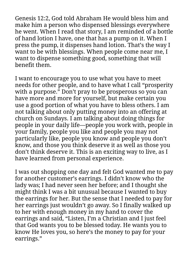Genesis 12:2, God told Abraham He would bless him and make him a person who dispensed blessings everywhere he went. When I read that story, I am reminded of a bottle of hand lotion I have, one that has a pump on it. When I press the pump, it dispenses hand lotion. That's the way I want to be with blessings. When people come near me, I want to dispense something good, something that will benefit them.

I want to encourage you to use what you have to meet needs for other people, and to have what I call "prosperity with a purpose." Don't pray to be prosperous so you can have more and more for yourself, but make certain you use a good portion of what you have to bless others. I am not talking about only putting money into an offering at church on Sundays. I am talking about doing things for people in your daily life—people you work with, people in your family, people you like and people you may not particularly like, people you know and people you don't know, and those you think deserve it as well as those you don't think deserve it. This is an exciting way to live, as I have learned from personal experience.

I was out shopping one day and felt God wanted me to pay for another customer's earrings. I didn't know who the lady was; I had never seen her before; and I thought she might think I was a bit unusual because I wanted to buy the earrings for her. But the sense that I needed to pay for her earrings just wouldn't go away. So I finally walked up to her with enough money in my hand to cover the earrings and said, "Listen, I'm a Christian and I just feel that God wants you to be blessed today. He wants you to know He loves you, so here's the money to pay for your earrings."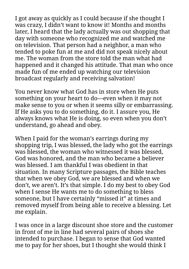I got away as quickly as I could because if she thought I was crazy, I didn't want to know it! Months and months later, I heard that the lady actually was out shopping that day with someone who recognized me and watched me on television. That person had a neighbor, a man who tended to poke fun at me and did not speak nicely about me. The woman from the store told the man what had happened and it changed his attitude. That man who once made fun of me ended up watching our television broadcast regularly and receiving salvation!

You never know what God has in store when He puts something on your heart to do—even when it may not make sense to you or when it seems silly or embarrassing. If He asks you to do something, do it. I assure you, He always knows what He is doing, so even when you don't understand, go ahead and obey.

When I paid for the woman's earrings during my shopping trip, I was blessed, the lady who got the earrings was blessed, the woman who witnessed it was blessed, God was honored, and the man who became a believer was blessed. I am thankful I was obedient in that situation. In many Scripture passages, the Bible teaches that when we obey God, we are blessed and when we don't, we aren't. It's that simple. I do my best to obey God when I sense He wants me to do something to bless someone, but I have certainly "missed it" at times and removed myself from being able to receive a blessing. Let me explain.

I was once in a large discount shoe store and the customer in front of me in line had several pairs of shoes she intended to purchase. I began to sense that God wanted me to pay for her shoes, but I thought she would think I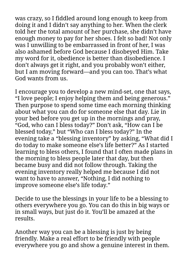was crazy, so I fiddled around long enough to keep from doing it and I didn't say anything to her. When the clerk told her the total amount of her purchase, she didn't have enough money to pay for her shoes. I felt so bad! Not only was I unwilling to be embarrassed in front of her, I was also ashamed before God because I disobeyed Him. Take my word for it, obedience is better than disobedience. I don't always get it right, and you probably won't either, but I am moving forward—and you can too. That's what God wants from us.

I encourage you to develop a new mind-set, one that says, "I love people; I enjoy helping them and being generous." Then purpose to spend some time each morning thinking about what you can do for someone else that day. Lie in your bed before you get up in the mornings and pray, "God, who can I bless today?" Don't ask, "How can I be blessed today," but "Who can I bless today?" In the evening take a "blessing inventory" by asking, "What did I do today to make someone else's life better?" As I started learning to bless others, I found that I often made plans in the morning to bless people later that day, but then became busy and did not follow through. Taking the evening inventory really helped me because I did not want to have to answer, "Nothing, I did nothing to improve someone else's life today."

Decide to use the blessings in your life to be a blessing to others everywhere you go. You can do this in big ways or in small ways, but just do it. You'll be amazed at the results.

Another way you can be a blessing is just by being friendly. Make a real effort to be friendly with people everywhere you go and show a genuine interest in them.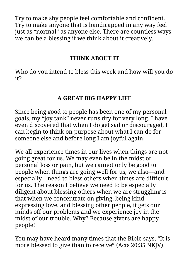Try to make shy people feel comfortable and confident. Try to make anyone that is handicapped in any way feel just as "normal" as anyone else. There are countless ways we can be a blessing if we think about it creatively.

## **THINK ABOUT IT**

Who do you intend to bless this week and how will you do it?

## **A GREAT BIG HAPPY LIFE**

Since being good to people has been one of my personal goals, my "joy tank" never runs dry for very long. I have even discovered that when I do get sad or discouraged, I can begin to think on purpose about what I can do for someone else and before long I am joyful again.

We all experience times in our lives when things are not going great for us. We may even be in the midst of personal loss or pain, but we cannot only be good to people when things are going well for us; we also—and especially—need to bless others when times are difficult for us. The reason I believe we need to be especially diligent about blessing others when we are struggling is that when we concentrate on giving, being kind, expressing love, and blessing other people, it gets our minds off our problems and we experience joy in the midst of our trouble. Why? Because givers are happy people!

You may have heard many times that the Bible says, "It is more blessed to give than to receive" (Acts 20:35 NKJV).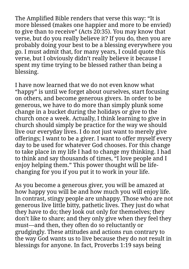The Amplified Bible renders that verse this way: "It is more blessed (makes one happier and more to be envied) to give than to receive" (Acts 20:35). You may know that verse, but do you really believe it? If you do, then you are probably doing your best to be a blessing everywhere you go. I must admit that, for many years, I could quote this verse, but I obviously didn't really believe it because I spent my time trying to be blessed rather than being a blessing.

I have now learned that we do not even know what "happy" is until we forget about ourselves, start focusing on others, and become generous givers. In order to be generous, we have to do more than simply plunk some change in a bucket during the holidays or give to the church once a week. Actually, I think learning to give in church should simply be practice for the way we should live our everyday lives. I do not just want to merely give offerings; I want to be a giver. I want to offer myself every day to be used for whatever God chooses. For this change to take place in my life I had to change my thinking. I had to think and say thousands of times, "I love people and I enjoy helping them." This power thought will be lifechanging for you if you put it to work in your life.

As you become a generous giver, you will be amazed at how happy you will be and how much you will enjoy life. In contrast, stingy people are unhappy. Those who are not generous live little bitty, pathetic lives. They just do what they have to do; they look out only for themselves; they don't like to share; and they only give when they feel they must—and then, they often do so reluctantly or grudgingly. These attitudes and actions run contrary to the way God wants us to live because they do not result in blessings for anyone. In fact, Proverbs 1:19 says being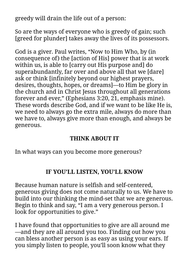greedy will drain the life out of a person:

So are the ways of everyone who is greedy of gain; such [greed for plunder] takes away the lives of its possessors.

God is a giver. Paul writes, "Now to Him Who, by (in consequence of) the [action of His] power that is at work within us, is able to [carry out His purpose and] do superabundantly, far over and above all that we [dare] ask or think [infinitely beyond our highest prayers, desires, thoughts, hopes, or dreams]—to Him be glory in the church and in Christ Jesus throughout all generations forever and ever," (Ephesians 3:20, 21, emphasis mine). These words describe God, and if we want to be like He is, we need to always go the extra mile, always do more than we have to, always give more than enough, and always be generous.

## **THINK ABOUT IT**

In what ways can you become more generous?

## **IF YOU'LL LISTEN, YOU'LL KNOW**

Because human nature is selfish and self-centered, generous giving does not come naturally to us. We have to build into our thinking the mind-set that we are generous. Begin to think and say, "I am a very generous person. I look for opportunities to give."

I have found that opportunities to give are all around me —and they are all around you too. Finding out how you can bless another person is as easy as using your ears. If you simply listen to people, you'll soon know what they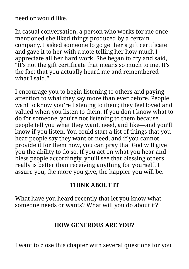need or would like.

In casual conversation, a person who works for me once mentioned she liked things produced by a certain company. I asked someone to go get her a gift certificate and gave it to her with a note telling her how much I appreciate all her hard work. She began to cry and said, "It's not the gift certificate that means so much to me. It's the fact that you actually heard me and remembered what I said."

I encourage you to begin listening to others and paying attention to what they say more than ever before. People want to know you're listening to them; they feel loved and valued when you listen to them. If you don't know what to do for someone, you're not listening to them because people tell you what they want, need, and like—and you'll know if you listen. You could start a list of things that you hear people say they want or need, and if you cannot provide it for them now, you can pray that God will give you the ability to do so. If you act on what you hear and bless people accordingly, you'll see that blessing others really is better than receiving anything for yourself. I assure you, the more you give, the happier you will be.

## **THINK ABOUT IT**

What have you heard recently that let you know what someone needs or wants? What will you do about it?

## **HOW GENEROUS ARE YOU?**

I want to close this chapter with several questions for you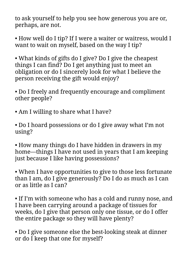to ask yourself to help you see how generous you are or, perhaps, are not.

• How well do I tip? If I were a waiter or waitress, would I want to wait on myself, based on the way I tip?

• What kinds of gifts do I give? Do I give the cheapest things I can find? Do I get anything just to meet an obligation or do I sincerely look for what I believe the person receiving the gift would enjoy?

• Do I freely and frequently encourage and compliment other people?

• Am I willing to share what I have?

• Do I hoard possessions or do I give away what I'm not using?

• How many things do I have hidden in drawers in my home—things I have not used in years that I am keeping just because I like having possessions?

• When I have opportunities to give to those less fortunate than I am, do I give generously? Do I do as much as I can or as little as I can?

• If I'm with someone who has a cold and runny nose, and I have been carrying around a package of tissues for weeks, do I give that person only one tissue, or do I offer the entire package so they will have plenty?

• Do I give someone else the best-looking steak at dinner or do I keep that one for myself?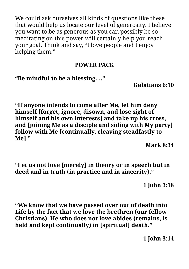We could ask ourselves all kinds of questions like these that would help us locate our level of generosity. I believe you want to be as generous as you can possibly be so meditating on this power will certainly help you reach your goal. Think and say, "I love people and I enjoy helping them."

#### **POWER PACK**

**"Be mindful to be a blessing…."**

**Galatians 6:10**

**"If anyone intends to come after Me, let him deny himself [forget, ignore, disown, and lose sight of himself and his own interests] and take up his cross, and [joining Me as a disciple and siding with My party] follow with Me [continually, cleaving steadfastly to Me]."**

**Mark 8:34**

**"Let us not love [merely] in theory or in speech but in deed and in truth (in practice and in sincerity)."**

**1 John 3:18**

**"We know that we have passed over out of death into Life by the fact that we love the brethren (our fellow Christians). He who does not love abides (remains, is held and kept continually) in [spiritual] death."**

**1 John 3:14**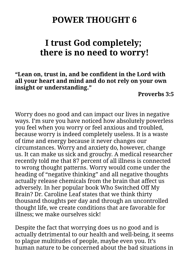## **POWER THOUGHT 6**

## **I trust God completely; there is no need to worry!**

**"Lean on, trust in, and be confident in the Lord with all your heart and mind and do not rely on your own insight or understanding."**

**Proverbs 3:5**

Worry does no good and can impact our lives in negative ways. I'm sure you have noticed how absolutely powerless you feel when you worry or feel anxious and troubled, because worry is indeed completely useless. It is a waste of time and energy because it never changes our circumstances. Worry and anxiety do, however, change us. It can make us sick and grouchy. A medical researcher recently told me that 87 percent of all illness is connected to wrong thought patterns. Worry would come under the heading of "negative thinking" and all negative thoughts actually release chemicals from the brain that affect us adversely. In her popular book Who Switched Off My Brain? Dr. Caroline Leaf states that we think thirty thousand thoughts per day and through an uncontrolled thought life, we create conditions that are favorable for illness; we make ourselves sick!

Despite the fact that worrying does us no good and is actually detrimental to our health and well-being, it seems to plague multitudes of people, maybe even you. It's human nature to be concerned about the bad situations in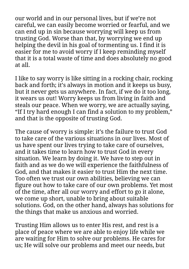our world and in our personal lives, but if we're not careful, we can easily become worried or fearful, and we can end up in sin because worrying will keep us from trusting God. Worse than that, by worrying we end up helping the devil in his goal of tormenting us. I find it is easier for me to avoid worry if I keep reminding myself that it is a total waste of time and does absolutely no good at all.

I like to say worry is like sitting in a rocking chair, rocking back and forth; it's always in motion and it keeps us busy, but it never gets us anywhere. In fact, if we do it too long, it wears us out! Worry keeps us from living in faith and steals our peace. When we worry, we are actually saying, "If I try hard enough I can find a solution to my problem," and that is the opposite of trusting God.

The cause of worry is simple: it's the failure to trust God to take care of the various situations in our lives. Most of us have spent our lives trying to take care of ourselves, and it takes time to learn how to trust God in every situation. We learn by doing it. We have to step out in faith and as we do we will experience the faithfulness of God, and that makes it easier to trust Him the next time. Too often we trust our own abilities, believing we can figure out how to take care of our own problems. Yet most of the time, after all our worry and effort to go it alone, we come up short, unable to bring about suitable solutions. God, on the other hand, always has solutions for the things that make us anxious and worried.

Trusting Him allows us to enter His rest, and rest is a place of peace where we are able to enjoy life while we are waiting for Him to solve our problems. He cares for us; He will solve our problems and meet our needs, but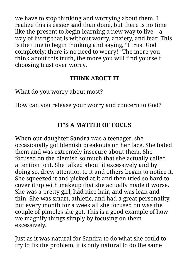we have to stop thinking and worrying about them. I realize this is easier said than done, but there is no time like the present to begin learning a new way to live—a way of living that is without worry, anxiety, and fear. This is the time to begin thinking and saying, "I trust God completely; there is no need to worry!" The more you think about this truth, the more you will find yourself choosing trust over worry.

#### **THINK ABOUT IT**

What do you worry about most?

How can you release your worry and concern to God?

## **IT'S A MATTER OF FOCUS**

When our daughter Sandra was a teenager, she occasionally got blemish breakouts on her face. She hated them and was extremely insecure about them. She focused on the blemish so much that she actually called attention to it. She talked about it excessively and by doing so, drew attention to it and others began to notice it. She squeezed it and picked at it and then tried so hard to cover it up with makeup that she actually made it worse. She was a pretty girl, had nice hair, and was lean and thin. She was smart, athletic, and had a great personality, but every month for a week all she focused on was the couple of pimples she got. This is a good example of how we magnify things simply by focusing on them excessively.

Just as it was natural for Sandra to do what she could to try to fix the problem, it is only natural to do the same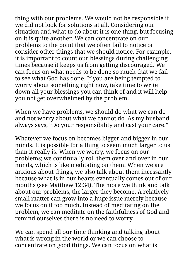thing with our problems. We would not be responsible if we did not look for solutions at all. Considering our situation and what to do about it is one thing, but focusing on it is quite another. We can concentrate on our problems to the point that we often fail to notice or consider other things that we should notice. For example, it is important to count our blessings during challenging times because it keeps us from getting discouraged. We can focus on what needs to be done so much that we fail to see what God has done. If you are being tempted to worry about something right now, take time to write down all your blessings you can think of and it will help you not get overwhelmed by the problem.

When we have problems, we should do what we can do and not worry about what we cannot do. As my husband always says, "Do your responsibility and cast your care."

Whatever we focus on becomes bigger and bigger in our minds. It is possible for a thing to seem much larger to us than it really is. When we worry, we focus on our problems; we continually roll them over and over in our minds, which is like meditating on them. When we are anxious about things, we also talk about them incessantly because what is in our hearts eventually comes out of our mouths (see Matthew 12:34). The more we think and talk about our problems, the larger they become. A relatively small matter can grow into a huge issue merely because we focus on it too much. Instead of meditating on the problem, we can meditate on the faithfulness of God and remind ourselves there is no need to worry.

We can spend all our time thinking and talking about what is wrong in the world or we can choose to concentrate on good things. We can focus on what is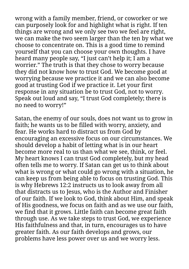wrong with a family member, friend, or coworker or we can purposely look for and highlight what is right. If ten things are wrong and we only see two we feel are right, we can make the two seem larger than the ten by what we choose to concentrate on. This is a good time to remind yourself that you can choose your own thoughts. I have heard many people say, "I just can't help it; I am a worrier." The truth is that they chose to worry because they did not know how to trust God. We become good at worrying because we practice it and we can also become good at trusting God if we practice it. Let your first response in any situation be to trust God, not to worry. Speak out loud and say, "I trust God completely; there is no need to worry!"

Satan, the enemy of our souls, does not want us to grow in faith; he wants us to be filled with worry, anxiety, and fear. He works hard to distract us from God by encouraging an excessive focus on our circumstances. We should develop a habit of letting what is in our heart become more real to us than what we see, think, or feel. My heart knows I can trust God completely, but my head often tells me to worry. If Satan can get us to think about what is wrong or what could go wrong with a situation, he can keep us from being able to focus on trusting God. This is why Hebrews 12:2 instructs us to look away from all that distracts us to Jesus, who is the Author and Finisher of our faith. If we look to God, think about Him, and speak of His goodness, we focus on faith and as we use our faith, we find that it grows. Little faith can become great faith through use. As we take steps to trust God, we experience His faithfulness and that, in turn, encourages us to have greater faith. As our faith develops and grows, our problems have less power over us and we worry less.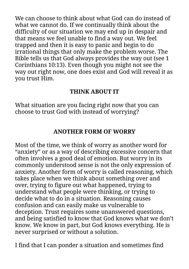We can choose to think about what God can do instead of what we cannot do. If we continually think about the difficulty of our situation we may end up in despair and that means we feel unable to find a way out. We feel trapped and then it is easy to panic and begin to do irrational things that only make the problem worse. The Bible tells us that God always provides the way out (see 1 Corinthians 10:13). Even though you might not see the way out right now, one does exist and God will reveal it as you trust Him.

#### **THINK ABOUT IT**

What situation are you facing right now that you can choose to trust God with instead of worrying?

#### **ANOTHER FORM OF WORRY**

Most of the time, we think of worry as another word for "anxiety" or as a way of describing excessive concern that often involves a good deal of emotion. But worry in its commonly understood sense is not the only expression of anxiety. Another form of worry is called reasoning, which takes place when we think about something over and over, trying to figure out what happened, trying to understand what people were thinking, or trying to decide what to do in a situation. Reasoning causes confusion and can easily make us vulnerable to deception. Trust requires some unanswered questions, and being satisfied to know that God knows what we don't know. We know in part, but God knows everything. He is never surprised or without a solution.

I find that I can ponder a situation and sometimes find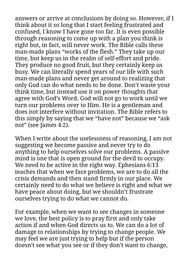answers or arrive at conclusions by doing so. However, if I think about it so long that I start feeling frustrated and confused, I know I have gone too far. It is even possible through reasoning to come up with a plan you think is right but, in fact, will never work. The Bible calls these man-made plans "works of the flesh." They take up our time, but keep us in the realm of self-effort and pride. They produce no good fruit, but they certainly keep us busy. We can literally spend years of our life with such man-made plans and never get around to realizing that only God can do what needs to be done. Don't waste your think time, but instead use it on power thoughts that agree with God's Word. God will not go to work until we turn our problems over to Him. He is a gentleman and does not interfere without invitation. The Bible refers to this simply by saying that we "have not" because we "ask not" (see James 4:2).

When I write about the uselessness of reasoning, I am not suggesting we become passive and never try to do anything to help ourselves solve our problems. A passive mind is one that is open ground for the devil to occupy. We need to be active in the right way. Ephesians  $6:13$ teaches that when we face problems, we are to do all the crisis demands and then stand firmly in our place. We certainly need to do what we believe is right and what we have peace about doing, but we shouldn't frustrate ourselves trying to do what we cannot do.

For example, when we want to see changes in someone we love, the best policy is to pray first and only take action if and when God directs us to. We can do a lot of damage to relationships by trying to change people. We may feel we are just trying to help but if the person doesn't see what you see or if they don't want to change,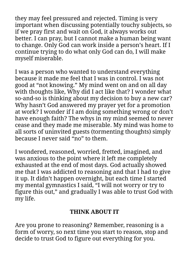they may feel pressured and rejected. Timing is very important when discussing potentially touchy subjects, so if we pray first and wait on God, it always works out better. I can pray, but I cannot make a human being want to change. Only God can work inside a person's heart. If I continue trying to do what only God can do, I will make myself miserable.

I was a person who wanted to understand everything because it made me feel that I was in control. I was not good at "not knowing." My mind went on and on all day with thoughts like, Why did I act like that? I wonder what so-and-so is thinking about my decision to buy a new car? Why hasn't God answered my prayer yet for a promotion at work? I wonder if I am doing something wrong or don't have enough faith? The whys in my mind seemed to never cease and they made me miserable. My mind was home to all sorts of uninvited guests (tormenting thoughts) simply because I never said "no" to them.

I wondered, reasoned, worried, fretted, imagined, and was anxious to the point where it left me completely exhausted at the end of most days. God actually showed me that I was addicted to reasoning and that I had to give it up. It didn't happen overnight, but each time I started my mental gymnastics I said, "I will not worry or try to figure this out," and gradually I was able to trust God with my life.

## **THINK ABOUT IT**

Are you prone to reasoning? Remember, reasoning is a form of worry, so next time you start to reason, stop and decide to trust God to figure out everything for you.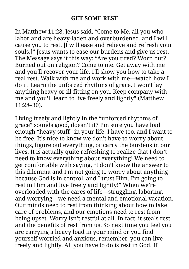In Matthew 11:28, Jesus said, "Come to Me, all you who labor and are heavy-laden and overburdened, and I will cause you to rest. [I will ease and relieve and refresh your souls.]" Jesus wants to ease our burdens and give us rest. The Message says it this way: "Are you tired? Worn out? Burned out on religion? Come to me. Get away with me and you'll recover your life. I'll show you how to take a real rest. Walk with me and work with me—watch how I do it. Learn the unforced rhythms of grace. I won't lay anything heavy or ill-fitting on you. Keep company with me and you'll learn to live freely and lightly" (Matthew 11:28–30).

Living freely and lightly in the "unforced rhythms of grace" sounds good, doesn't it? I'm sure you have had enough "heavy stuff" in your life. I have too, and I want to be free. It's nice to know we don't have to worry about things, figure out everything, or carry the burdens in our lives. It is actually quite refreshing to realize that I don't need to know everything about everything! We need to get comfortable with saying, "I don't know the answer to this dilemma and I'm not going to worry about anything because God is in control, and I trust Him. I'm going to rest in Him and live freely and lightly!" When we're overloaded with the cares of life—struggling, laboring, and worrying—we need a mental and emotional vacation. Our minds need to rest from thinking about how to take care of problems, and our emotions need to rest from being upset. Worry isn't restful at all. In fact, it steals rest and the benefits of rest from us. So next time you feel you are carrying a heavy load in your mind or you find yourself worried and anxious, remember, you can live freely and lightly. All you have to do is rest in God. If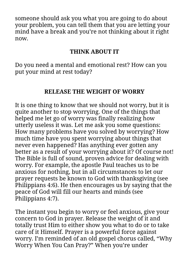someone should ask you what you are going to do about your problem, you can tell them that you are letting your mind have a break and you're not thinking about it right now.

#### **THINK ABOUT IT**

Do you need a mental and emotional rest? How can you put your mind at rest today?

#### **RELEASE THE WEIGHT OF WORRY**

It is one thing to know that we should not worry, but it is quite another to stop worrying. One of the things that helped me let go of worry was finally realizing how utterly useless it was. Let me ask you some questions: How many problems have you solved by worrying? How much time have you spent worrying about things that never even happened? Has anything ever gotten any better as a result of your worrying about it? Of course not! The Bible is full of sound, proven advice for dealing with worry. For example, the apostle Paul teaches us to be anxious for nothing, but in all circumstances to let our prayer requests be known to God with thanksgiving (see Philippians 4:6). He then encourages us by saying that the peace of God will fill our hearts and minds (see Philippians 4:7).

The instant you begin to worry or feel anxious, give your concern to God in prayer. Release the weight of it and totally trust Him to either show you what to do or to take care of it Himself. Prayer is a powerful force against worry. I'm reminded of an old gospel chorus called, "Why Worry When You Can Pray?" When you're under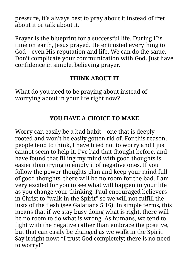pressure, it's always best to pray about it instead of fret about it or talk about it.

Prayer is the blueprint for a successful life. During His time on earth, Jesus prayed. He entrusted everything to God—even His reputation and life. We can do the same. Don't complicate your communication with God. Just have confidence in simple, believing prayer.

#### **THINK ABOUT IT**

What do you need to be praying about instead of worrying about in your life right now?

## **YOU HAVE A CHOICE TO MAKE**

Worry can easily be a bad habit—one that is deeply rooted and won't be easily gotten rid of. For this reason, people tend to think, I have tried not to worry and I just cannot seem to help it. I've had that thought before, and have found that filling my mind with good thoughts is easier than trying to empty it of negative ones. If you follow the power thoughts plan and keep your mind full of good thoughts, there will be no room for the bad. I am very excited for you to see what will happen in your life as you change your thinking. Paul encouraged believers in Christ to "walk in the Spirit" so we will not fulfill the lusts of the flesh (see Galatians 5:16). In simple terms, this means that if we stay busy doing what is right, there will be no room to do what is wrong. As humans, we tend to fight with the negative rather than embrace the positive, but that can easily be changed as we walk in the Spirit. Say it right now: "I trust God completely; there is no need to worry!"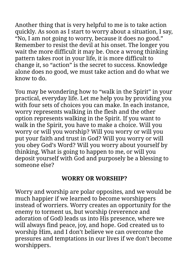Another thing that is very helpful to me is to take action quickly. As soon as I start to worry about a situation, I say, "No, I am not going to worry, because it does no good." Remember to resist the devil at his onset. The longer you wait the more difficult it may be. Once a wrong thinking pattern takes root in your life, it is more difficult to change it, so "action" is the secret to success. Knowledge alone does no good, we must take action and do what we know to do.

You may be wondering how to "walk in the Spirit" in your practical, everyday life. Let me help you by providing you with four sets of choices you can make. In each instance, worry represents walking in the flesh and the other option represents walking in the Spirit. If you want to walk in the Spirit, you have to make a choice. Will you worry or will you worship? Will you worry or will you put your faith and trust in God? Will you worry or will you obey God's Word? Will you worry about yourself by thinking, What is going to happen to me, or will you deposit yourself with God and purposely be a blessing to someone else?

#### **WORRY OR WORSHIP?**

Worry and worship are polar opposites, and we would be much happier if we learned to become worshippers instead of worriers. Worry creates an opportunity for the enemy to torment us, but worship (reverence and adoration of God) leads us into His presence, where we will always find peace, joy, and hope. God created us to worship Him, and I don't believe we can overcome the pressures and temptations in our lives if we don't become worshippers.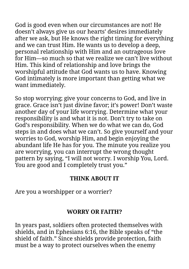God is good even when our circumstances are not! He doesn't always give us our hearts' desires immediately after we ask, but He knows the right timing for everything and we can trust Him. He wants us to develop a deep, personal relationship with Him and an outrageous love for Him—so much so that we realize we can't live without Him. This kind of relationship and love brings the worshipful attitude that God wants us to have. Knowing God intimately is more important than getting what we want immediately.

So stop worrying; give your concerns to God, and live in grace. Grace isn't just divine favor; it's power! Don't waste another day of your life worrying. Determine what your responsibility is and what it is not. Don't try to take on God's responsibility. When we do what we can do, God steps in and does what we can't. So give yourself and your worries to God, worship Him, and begin enjoying the abundant life He has for you. The minute you realize you are worrying, you can interrupt the wrong thought pattern by saying, "I will not worry. I worship You, Lord. You are good and I completely trust you."

#### **THINK ABOUT IT**

Are you a worshipper or a worrier?

## **WORRY OR FAITH?**

In years past, soldiers often protected themselves with shields, and in Ephesians 6:16, the Bible speaks of "the shield of faith." Since shields provide protection, faith must be a way to protect ourselves when the enemy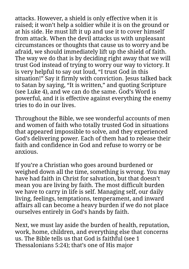attacks. However, a shield is only effective when it is raised; it won't help a soldier while it is on the ground or at his side. He must lift it up and use it to cover himself from attack. When the devil attacks us with unpleasant circumstances or thoughts that cause us to worry and be afraid, we should immediately lift up the shield of faith. The way we do that is by deciding right away that we will trust God instead of trying to worry our way to victory. It is very helpful to say out loud, "I trust God in this situation!" Say it firmly with conviction. Jesus talked back to Satan by saying, "It is written," and quoting Scripture (see Luke 4), and we can do the same. God's Word is powerful, and it is effective against everything the enemy tries to do in our lives.

Throughout the Bible, we see wonderful accounts of men and women of faith who totally trusted God in situations that appeared impossible to solve, and they experienced God's delivering power. Each of them had to release their faith and confidence in God and refuse to worry or be anxious.

If you're a Christian who goes around burdened or weighed down all the time, something is wrong. You may have had faith in Christ for salvation, but that doesn't mean you are living by faith. The most difficult burden we have to carry in life is self. Managing self, our daily living, feelings, temptations, temperament, and inward affairs all can become a heavy burden if we do not place ourselves entirely in God's hands by faith.

Next, we must lay aside the burden of health, reputation, work, home, children, and everything else that concerns us. The Bible tells us that God is faithful (see 1 Thessalonians 5:24); that's one of His major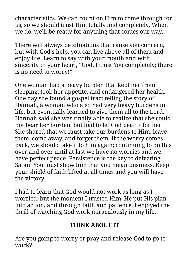characteristics. We can count on Him to come through for us, so we should trust Him totally and completely. When we do, we'll be ready for anything that comes our way.

There will always be situations that cause you concern, but with God's help, you can live above all of them and enjoy life. Learn to say with your mouth and with sincerity in your heart, "God, I trust You completely; there is no need to worry!"

One woman had a heavy burden that kept her from sleeping, took her appetite, and endangered her health. One day she found a gospel tract telling the story of Hannah, a woman who also had very heavy burdens in life, but eventually learned to give them all to the Lord. Hannah said she was finally able to realize that she could not bear her burden, but had to let God bear it for her. She shared that we must take our burdens to Him, leave them, come away, and forget them. If the worry comes back, we should take it to him again; continuing to do this over and over until at last we have no worries and we have perfect peace. Persistence is the key to defeating Satan. You must show him that you mean business. Keep your shield of faith lifted at all times and you will have the victory.

I had to learn that God would not work as long as I worried, but the moment I trusted Him, He put His plan into action, and through faith and patience, I enjoyed the thrill of watching God work miraculously in my life.

## **THINK ABOUT IT**

Are you going to worry or pray and release God to go to work?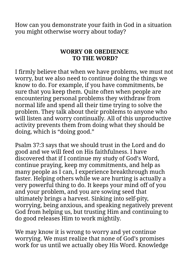How can you demonstrate your faith in God in a situation you might otherwise worry about today?

#### **WORRY OR OBEDIENCE TO THE WORD?**

I firmly believe that when we have problems, we must not worry, but we also need to continue doing the things we know to do. For example, if you have commitments, be sure that you keep them. Quite often when people are encountering personal problems they withdraw from normal life and spend all their time trying to solve the problem. They talk about their problems to anyone who will listen and worry continually. All of this unproductive activity prevents them from doing what they should be doing, which is "doing good."

Psalm 37:3 says that we should trust in the Lord and do good and we will feed on His faithfulness. I have discovered that if I continue my study of God's Word, continue praying, keep my commitments, and help as many people as I can, I experience breakthrough much faster. Helping others while we are hurting is actually a very powerful thing to do. It keeps your mind off of you and your problem, and you are sowing seed that ultimately brings a harvest. Sinking into self-pity, worrying, being anxious, and speaking negatively prevent God from helping us, but trusting Him and continuing to do good releases Him to work mightily.

We may know it is wrong to worry and yet continue worrying. We must realize that none of God's promises work for us until we actually obey His Word. Knowledge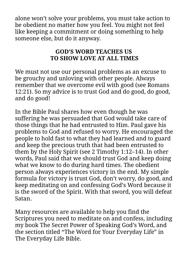alone won't solve your problems, you must take action to be obedient no matter how you feel. You might not feel like keeping a commitment or doing something to help someone else, but do it anyway.

#### **GOD'S WORD TEACHES US TO SHOW LOVE AT ALL TIMES**

We must not use our personal problems as an excuse to be grouchy and unloving with other people. Always remember that we overcome evil with good (see Romans 12:21). So my advice is to trust God and do good, do good, and do good!

In the Bible Paul shares how even though he was suffering he was persuaded that God would take care of those things that he had entrusted to Him. Paul gave his problems to God and refused to worry. He encouraged the people to hold fast to what they had learned and to guard and keep the precious truth that had been entrusted to them by the Holy Spirit (see 2 Timothy 1:12–14). In other words, Paul said that we should trust God and keep doing what we know to do during hard times. The obedient person always experiences victory in the end. My simple formula for victory is trust God, don't worry, do good, and keep meditating on and confessing God's Word because it is the sword of the Spirit. With that sword, you will defeat Satan.

Many resources are available to help you find the Scriptures you need to meditate on and confess, including my book The Secret Power of Speaking God's Word, and the section titled "The Word for Your Everyday Life" in The Everyday Life Bible.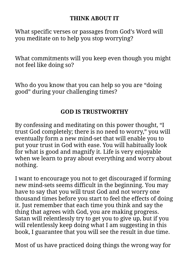## **THINK ABOUT IT**

What specific verses or passages from God's Word will you meditate on to help you stop worrying?

What commitments will you keep even though you might not feel like doing so?

Who do you know that you can help so you are "doing good" during your challenging times?

## **GOD IS TRUSTWORTHY**

By confessing and meditating on this power thought, "I trust God completely; there is no need to worry," you will eventually form a new mind-set that will enable you to put your trust in God with ease. You will habitually look for what is good and magnify it. Life is very enjoyable when we learn to pray about everything and worry about nothing.

I want to encourage you not to get discouraged if forming new mind-sets seems difficult in the beginning. You may have to say that you will trust God and not worry one thousand times before you start to feel the effects of doing it. Just remember that each time you think and say the thing that agrees with God, you are making progress. Satan will relentlessly try to get you to give up, but if you will relentlessly keep doing what I am suggesting in this book, I guarantee that you will see the result in due time.

Most of us have practiced doing things the wrong way for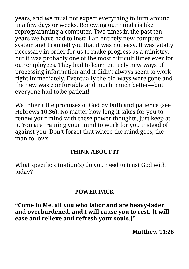years, and we must not expect everything to turn around in a few days or weeks. Renewing our minds is like reprogramming a computer. Two times in the past ten years we have had to install an entirely new computer system and I can tell you that it was not easy. It was vitally necessary in order for us to make progress as a ministry, but it was probably one of the most difficult times ever for our employees. They had to learn entirely new ways of processing information and it didn't always seem to work right immediately. Eventually the old ways were gone and the new was comfortable and much, much better—but everyone had to be patient!

We inherit the promises of God by faith and patience (see Hebrews 10:36). No matter how long it takes for you to renew your mind with these power thoughts, just keep at it. You are training your mind to work for you instead of against you. Don't forget that where the mind goes, the man follows.

#### **THINK ABOUT IT**

What specific situation(s) do you need to trust God with today?

#### **POWER PACK**

**"Come to Me, all you who labor and are heavy-laden and overburdened, and I will cause you to rest. [I will ease and relieve and refresh your souls.]"**

**Matthew 11:28**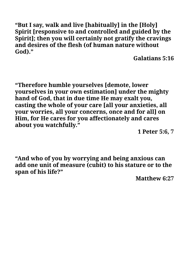**"But I say, walk and live [habitually] in the [Holy] Spirit [responsive to and controlled and guided by the Spirit]; then you will certainly not gratify the cravings and desires of the flesh (of human nature without God)."**

**Galatians 5:16**

**"Therefore humble yourselves [demote, lower yourselves in your own estimation] under the mighty hand of God, that in due time He may exalt you, casting the whole of your care [all your anxieties, all your worries, all your concerns, once and for all] on Him, for He cares for you affectionately and cares about you watchfully."**

**1 Peter 5:6, 7**

**"And who of you by worrying and being anxious can add one unit of measure (cubit) to his stature or to the span of his life?"**

**Matthew 6:27**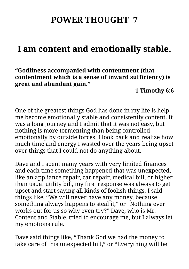# **POWER THOUGHT 7**

# **I am content and emotionally stable.**

**"Godliness accompanied with contentment (that contentment which is a sense of inward sufficiency) is great and abundant gain."**

**1 Timothy 6:6**

One of the greatest things God has done in my life is help me become emotionally stable and consistently content. It was a long journey and I admit that it was not easy, but nothing is more tormenting than being controlled emotionally by outside forces. I look back and realize how much time and energy I wasted over the years being upset over things that I could not do anything about.

Dave and I spent many years with very limited finances and each time something happened that was unexpected, like an appliance repair, car repair, medical bill, or higher than usual utility bill, my first response was always to get upset and start saying all kinds of foolish things. I said things like, "We will never have any money, because something always happens to steal it," or "Nothing ever works out for us so why even try?" Dave, who is Mr. Content and Stable, tried to encourage me, but I always let my emotions rule.

Dave said things like, "Thank God we had the money to take care of this unexpected bill," or "Everything will be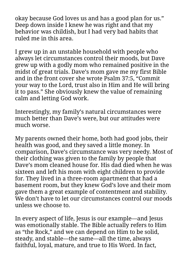okay because God loves us and has a good plan for us." Deep down inside I knew he was right and that my behavior was childish, but I had very bad habits that ruled me in this area.

I grew up in an unstable household with people who always let circumstances control their moods, but Dave grew up with a godly mom who remained positive in the midst of great trials. Dave's mom gave me my first Bible and in the front cover she wrote Psalm 37:5, "Commit your way to the Lord, trust also in Him and He will bring it to pass." She obviously knew the value of remaining calm and letting God work.

Interestingly, my family's natural circumstances were much better than Dave's were, but our attitudes were much worse.

My parents owned their home, both had good jobs, their health was good, and they saved a little money. In comparison, Dave's circumstance was very needy. Most of their clothing was given to the family by people that Dave's mom cleaned house for. His dad died when he was sixteen and left his mom with eight children to provide for. They lived in a three-room apartment that had a basement room, but they knew God's love and their mom gave them a great example of contentment and stability. We don't have to let our circumstances control our moods unless we choose to.

In every aspect of life, Jesus is our example—and Jesus was emotionally stable. The Bible actually refers to Him as "the Rock," and we can depend on Him to be solid, steady, and stable—the same—all the time, always faithful, loyal, mature, and true to His Word. In fact,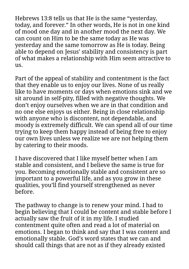Hebrews 13:8 tells us that He is the same "yesterday, today, and forever." In other words, He is not in one kind of mood one day and in another mood the next day. We can count on Him to be the same today as He was yesterday and the same tomorrow as He is today. Being able to depend on Jesus' stability and consistency is part of what makes a relationship with Him seem attractive to us.

Part of the appeal of stability and contentment is the fact that they enable us to enjoy our lives. None of us really like to have moments or days when emotions sink and we sit around in self-pity, filled with negative thoughts. We don't enjoy ourselves when we are in that condition and no one else enjoys us either. Being in close relationship with anyone who is discontent, not dependable, and moody is extremely difficult. We can spend all of our time trying to keep them happy instead of being free to enjoy our own lives unless we realize we are not helping them by catering to their moods.

I have discovered that I like myself better when I am stable and consistent, and I believe the same is true for you. Becoming emotionally stable and consistent are so important to a powerful life, and as you grow in these qualities, you'll find yourself strengthened as never before.

The pathway to change is to renew your mind. I had to begin believing that I could be content and stable before I actually saw the fruit of it in my life. I studied contentment quite often and read a lot of material on emotions. I began to think and say that I was content and emotionally stable. God's word states that we can and should call things that are not as if they already existed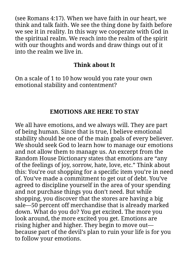(see Romans 4:17). When we have faith in our heart, we think and talk faith. We see the thing done by faith before we see it in reality. In this way we cooperate with God in the spiritual realm. We reach into the realm of the spirit with our thoughts and words and draw things out of it into the realm we live in.

#### **Think about It**

On a scale of 1 to 10 how would you rate your own emotional stability and contentment?

#### **EMOTIONS ARE HERE TO STAY**

We all have emotions, and we always will. They are part of being human. Since that is true, I believe emotional stability should be one of the main goals of every believer. We should seek God to learn how to manage our emotions and not allow them to manage us. An excerpt from the Random House Dictionary states that emotions are "any of the feelings of joy, sorrow, hate, love, etc." Think about this: You're out shopping for a specific item you're in need of. You've made a commitment to get out of debt. You've agreed to discipline yourself in the area of your spending and not purchase things you don't need. But while shopping, you discover that the stores are having a big sale—50 percent off merchandise that is already marked down. What do you do? You get excited. The more you look around, the more excited you get. Emotions are rising higher and higher. They begin to move out because part of the devil's plan to ruin your life is for you to follow your emotions.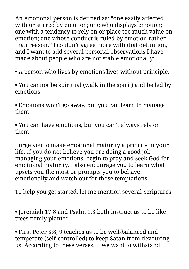An emotional person is defined as: "one easily affected with or stirred by emotion; one who displays emotion; one with a tendency to rely on or place too much value on emotion; one whose conduct is ruled by emotion rather than reason." I couldn't agree more with that definition, and I want to add several personal observations I have made about people who are not stable emotionally:

- A person who lives by emotions lives without principle.
- You cannot be spiritual (walk in the spirit) and be led by emotions.

• Emotions won't go away, but you can learn to manage them.

• You can have emotions, but you can't always rely on them.

I urge you to make emotional maturity a priority in your life. If you do not believe you are doing a good job managing your emotions, begin to pray and seek God for emotional maturity. I also encourage you to learn what upsets you the most or prompts you to behave emotionally and watch out for those temptations.

To help you get started, let me mention several Scriptures:

• Jeremiah 17:8 and Psalm 1:3 both instruct us to be like trees firmly planted.

• First Peter 5:8, 9 teaches us to be well-balanced and temperate (self-controlled) to keep Satan from devouring us. According to these verses, if we want to withstand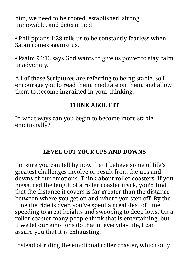him, we need to be rooted, established, strong, immovable, and determined.

• Philippians 1:28 tells us to be constantly fearless when Satan comes against us.

• Psalm 94:13 says God wants to give us power to stay calm in adversity.

All of these Scriptures are referring to being stable, so I encourage you to read them, meditate on them, and allow them to become ingrained in your thinking.

## **THINK ABOUT IT**

In what ways can you begin to become more stable emotionally?

## **LEVEL OUT YOUR UPS AND DOWNS**

I'm sure you can tell by now that I believe some of life's greatest challenges involve or result from the ups and downs of our emotions. Think about roller coasters. If you measured the length of a roller coaster track, you'd find that the distance it covers is far greater than the distance between where you get on and where you step off. By the time the ride is over, you've spent a great deal of time speeding to great heights and swooping to deep lows. On a roller coaster many people think that is entertaining, but if we let our emotions do that in everyday life, I can assure you that it is exhausting.

Instead of riding the emotional roller coaster, which only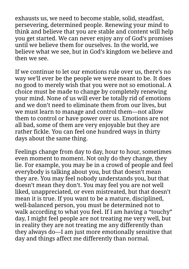exhausts us, we need to become stable, solid, steadfast, persevering, determined people. Renewing your mind to think and believe that you are stable and content will help you get started. We can never enjoy any of God's promises until we believe them for ourselves. In the world, we believe what we see, but in God's kingdom we believe and then we see.

If we continue to let our emotions rule over us, there's no way we'll ever be the people we were meant to be. It does no good to merely wish that you were not so emotional. A choice must be made to change by completely renewing your mind. None of us will ever be totally rid of emotions and we don't need to eliminate them from our lives, but we must learn to manage and control them—not allow them to control or have power over us. Emotions are not all bad, some of them are very enjoyable but they are rather fickle. You can feel one hundred ways in thirty days about the same thing.

Feelings change from day to day, hour to hour, sometimes even moment to moment. Not only do they change, they lie. For example, you may be in a crowd of people and feel everybody is talking about you, but that doesn't mean they are. You may feel nobody understands you, but that doesn't mean they don't. You may feel you are not well liked, unappreciated, or even mistreated, but that doesn't mean it is true. If you want to be a mature, disciplined, well-balanced person, you must be determined not to walk according to what you feel. If I am having a "touchy" day, I might feel people are not treating me very well, but in reality they are not treating me any differently than they always do—I am just more emotionally sensitive that day and things affect me differently than normal.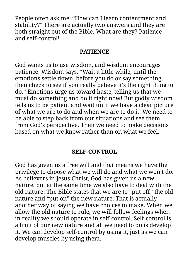People often ask me, "How can I learn contentment and stability?" There are actually two answers and they are both straight out of the Bible. What are they? Patience and self-control!

#### **PATIENCE**

God wants us to use wisdom, and wisdom encourages patience. Wisdom says, "Wait a little while, until the emotions settle down, before you do or say something, then check to see if you really believe it's the right thing to do." Emotions urge us toward haste, telling us that we must do something and do it right now! But godly wisdom tells us to be patient and wait until we have a clear picture of what we are to do and when we are to do it. We need to be able to step back from our situations and see them from God's perspective. Then we need to make decisions based on what we know rather than on what we feel.

#### **SELF-CONTROL**

God has given us a free will and that means we have the privilege to choose what we will do and what we won't do. As believers in Jesus Christ, God has given us a new nature, but at the same time we also have to deal with the old nature. The Bible states that we are to "put off" the old nature and "put on" the new nature. That is actually another way of saying we have choices to make. When we allow the old nature to rule, we will follow feelings when in reality we should operate in self-control. Self-control is a fruit of our new nature and all we need to do is develop it. We can develop self-control by using it, just as we can develop muscles by using them.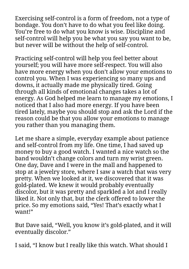Exercising self-control is a form of freedom, not a type of bondage. You don't have to do what you feel like doing. You're free to do what you know is wise. Discipline and self-control will help you be what you say you want to be, but never will be without the help of self-control.

Practicing self-control will help you feel better about yourself; you will have more self-respect. You will also have more energy when you don't allow your emotions to control you. When I was experiencing so many ups and downs, it actually made me physically tired. Going through all kinds of emotional changes takes a lot of energy. As God helped me learn to manage my emotions, I noticed that I also had more energy. If you have been tired lately, maybe you should stop and ask the Lord if the reason could be that you allow your emotions to manage you rather than you managing them.

Let me share a simple, everyday example about patience and self-control from my life. One time, I had saved up money to buy a good watch. I wanted a nice watch so the band wouldn't change colors and turn my wrist green. One day, Dave and I were in the mall and happened to stop at a jewelry store, where I saw a watch that was very pretty. When we looked at it, we discovered that it was gold-plated. We knew it would probably eventually discolor, but it was pretty and sparkled a lot and I really liked it. Not only that, but the clerk offered to lower the price. So my emotions said, "Yes! That's exactly what I want!"

But Dave said, "Well, you know it's gold-plated, and it will eventually discolor."

I said, "I know but I really like this watch. What should I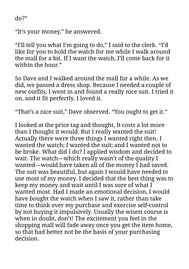do?"

"It's your money," he answered.

"I'll tell you what I'm going to do," I said to the clerk. "I'd like for you to hold the watch for me while I walk around the mall for a bit. If I want the watch, I'll come back for it within the hour."

So Dave and I walked around the mall for a while. As we did, we passed a dress shop. Because I needed a couple of new outfits, I went in and found a really nice suit. I tried it on, and it fit perfectly. I loved it.

"That's a nice suit," Dave observed. "You ought to get it."

I looked at the price tag and thought, It costs a lot more than I thought it would. But I really wanted the suit! Actually there were three things I wanted right then. I wanted the watch; I wanted the suit; and I wanted not to be broke. What did I do? I applied wisdom and decided to wait. The watch—which really wasn't of the quality I wanted—would have taken all of the money I had saved. The suit was beautiful, but again I would have needed to use most of my money. I decided that the best thing was to keep my money and wait until I was sure of what I wanted most. Had I made an emotional decision, I would have bought the watch when I saw it, rather than take time to think over my purchase and exercise self-control by not buying it impulsively. Usually the wisest course is when in doubt, don't! The excitement you feel in the shopping mall will fade away once you get the item home, so that had better not be the basis of your purchasing decision.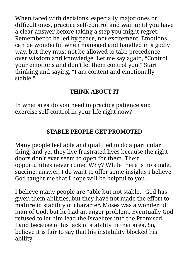When faced with decisions, especially major ones or difficult ones, practice self-control and wait until you have a clear answer before taking a step you might regret. Remember to be led by peace, not excitement. Emotions can be wonderful when managed and handled in a godly way, but they must not be allowed to take precedence over wisdom and knowledge. Let me say again, "Control your emotions and don't let them control you." Start thinking and saying, "I am content and emotionally stable."

#### **THINK ABOUT IT**

In what area do you need to practice patience and exercise self-control in your life right now?

#### **STABLE PEOPLE GET PROMOTED**

Many people feel able and qualified to do a particular thing, and yet they live frustrated lives because the right doors don't ever seem to open for them. Their opportunities never come. Why? While there is no single, succinct answer, I do want to offer some insights I believe God taught me that I hope will be helpful to you.

I believe many people are "able but not stable." God has given them abilities, but they have not made the effort to mature in stability of character. Moses was a wonderful man of God; but he had an anger problem. Eventually God refused to let him lead the Israelites into the Promised Land because of his lack of stability in that area. So, I believe it is fair to say that his instability blocked his ability.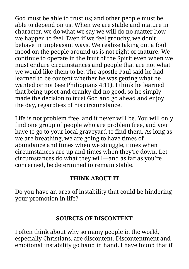God must be able to trust us; and other people must be able to depend on us. When we are stable and mature in character, we do what we say we will do no matter how we happen to feel. Even if we feel grouchy, we don't behave in unpleasant ways. We realize taking out a foul mood on the people around us is not right or mature. We continue to operate in the fruit of the Spirit even when we must endure circumstances and people that are not what we would like them to be. The apostle Paul said he had learned to be content whether he was getting what he wanted or not (see Philippians 4:11). I think he learned that being upset and cranky did no good, so he simply made the decision to trust God and go ahead and enjoy the day, regardless of his circumstance.

Life is not problem free, and it never will be. You will only find one group of people who are problem free, and you have to go to your local graveyard to find them. As long as we are breathing, we are going to have times of abundance and times when we struggle, times when circumstances are up and times when they're down. Let circumstances do what they will—and as far as you're concerned, be determined to remain stable.

## **THINK ABOUT IT**

Do you have an area of instability that could be hindering your promotion in life?

## **SOURCES OF DISCONTENT**

I often think about why so many people in the world, especially Christians, are discontent. Discontentment and emotional instability go hand in hand. I have found that if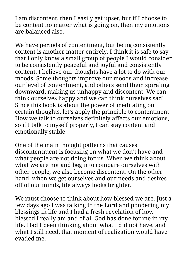I am discontent, then I easily get upset, but if I choose to be content no matter what is going on, then my emotions are balanced also.

We have periods of contentment, but being consistently content is another matter entirely. I think it is safe to say that I only know a small group of people I would consider to be consistently peaceful and joyful and consistently content. I believe our thoughts have a lot to do with our moods. Some thoughts improve our moods and increase our level of contentment, and others send them spiraling downward, making us unhappy and discontent. We can think ourselves happy and we can think ourselves sad! Since this book is about the power of meditating on certain thoughts, let's apply the principle to contentment. How we talk to ourselves definitely affects our emotions, so if I talk to myself properly, I can stay content and emotionally stable.

One of the main thought patterns that causes discontentment is focusing on what we don't have and what people are not doing for us. When we think about what we are not and begin to compare ourselves with other people, we also become discontent. On the other hand, when we get ourselves and our needs and desires off of our minds, life always looks brighter.

We must choose to think about how blessed we are. Just a few days ago I was talking to the Lord and pondering my blessings in life and I had a fresh revelation of how blessed I really am and of all God has done for me in my life. Had I been thinking about what I did not have, and what I still need, that moment of realization would have evaded me.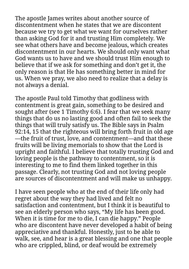The apostle James writes about another source of discontentment when he states that we are discontent because we try to get what we want for ourselves rather than asking God for it and trusting Him completely. We see what others have and become jealous, which creates discontentment in our hearts. We should only want what God wants us to have and we should trust Him enough to believe that if we ask for something and don't get it, the only reason is that He has something better in mind for us. When we pray, we also need to realize that a delay is not always a denial.

The apostle Paul told Timothy that godliness with contentment is great gain, something to be desired and sought after (see 1 Timothy 6:6). I fear that we seek many things that do us no lasting good and often fail to seek the things that will truly satisfy us. The Bible says in Psalm 92:14, 15 that the righteous will bring forth fruit in old age —the fruit of trust, love, and contentment—and that these fruits will be living memorials to show that the Lord is upright and faithful. I believe that totally trusting God and loving people is the pathway to contentment, so it is interesting to me to find them linked together in this passage. Clearly, not trusting God and not loving people are sources of discontentment and will make us unhappy.

I have seen people who at the end of their life only had regret about the way they had lived and felt no satisfaction and contentment, but I think it is beautiful to see an elderly person who says, "My life has been good. When it is time for me to die, I can die happy." People who are discontent have never developed a habit of being appreciative and thankful. Honestly, just to be able to walk, see, and hear is a great blessing and one that people who are crippled, blind, or deaf would be extremely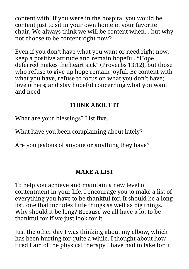content with. If you were in the hospital you would be content just to sit in your own home in your favorite chair. We always think we will be content when… but why not choose to be content right now?

Even if you don't have what you want or need right now, keep a positive attitude and remain hopeful. "Hope deferred makes the heart sick" (Proverbs 13:12), but those who refuse to give up hope remain joyful. Be content with what you have, refuse to focus on what you don't have; love others; and stay hopeful concerning what you want and need.

## **THINK ABOUT IT**

What are your blessings? List five.

What have you been complaining about lately?

Are you jealous of anyone or anything they have?

## **MAKE A LIST**

To help you achieve and maintain a new level of contentment in your life, I encourage you to make a list of everything you have to be thankful for. It should be a long list, one that includes little things as well as big things. Why should it be long? Because we all have a lot to be thankful for if we just look for it.

Just the other day I was thinking about my elbow, which has been hurting for quite a while. I thought about how tired I am of the physical therapy I have had to take for it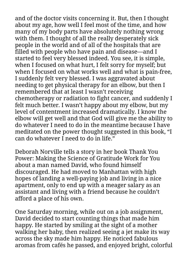and of the doctor visits concerning it. But, then I thought about my age, how well I feel most of the time, and how many of my body parts have absolutely nothing wrong with them. I thought of all the really desperately sick people in the world and of all of the hospitals that are filled with people who have pain and disease—and I started to feel very blessed indeed. You see, it is simple, when I focused on what hurt, I felt sorry for myself; but when I focused on what works well and what is pain-free, I suddenly felt very blessed. I was aggravated about needing to get physical therapy for an elbow, but then I remembered that at least I wasn't receiving chemotherapy or radiation to fight cancer, and suddenly I felt much better. I wasn't happy about my elbow, but my level of contentment increased dramatically. I know the elbow will get well and that God will give me the ability to do whatever I need to do in the meantime because I have meditated on the power thought suggested in this book, "I can do whatever  $\overline{I}$  need to do in life."

Deborah Norville tells a story in her book Thank You Power: Making the Science of Gratitude Work for You about a man named David, who found himself discouraged. He had moved to Manhattan with high hopes of landing a well-paying job and living in a nice apartment, only to end up with a meager salary as an assistant and living with a friend because he couldn't afford a place of his own.

One Saturday morning, while out on a job assignment, David decided to start counting things that made him happy. He started by smiling at the sight of a mother walking her baby, then realized seeing a jet make its way across the sky made him happy. He noticed fabulous aromas from cafés he passed, and enjoyed bright, colorful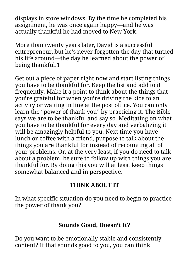displays in store windows. By the time he completed his assignment, he was once again happy—and he was actually thankful he had moved to New York.

More than twenty years later, David is a successful entrepreneur, but he's never forgotten the day that turned his life around—the day he learned about the power of being thankful.1

Get out a piece of paper right now and start listing things you have to be thankful for. Keep the list and add to it frequently. Make it a point to think about the things that you're grateful for when you're driving the kids to an activity or waiting in line at the post office. You can only learn the "power of thank you" by practicing it. The Bible says we are to be thankful and say so. Meditating on what you have to be thankful for every day and verbalizing it will be amazingly helpful to you. Next time you have lunch or coffee with a friend, purpose to talk about the things you are thankful for instead of recounting all of your problems. Or, at the very least, if you do need to talk about a problem, be sure to follow up with things you are thankful for. By doing this you will at least keep things somewhat balanced and in perspective.

## **THINK ABOUT IT**

In what specific situation do you need to begin to practice the power of thank you?

# **Sounds Good, Doesn't It?**

Do you want to be emotionally stable and consistently content? If that sounds good to you, you can think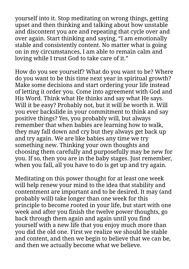yourself into it. Stop meditating on wrong things, getting upset and then thinking and talking about how unstable and discontent you are and repeating that cycle over and over again. Start thinking and saying, "I am emotionally stable and consistently content. No matter what is going on in my circumstances, I am able to remain calm and loving while I trust God to take care of it."

How do you see yourself? What do you want to be? Where do you want to be this time next year in spiritual growth? Make some decisions and start ordering your life instead of letting it order you. Come into agreement with God and His Word. Think what He thinks and say what He says. Will it be easy? Probably not, but it will be worth it. Will you ever backslide in your commitment to think and say positive things? Yes, you probably will, but always remember that when babies are learning how to walk, they may fall down and cry but they always get back up and try again. We are like babies any time we try something new. Thinking your own thoughts and choosing them carefully and purposefully may be new for you. If so, then you are in the baby stages. Just remember, when you fall, all you have to do is get up and try again.

Meditating on this power thought for at least one week will help renew your mind to the idea that stability and contentment are important and to be desired. It may (and probably will) take longer than one week for this principle to become rooted in your life, but start with one week and after you finish the twelve power thoughts, go back through them again and again until you find yourself with a new life that you enjoy much more than you did the old one. First we realize we should be stable and content, and then we begin to believe that we can be, and then we actually become what we believe.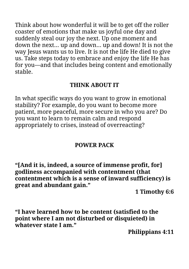Think about how wonderful it will be to get off the roller coaster of emotions that make us joyful one day and suddenly steal our joy the next. Up one moment and down the next… up and down… up and down! It is not the way Jesus wants us to live. It is not the life He died to give us. Take steps today to embrace and enjoy the life He has for you—and that includes being content and emotionally stable.

## **THINK ABOUT IT**

In what specific ways do you want to grow in emotional stability? For example, do you want to become more patient, more peaceful, more secure in who you are? Do you want to learn to remain calm and respond appropriately to crises, instead of overreacting?

# **POWER PACK**

**"[And it is, indeed, a source of immense profit, for] godliness accompanied with contentment (that contentment which is a sense of inward sufficiency) is great and abundant gain."**

**1 Timothy 6:6**

**"I have learned how to be content (satisfied to the point where I am not disturbed or disquieted) in whatever state I am."**

**Philippians 4:11**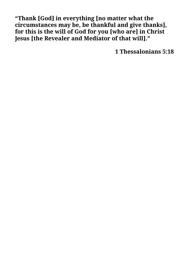**"Thank [God] in everything [no matter what the circumstances may be, be thankful and give thanks], for this is the will of God for you [who are] in Christ Jesus [the Revealer and Mediator of that will]."**

**1 Thessalonians 5:18**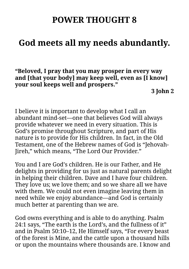# **POWER THOUGHT 8**

# **God meets all my needs abundantly.**

**"Beloved, I pray that you may prosper in every way and [that your body] may keep well, even as [I know] your soul keeps well and prospers."**

**3 John 2**

I believe it is important to develop what I call an abundant mind-set—one that believes God will always provide whatever we need in every situation. This is God's promise throughout Scripture, and part of His nature is to provide for His children. In fact, in the Old Testament, one of the Hebrew names of God is "Jehovah-Jireh," which means, "The Lord Our Provider."

You and I are God's children. He is our Father, and He delights in providing for us just as natural parents delight in helping their children. Dave and I have four children. They love us; we love them; and so we share all we have with them. We could not even imagine leaving them in need while we enjoy abundance—and God is certainly much better at parenting than we are.

God owns everything and is able to do anything. Psalm 24:1 says, "The earth is the Lord's, and the fullness of it" and in Psalm 50:10–12, He Himself says, "For every beast of the forest is Mine, and the cattle upon a thousand hills or upon the mountains where thousands are. I know and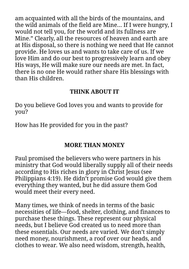am acquainted with all the birds of the mountains, and the wild animals of the field are Mine… If I were hungry, I would not tell you, for the world and its fullness are Mine." Clearly, all the resources of heaven and earth are at His disposal, so there is nothing we need that He cannot provide. He loves us and wants to take care of us. If we love Him and do our best to progressively learn and obey His ways, He will make sure our needs are met. In fact, there is no one He would rather share His blessings with than His children.

## **THINK ABOUT IT**

Do you believe God loves you and wants to provide for you?

How has He provided for you in the past?

## **MORE THAN MONEY**

Paul promised the believers who were partners in his ministry that God would liberally supply all of their needs according to His riches in glory in Christ Jesus (see Philippians 4:19). He didn't promise God would give them everything they wanted, but he did assure them God would meet their every need.

Many times, we think of needs in terms of the basic necessities of life—food, shelter, clothing, and finances to purchase these things. These represent our physical needs, but I believe God created us to need more than these essentials. Our needs are varied. We don't simply need money, nourishment, a roof over our heads, and clothes to wear. We also need wisdom, strength, health,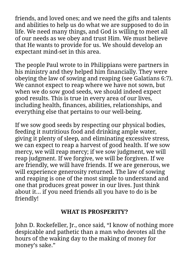friends, and loved ones; and we need the gifts and talents and abilities to help us do what we are supposed to do in life. We need many things, and God is willing to meet all of our needs as we obey and trust Him. We must believe that He wants to provide for us. We should develop an expectant mind-set in this area.

The people Paul wrote to in Philippians were partners in his ministry and they helped him financially. They were obeying the law of sowing and reaping (see Galatians 6:7). We cannot expect to reap where we have not sown, but when we do sow good seeds, we should indeed expect good results. This is true in every area of our lives, including health, finances, abilities, relationships, and everything else that pertains to our well-being.

If we sow good seeds by respecting our physical bodies, feeding it nutritious food and drinking ample water, giving it plenty of sleep, and eliminating excessive stress, we can expect to reap a harvest of good health. If we sow mercy, we will reap mercy; if we sow judgment, we will reap judgment. If we forgive, we will be forgiven. If we are friendly, we will have friends. If we are generous, we will experience generosity returned. The law of sowing and reaping is one of the most simple to understand and one that produces great power in our lives. Just think about it… if you need friends all you have to do is be friendly!

## **WHAT IS PROSPERITY?**

John D. Rockefeller, Jr., once said, "I know of nothing more despicable and pathetic than a man who devotes all the hours of the waking day to the making of money for money's sake."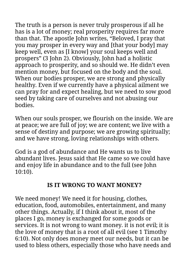The truth is a person is never truly prosperous if all he has is a lot of money; real prosperity requires far more than that. The apostle John writes, "Beloved, I pray that you may prosper in every way and [that your body] may keep well, even as [I know] your soul keeps well and prospers" (3 John 2). Obviously, John had a holistic approach to prosperity, and so should we. He didn't even mention money, but focused on the body and the soul. When our bodies prosper, we are strong and physically healthy. Even if we currently have a physical ailment we can pray for and expect healing, but we need to sow good seed by taking care of ourselves and not abusing our bodies.

When our souls prosper, we flourish on the inside. We are at peace; we are full of joy; we are content; we live with a sense of destiny and purpose; we are growing spiritually; and we have strong, loving relationships with others.

God is a god of abundance and He wants us to live abundant lives. Jesus said that He came so we could have and enjoy life in abundance and to the full (see John 10:10).

## **IS IT WRONG TO WANT MONEY?**

We need money! We need it for housing, clothes, education, food, automobiles, entertainment, and many other things. Actually, if I think about it, most of the places I go, money is exchanged for some goods or services. It is not wrong to want money. it is not evil; it is the love of money that is a root of all evil (see 1 Timothy 6:10). Not only does money meet our needs, but it can be used to bless others, especially those who have needs and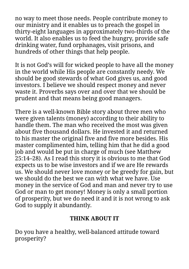no way to meet those needs. People contribute money to our ministry and it enables us to preach the gospel in thirty-eight languages in approximately two-thirds of the world. It also enables us to feed the hungry, provide safe drinking water, fund orphanages, visit prisons, and hundreds of other things that help people.

It is not God's will for wicked people to have all the money in the world while His people are constantly needy. We should be good stewards of what God gives us, and good investors. I believe we should respect money and never waste it. Proverbs says over and over that we should be prudent and that means being good managers.

There is a well-known Bible story about three men who were given talents (money) according to their ability to handle them. The man who received the most was given about five thousand dollars. He invested it and returned to his master the original five and five more besides. His master complimented him, telling him that he did a good job and would be put in charge of much (see Matthew 25:14–28). As I read this story it is obvious to me that God expects us to be wise investors and if we are He rewards us. We should never love money or be greedy for gain, but we should do the best we can with what we have. Use money in the service of God and man and never try to use God or man to get money! Money is only a small portion of prosperity, but we do need it and it is not wrong to ask God to supply it abundantly.

## **THINK ABOUT IT**

Do you have a healthy, well-balanced attitude toward prosperity?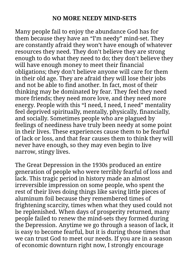#### **NO MORE NEEDY MIND-SETS**

Many people fail to enjoy the abundance God has for them because they have an "I'm needy" mind-set. They are constantly afraid they won't have enough of whatever resources they need. They don't believe they are strong enough to do what they need to do; they don't believe they will have enough money to meet their financial obligations; they don't believe anyone will care for them in their old age. They are afraid they will lose their jobs and not be able to find another. In fact, most of their thinking may be dominated by fear. They feel they need more friends; they need more love, and they need more energy. People with this "I need, I need, I need" mentality feel deprived spiritually, mentally, physically, financially, and socially. Sometimes people who are plagued by feelings of neediness have truly been needy at some point in their lives. These experiences cause them to be fearful of lack or loss, and that fear causes them to think they will never have enough, so they may even begin to live narrow, stingy lives.

The Great Depression in the 1930s produced an entire generation of people who were terribly fearful of loss and lack. This tragic period in history made an almost irreversible impression on some people, who spent the rest of their lives doing things like saving little pieces of aluminum foil because they remembered times of frightening scarcity, times when what they used could not be replenished. When days of prosperity returned, many people failed to renew the mind-sets they formed during the Depression. Anytime we go through a season of lack, it is easy to become fearful, but it is during those times that we can trust God to meet our needs. If you are in a season of economic downturn right now, I strongly encourage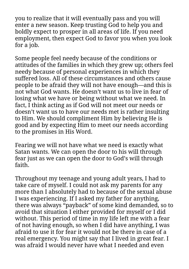you to realize that it will eventually pass and you will enter a new season. Keep trusting God to help you and boldly expect to prosper in all areas of life. If you need employment, then expect God to favor you when you look for a job.

Some people feel needy because of the conditions or attitudes of the families in which they grew up; others feel needy because of personal experiences in which they suffered loss. All of these circumstances and others cause people to be afraid they will not have enough—and this is not what God wants. He doesn't want us to live in fear of losing what we have or being without what we need. In fact, I think acting as if God will not meet our needs or doesn't want us to have our needs met is rather insulting to Him. We should compliment Him by believing He is good and by expecting Him to meet our needs according to the promises in His Word.

Fearing we will not have what we need is exactly what Satan wants. We can open the door to his will through fear just as we can open the door to God's will through faith.

Throughout my teenage and young adult years, I had to take care of myself. I could not ask my parents for any more than I absolutely had to because of the sexual abuse I was experiencing. If I asked my father for anything, there was always "payback" of some kind demanded, so to avoid that situation I either provided for myself or I did without. This period of time in my life left me with a fear of not having enough, so when I did have anything, I was afraid to use it for fear it would not be there in case of a real emergency. You might say that I lived in great fear. I was afraid I would never have what I needed and even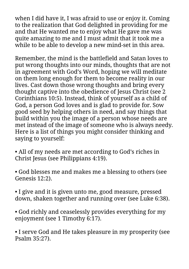when I did have it, I was afraid to use or enjoy it. Coming to the realization that God delighted in providing for me and that He wanted me to enjoy what He gave me was quite amazing to me and I must admit that it took me a while to be able to develop a new mind-set in this area.

Remember, the mind is the battlefield and Satan loves to put wrong thoughts into our minds, thoughts that are not in agreement with God's Word, hoping we will meditate on them long enough for them to become reality in our lives. Cast down those wrong thoughts and bring every thought captive into the obedience of Jesus Christ (see 2 Corinthians 10:5). Instead, think of yourself as a child of God, a person God loves and is glad to provide for. Sow good seed by helping others in need, and say things that build within you the image of a person whose needs are met instead of the image of someone who is always needy. Here is a list of things you might consider thinking and saying to yourself:

- All of my needs are met according to God's riches in Christ Jesus (see Philippians 4:19).
- God blesses me and makes me a blessing to others (see Genesis 12:2).
- I give and it is given unto me, good measure, pressed down, shaken together and running over (see Luke 6:38).
- God richly and ceaselessly provides everything for my enjoyment (see 1 Timothy 6:17).
- I serve God and He takes pleasure in my prosperity (see Psalm 35:27).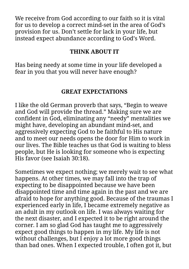We receive from God according to our faith so it is vital for us to develop a correct mind-set in the area of God's provision for us. Don't settle for lack in your life, but instead expect abundance according to God's Word.

## **THINK ABOUT IT**

Has being needy at some time in your life developed a fear in you that you will never have enough?

#### **GREAT EXPECTATIONS**

I like the old German proverb that says, "Begin to weave and God will provide the thread." Making sure we are confident in God, eliminating any "needy" mentalities we might have, developing an abundant mind-set, and aggressively expecting God to be faithful to His nature and to meet our needs opens the door for Him to work in our lives. The Bible teaches us that God is waiting to bless people, but He is looking for someone who is expecting His favor (see Isaiah 30:18).

Sometimes we expect nothing; we merely wait to see what happens. At other times, we may fall into the trap of expecting to be disappointed because we have been disappointed time and time again in the past and we are afraid to hope for anything good. Because of the traumas I experienced early in life, I became extremely negative as an adult in my outlook on life. I was always waiting for the next disaster, and I expected it to be right around the corner. I am so glad God has taught me to aggressively expect good things to happen in my life. My life is not without challenges, but I enjoy a lot more good things than bad ones. When I expected trouble, I often got it, but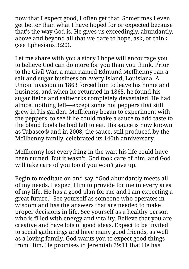now that I expect good, I often get that. Sometimes I even get better than what I have hoped for or expected because that's the way God is. He gives us exceedingly, abundantly, above and beyond all that we dare to hope, ask, or think (see Ephesians 3:20).

Let me share with you a story I hope will encourage you to believe God can do more for you than you think. Prior to the Civil War, a man named Edmund McIlhenny ran a salt and sugar business on Avery Island, Louisiana. A Union invasion in 1863 forced him to leave his home and business, and when he returned in 1865, he found his sugar fields and saltworks completely devastated. He had almost nothing left—except some hot peppers that still grew in his garden. McIlhenny began to experiment with the peppers, to see if he could make a sauce to add taste to the bland foods he had left to eat. His sauce is now known as Tabasco® and in 2008, the sauce, still produced by the McIlhenny family, celebrated its 140th anniversary.

McIlhenny lost everything in the war; his life could have been ruined. But it wasn't. God took care of him, and God will take care of you too if you won't give up.

Begin to meditate on and say, "God abundantly meets all of my needs. I expect Him to provide for me in every area of my life. He has a good plan for me and I am expecting a great future." See yourself as someone who operates in wisdom and has the answers that are needed to make proper decisions in life. See yourself as a healthy person who is filled with energy and vitality. Believe that you are creative and have lots of good ideas. Expect to be invited to social gatherings and have many good friends, as well as a loving family. God wants you to expect good things from Him. He promises in Jeremiah 29:11 that He has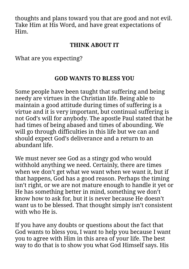thoughts and plans toward you that are good and not evil. Take Him at His Word, and have great expectations of Him.

## **THINK ABOUT IT**

What are you expecting?

## **GOD WANTS TO BLESS YOU**

Some people have been taught that suffering and being needy are virtues in the Christian life. Being able to maintain a good attitude during times of suffering is a virtue and it is very important, but continual suffering is not God's will for anybody. The apostle Paul stated that he had times of being abased and times of abounding. We will go through difficulties in this life but we can and should expect God's deliverance and a return to an abundant life.

We must never see God as a stingy god who would withhold anything we need. Certainly, there are times when we don't get what we want when we want it, but if that happens, God has a good reason. Perhaps the timing isn't right, or we are not mature enough to handle it yet or He has something better in mind, something we don't know how to ask for, but it is never because He doesn't want us to be blessed. That thought simply isn't consistent with who He is.

If you have any doubts or questions about the fact that God wants to bless you, I want to help you because I want you to agree with Him in this area of your life. The best way to do that is to show you what God Himself says. His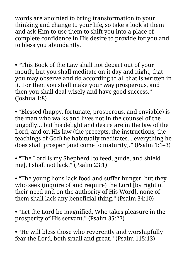words are anointed to bring transformation to your thinking and change to your life, so take a look at them and ask Him to use them to shift you into a place of complete confidence in His desire to provide for you and to bless you abundantly.

• "This Book of the Law shall not depart out of your mouth, but you shall meditate on it day and night, that you may observe and do according to all that is written in it. For then you shall make your way prosperous, and then you shall deal wisely and have good success." (Joshua 1:8)

• "Blessed (happy, fortunate, prosperous, and enviable) is the man who walks and lives not in the counsel of the ungodly… but his delight and desire are in the law of the Lord, and on His law (the precepts, the instructions, the teachings of God) he habitually meditates… everything he does shall prosper [and come to maturity]." (Psalm 1:1–3)

• "The Lord is my Shepherd [to feed, guide, and shield me], I shall not lack." (Psalm 23:1)

• "The young lions lack food and suffer hunger, but they who seek (inquire of and require) the Lord [by right of their need and on the authority of His Word], none of them shall lack any beneficial thing." (Psalm 34:10)

• "Let the Lord be magnified, Who takes pleasure in the prosperity of His servant." (Psalm 35:27)

• "He will bless those who reverently and worshipfully fear the Lord, both small and great." (Psalm 115:13)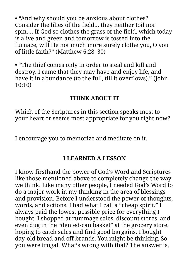• "And why should you be anxious about clothes? Consider the lilies of the field... they neither toil nor spin…. If God so clothes the grass of the field, which today is alive and green and tomorrow is tossed into the furnace, will He not much more surely clothe you, O you of little faith?" (Matthew 6:28–30)

• "The thief comes only in order to steal and kill and destroy. I came that they may have and enjoy life, and have it in abundance (to the full, till it overflows)." (John 10:10)

## **THINK ABOUT IT**

Which of the Scriptures in this section speaks most to your heart or seems most appropriate for you right now?

I encourage you to memorize and meditate on it.

# **I LEARNED A LESSON**

I know firsthand the power of God's Word and Scriptures like those mentioned above to completely change the way we think. Like many other people, I needed God's Word to do a major work in my thinking in the area of blessings and provision. Before I understood the power of thoughts, words, and actions, I had what I call a "cheap spirit." I always paid the lowest possible price for everything I bought. I shopped at rummage sales, discount stores, and even dug in the "dented-can basket" at the grocery store, hoping to catch sales and find good bargains. I bought day-old bread and off-brands. You might be thinking, So you were frugal. What's wrong with that? The answer is,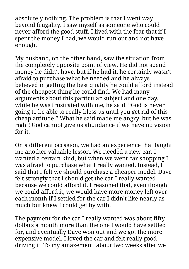absolutely nothing. The problem is that I went way beyond frugality. I saw myself as someone who could never afford the good stuff. I lived with the fear that if I spent the money I had, we would run out and not have enough.

My husband, on the other hand, saw the situation from the completely opposite point of view. He did not spend money he didn't have, but if he had it, he certainly wasn't afraid to purchase what he needed and he always believed in getting the best quality he could afford instead of the cheapest thing he could find. We had many arguments about this particular subject and one day, while he was frustrated with me, he said, "God is never going to be able to really bless us until you get rid of this cheap attitude." What he said made me angry, but he was right! God cannot give us abundance if we have no vision for it.

On a different occasion, we had an experience that taught me another valuable lesson. We needed a new car. I wanted a certain kind, but when we went car shopping I was afraid to purchase what I really wanted. Instead, I said that I felt we should purchase a cheaper model. Dave felt strongly that I should get the car I really wanted because we could afford it. I reasoned that, even though we could afford it, we would have more money left over each month if I settled for the car I didn't like nearly as much but knew I could get by with.

The payment for the car I really wanted was about fifty dollars a month more than the one I would have settled for, and eventually Dave won out and we got the more expensive model. I loved the car and felt really good driving it. To my amazement, about two weeks after we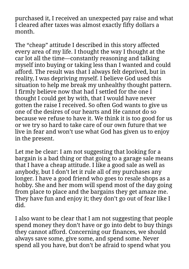purchased it, I received an unexpected pay raise and what I cleared after taxes was almost exactly fifty dollars a month.

The "cheap" attitude I described in this story affected every area of my life. I thought the way I thought at the car lot all the time—constantly reasoning and talking myself into buying or taking less than I wanted and could afford. The result was that I always felt deprived, but in reality, I was depriving myself. I believe God used this situation to help me break my unhealthy thought pattern. I firmly believe now that had I settled for the one I thought I could get by with, that I would have never gotten the raise I received. So often God wants to give us one of the desires of our hearts and He cannot do so because we refuse to have it. We think it is too good for us or we try so hard to take care of our own future that we live in fear and won't use what God has given us to enjoy in the present.

Let me be clear: I am not suggesting that looking for a bargain is a bad thing or that going to a garage sale means that I have a cheap attitude. I like a good sale as well as anybody, but I don't let it rule all of my purchases any longer. I have a good friend who goes to resale shops as a hobby. She and her mom will spend most of the day going from place to place and the bargains they get amaze me. They have fun and enjoy it; they don't go out of fear like I did.

I also want to be clear that I am not suggesting that people spend money they don't have or go into debt to buy things they cannot afford. Concerning our finances, we should always save some, give some, and spend some. Never spend all you have, but don't be afraid to spend what you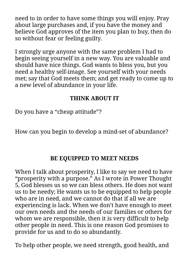need to in order to have some things you will enjoy. Pray about large purchases and, if you have the money and believe God approves of the item you plan to buy, then do so without fear or feeling guilty.

I strongly urge anyone with the same problem I had to begin seeing yourself in a new way. You are valuable and should have nice things. God wants to bless you, but you need a healthy self-image. See yourself with your needs met; say that God meets them; and get ready to come up to a new level of abundance in your life.

## **THINK ABOUT IT**

Do you have a "cheap attitude"?

How can you begin to develop a mind-set of abundance?

# **BE EQUIPPED TO MEET NEEDS**

When I talk about prosperity, I like to say we need to have "prosperity with a purpose." As I wrote in Power Thought 5, God blesses us so we can bless others. He does not want us to be needy; He wants us to be equipped to help people who are in need, and we cannot do that if all we are experiencing is lack. When we don't have enough to meet our own needs and the needs of our families or others for whom we are responsible, then it is very difficult to help other people in need. This is one reason God promises to provide for us and to do so abundantly.

To help other people, we need strength, good health, and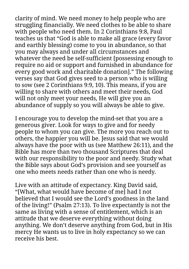clarity of mind. We need money to help people who are struggling financially. We need clothes to be able to share with people who need them. In 2 Corinthians 9:8, Paul teaches us that "God is able to make all grace (every favor and earthly blessing) come to you in abundance, so that you may always and under all circumstances and whatever the need be self-sufficient [possessing enough to require no aid or support and furnished in abundance for every good work and charitable donation]." The following verses say that God gives seed to a person who is willing to sow (see 2 Corinthians 9:9, 10). This means, if you are willing to share with others and meet their needs, God will not only meet your needs, He will give you an abundance of supply so you will always be able to give.

I encourage you to develop the mind-set that you are a generous giver. Look for ways to give and for needy people to whom you can give. The more you reach out to others, the happier you will be. Jesus said that we would always have the poor with us (see Matthew 26:11), and the Bible has more than two thousand Scriptures that deal with our responsibility to the poor and needy. Study what the Bible says about God's provision and see yourself as one who meets needs rather than one who is needy.

Live with an attitude of expectancy. King David said, "[What, what would have become of me] had I not believed that I would see the Lord's goodness in the land of the living!" (Psalm 27:13). To live expectantly is not the same as living with a sense of entitlement, which is an attitude that we deserve everything without doing anything. We don't deserve anything from God, but in His mercy He wants us to live in holy expectancy so we can receive his best.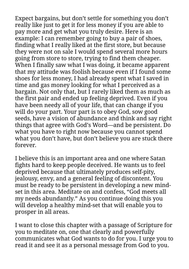Expect bargains, but don't settle for something you don't really like just to get it for less money if you are able to pay more and get what you truly desire. Here is an example: I can remember going to buy a pair of shoes, finding what I really liked at the first store, but because they were not on sale I would spend several more hours going from store to store, trying to find them cheaper. When I finally saw what I was doing, it became apparent that my attitude was foolish because even if I found some shoes for less money, I had already spent what I saved in time and gas money looking for what I perceived as a bargain. Not only that, but I rarely liked them as much as the first pair and ended up feeling deprived. Even if you have been needy all of your life, that can change if you will do your part. Your part is to obey God, sow good seeds, have a vision of abundance and think and say right things that agree with God's Word—and be persistent. Do what you have to right now because you cannot spend what you don't have, but don't believe you are stuck there forever.

I believe this is an important area and one where Satan fights hard to keep people deceived. He wants us to feel deprived because that ultimately produces self-pity, jealousy, envy, and a general feeling of discontent. You must be ready to be persistent in developing a new mindset in this area. Meditate on and confess, "God meets all my needs abundantly." As you continue doing this you will develop a healthy mind-set that will enable you to prosper in all areas.

I want to close this chapter with a passage of Scripture for you to meditate on, one that clearly and powerfully communicates what God wants to do for you. I urge you to read it and see it as a personal message from God to you.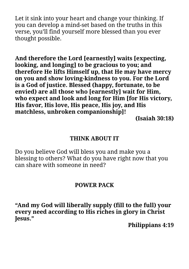Let it sink into your heart and change your thinking. If you can develop a mind-set based on the truths in this verse, you'll find yourself more blessed than you ever thought possible.

**And therefore the Lord [earnestly] waits [expecting, looking, and longing] to be gracious to you; and therefore He lifts Himself up, that He may have mercy on you and show loving-kindness to you. For the Lord is a God of justice. Blessed (happy, fortunate, to be envied) are all those who [earnestly] wait for Him, who expect and look and long for Him [for His victory, His favor, His love, His peace, His joy, and His matchless, unbroken companionship]!**

**(Isaiah 30:18)**

## **THINK ABOUT IT**

Do you believe God will bless you and make you a blessing to others? What do you have right now that you can share with someone in need?

#### **POWER PACK**

**"And my God will liberally supply (fill to the full) your every need according to His riches in glory in Christ Jesus."**

**Philippians 4:19**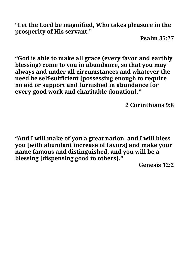**"Let the Lord be magnified, Who takes pleasure in the prosperity of His servant."**

**Psalm 35:27**

**"God is able to make all grace (every favor and earthly blessing) come to you in abundance, so that you may always and under all circumstances and whatever the need be self-sufficient [possessing enough to require no aid or support and furnished in abundance for every good work and charitable donation]."**

**2 Corinthians 9:8**

**"And I will make of you a great nation, and I will bless you [with abundant increase of favors] and make your name famous and distinguished, and you will be a blessing [dispensing good to others]."**

**Genesis 12:2**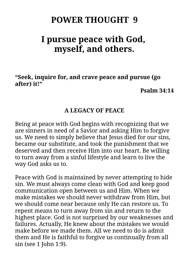# **POWER THOUGHT 9**

# **I pursue peace with God, myself, and others.**

**"Seek, inquire for, and crave peace and pursue (go after) it!"**

**Psalm 34:14**

## **A LEGACY OF PEACE**

Being at peace with God begins with recognizing that we are sinners in need of a Savior and asking Him to forgive us. We need to simply believe that Jesus died for our sins, became our substitute, and took the punishment that we deserved and then receive Him into our heart. Be willing to turn away from a sinful lifestyle and learn to live the way God asks us to.

Peace with God is maintained by never attempting to hide sin. We must always come clean with God and keep good communication open between us and Him. When we make mistakes we should never withdraw from Him, but we should come near because only He can restore us. To repent means to turn away from sin and return to the highest place. God is not surprised by our weaknesses and failures. Actually, He knew about the mistakes we would make before we made them. All we need to do is admit them and He is faithful to forgive us continually from all sin (see 1 John 1:9).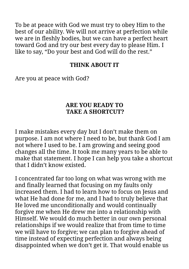To be at peace with God we must try to obey Him to the best of our ability. We will not arrive at perfection while we are in fleshly bodies, but we can have a perfect heart toward God and try our best every day to please Him. I like to say, "Do your best and God will do the rest."

#### **THINK ABOUT IT**

Are you at peace with God?

#### **ARE YOU READY TO TAKE A SHORTCUT?**

I make mistakes every day but I don't make them on purpose. I am not where I need to be, but thank God I am not where I used to be. I am growing and seeing good changes all the time. It took me many years to be able to make that statement. I hope I can help you take a shortcut that I didn't know existed.

I concentrated far too long on what was wrong with me and finally learned that focusing on my faults only increased them. I had to learn how to focus on Jesus and what He had done for me, and I had to truly believe that He loved me unconditionally and would continually forgive me when He drew me into a relationship with Himself. We would do much better in our own personal relationships if we would realize that from time to time we will have to forgive; we can plan to forgive ahead of time instead of expecting perfection and always being disappointed when we don't get it. That would enable us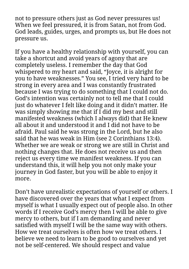not to pressure others just as God never pressures us! When we feel pressured, it is from Satan, not from God. God leads, guides, urges, and prompts us, but He does not pressure us.

If you have a healthy relationship with yourself, you can take a shortcut and avoid years of agony that are completely useless. I remember the day that God whispered to my heart and said, "Joyce, it is alright for you to have weaknesses." You see, I tried very hard to be strong in every area and I was constantly frustrated because I was trying to do something that I could not do. God's intention was certainly not to tell me that I could just do whatever I felt like doing and it didn't matter. He was simply showing me that if I did my best and still manifested weakness (which I always did) that He knew all about it and understood it and I did not have to be afraid. Paul said he was strong in the Lord, but he also said that he was weak in Him (see 2 Corinthians 13:4). Whether we are weak or strong we are still in Christ and nothing changes that. He does not receive us and then reject us every time we manifest weakness. If you can understand this, it will help you not only make your journey in God faster, but you will be able to enjoy it more.

Don't have unrealistic expectations of yourself or others. I have discovered over the years that what I expect from myself is what I usually expect out of people also. In other words if I receive God's mercy then I will be able to give mercy to others, but if I am demanding and never satisfied with myself I will be the same way with others. How we treat ourselves is often how we treat others. I believe we need to learn to be good to ourselves and yet not be self-centered. We should respect and value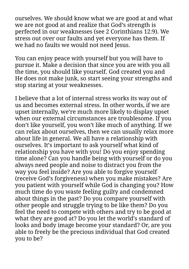ourselves. We should know what we are good at and what we are not good at and realize that God's strength is perfected in our weaknesses (see 2 Corinthians 12:9). We stress out over our faults and yet everyone has them. If we had no faults we would not need Jesus.

You can enjoy peace with yourself but you will have to pursue it. Make a decision that since you are with you all the time, you should like yourself. God created you and He does not make junk, so start seeing your strengths and stop staring at your weaknesses.

I believe that a lot of internal stress works its way out of us and becomes external stress. In other words, if we are upset internally, we're much more likely to display upset when our external circumstances are troublesome. If you don't like yourself, you won't like much of anything. If we can relax about ourselves, then we can usually relax more about life in general. We all have a relationship with ourselves. It's important to ask yourself what kind of relationship you have with you! Do you enjoy spending time alone? Can you handle being with yourself or do you always need people and noise to distract you from the way you feel inside? Are you able to forgive yourself (receive God's forgiveness) when you make mistakes? Are you patient with yourself while God is changing you? How much time do you waste feeling guilty and condemned about things in the past? Do you compare yourself with other people and struggle trying to be like them? Do you feel the need to compete with others and try to be good at what they are good at? Do you let the world's standard of looks and body image become your standard? Or, are you able to freely be the precious individual that God created you to be?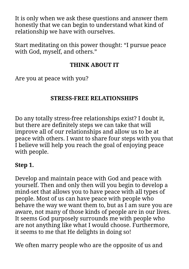It is only when we ask these questions and answer them honestly that we can begin to understand what kind of relationship we have with ourselves.

Start meditating on this power thought: "I pursue peace with God, myself, and others."

## **THINK ABOUT IT**

Are you at peace with you?

## **STRESS-FREE RELATIONSHIPS**

Do any totally stress-free relationships exist? I doubt it, but there are definitely steps we can take that will improve all of our relationships and allow us to be at peace with others. I want to share four steps with you that I believe will help you reach the goal of enjoying peace with people.

## **Step 1.**

Develop and maintain peace with God and peace with yourself. Then and only then will you begin to develop a mind-set that allows you to have peace with all types of people. Most of us can have peace with people who behave the way we want them to, but as I am sure you are aware, not many of those kinds of people are in our lives. It seems God purposely surrounds me with people who are not anything like what I would choose. Furthermore, it seems to me that He delights in doing so!

We often marry people who are the opposite of us and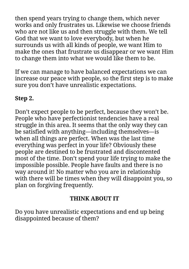then spend years trying to change them, which never works and only frustrates us. Likewise we choose friends who are not like us and then struggle with them. We tell God that we want to love everybody, but when he surrounds us with all kinds of people, we want Him to make the ones that frustrate us disappear or we want Him to change them into what we would like them to be.

If we can manage to have balanced expectations we can increase our peace with people, so the first step is to make sure you don't have unrealistic expectations.

# **Step 2.**

Don't expect people to be perfect, because they won't be. People who have perfectionist tendencies have a real struggle in this area. It seems that the only way they can be satisfied with anything—including themselves—is when all things are perfect. When was the last time everything was perfect in your life? Obviously these people are destined to be frustrated and discontented most of the time. Don't spend your life trying to make the impossible possible. People have faults and there is no way around it! No matter who you are in relationship with there will be times when they will disappoint you, so plan on forgiving frequently.

# **THINK ABOUT IT**

Do you have unrealistic expectations and end up being disappointed because of them?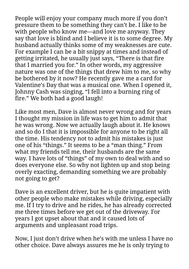People will enjoy your company much more if you don't pressure them to be something they can't be. I like to be with people who know me—and love me anyway. They say that love is blind and I believe it is to some degree. My husband actually thinks some of my weaknesses are cute. For example I can be a bit snippy at times and instead of getting irritated, he usually just says, "There is that fire that I married you for." In other words, my aggressive nature was one of the things that drew him to me, so why be bothered by it now? He recently gave me a card for Valentine's Day that was a musical one. When I opened it, Johnny Cash was singing, "I fell into a burning ring of fire." We both had a good laugh!

Like most men, Dave is almost never wrong and for years I thought my mission in life was to get him to admit that he was wrong. Now we actually laugh about it. He knows and so do I that it is impossible for anyone to be right all the time. His tendency not to admit his mistakes is just one of his "things." It seems to be a "man thing." From what my friends tell me, their husbands are the same way. I have lots of "things" of my own to deal with and so does everyone else. So why not lighten up and stop being overly exacting, demanding something we are probably not going to get?

Dave is an excellent driver, but he is quite impatient with other people who make mistakes while driving, especially me. If I try to drive and he rides, he has already corrected me three times before we get out of the driveway. For years I got upset about that and it caused lots of arguments and unpleasant road trips.

Now, I just don't drive when he's with me unless I have no other choice. Dave always assures me he is only trying to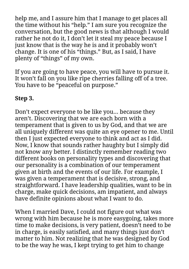help me, and I assure him that I manage to get places all the time without his "help." I am sure you recognize the conversation, but the good news is that although I would rather he not do it, I don't let it steal my peace because I just know that is the way he is and it probably won't change. It is one of his "things." But, as I said, I have plenty of "things" of my own.

If you are going to have peace, you will have to pursue it. It won't fall on you like ripe cherries falling off of a tree. You have to be "peaceful on purpose."

# **Step 3.**

Don't expect everyone to be like you… because they aren't. Discovering that we are each born with a temperament that is given to us by God, and that we are all uniquely different was quite an eye opener to me. Until then I just expected everyone to think and act as I did. Now, I know that sounds rather haughty but I simply did not know any better. I distinctly remember reading two different books on personality types and discovering that our personality is a combination of our temperament given at birth and the events of our life. For example, I was given a temperament that is decisive, strong, and straightforward. I have leadership qualities, want to be in charge, make quick decisions, am impatient, and always have definite opinions about what I want to do.

When I married Dave, I could not figure out what was wrong with him because he is more easygoing, takes more time to make decisions, is very patient, doesn't need to be in charge, is easily satisfied, and many things just don't matter to him. Not realizing that he was designed by God to be the way he was, I kept trying to get him to change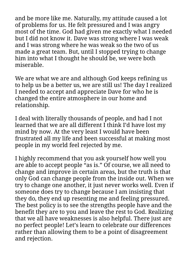and be more like me. Naturally, my attitude caused a lot of problems for us. He felt pressured and I was angry most of the time. God had given me exactly what I needed but I did not know it. Dave was strong where I was weak and I was strong where he was weak so the two of us made a great team. But, until I stopped trying to change him into what I thought he should be, we were both miserable.

We are what we are and although God keeps refining us to help us be a better us, we are still us! The day I realized I needed to accept and appreciate Dave for who he is changed the entire atmosphere in our home and relationship.

I deal with literally thousands of people, and had I not learned that we are all different I think I'd have lost my mind by now. At the very least I would have been frustrated all my life and been successful at making most people in my world feel rejected by me.

I highly recommend that you ask yourself how well you are able to accept people "as is." Of course, we all need to change and improve in certain areas, but the truth is that only God can change people from the inside out. When we try to change one another, it just never works well. Even if someone does try to change because I am insisting that they do, they end up resenting me and feeling pressured. The best policy is to see the strengths people have and the benefit they are to you and leave the rest to God. Realizing that we all have weaknesses is also helpful. There just are no perfect people! Let's learn to celebrate our differences rather than allowing them to be a point of disagreement and rejection.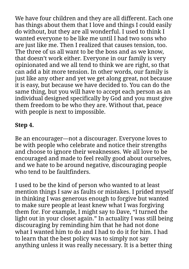We have four children and they are all different. Each one has things about them that I love and things I could easily do without, but they are all wonderful. I used to think I wanted everyone to be like me until I had two sons who are just like me. Then I realized that causes tension, too. The three of us all want to be the boss and as we know, that doesn't work either. Everyone in our family is very opinionated and we all tend to think we are right, so that can add a bit more tension. In other words, our family is just like any other and yet we get along great, not because it is easy, but because we have decided to. You can do the same thing, but you will have to accept each person as an individual designed specifically by God and you must give them freedom to be who they are. Without that, peace with people is next to impossible.

# **Step 4.**

Be an encourager—not a discourager. Everyone loves to be with people who celebrate and notice their strengths and choose to ignore their weaknesses. We all love to be encouraged and made to feel really good about ourselves, and we hate to be around negative, discouraging people who tend to be faultfinders.

I used to be the kind of person who wanted to at least mention things I saw as faults or mistakes. I prided myself in thinking I was generous enough to forgive but wanted to make sure people at least knew what I was forgiving them for. For example, I might say to Dave, "I turned the light out in your closet again." In actuality I was still being discouraging by reminding him that he had not done what I wanted him to do and I had to do it for him. I had to learn that the best policy was to simply not say anything unless it was really necessary. It is a better thing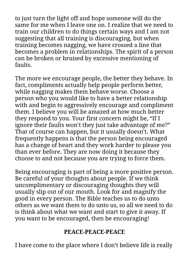to just turn the light off and hope someone will do the same for me when I leave one on. I realize that we need to train our children to do things certain ways and I am not suggesting that all training is discouraging, but when training becomes nagging, we have crossed a line that becomes a problem in relationships. The spirit of a person can be broken or bruised by excessive mentioning of faults.

The more we encourage people, the better they behave. In fact, compliments actually help people perform better, while nagging makes them behave worse. Choose a person who you would like to have a better relationship with and begin to aggressively encourage and compliment them. I believe you will be amazed at how much better they respond to you. Your first concern might be, "If I ignore their faults won't they just take advantage of me?" That of course can happen, but it usually doesn't. What frequently happens is that the person being encouraged has a change of heart and they work harder to please you than ever before. They are now doing it because they choose to and not because you are trying to force them.

Being encouraging is part of being a more positive person. Be careful of your thoughts about people. If we think uncomplimentary or discouraging thoughts they will usually slip out of our mouth. Look for and magnify the good in every person. The Bible teaches us to do unto others as we want them to do unto us, so all we need to do is think about what we want and start to give it away. If you want to be encouraged, then be encouraging!

## **PEACE-PEACE-PEACE**

I have come to the place where I don't believe life is really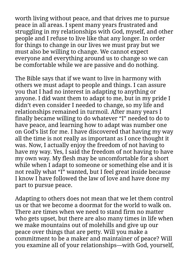worth living without peace, and that drives me to pursue peace in all areas. I spent many years frustrated and struggling in my relationships with God, myself, and other people and I refuse to live like that any longer. In order for things to change in our lives we must pray but we must also be willing to change. We cannot expect everyone and everything around us to change so we can be comfortable while we are passive and do nothing.

The Bible says that if we want to live in harmony with others we must adapt to people and things. I can assure you that I had no interest in adapting to anything or anyone. I did want them to adapt to me, but in my pride I didn't even consider I needed to change, so my life and relationships remained in turmoil. After many years I finally became willing to do whatever "I" needed to do to have peace, and learning how to adapt was number one on God's list for me. I have discovered that having my way all the time is not really as important as I once thought it was. Now, I actually enjoy the freedom of not having to have my way. Yes, I said the freedom of not having to have my own way. My flesh may be uncomfortable for a short while when I adapt to someone or something else and it is not really what "I" wanted, but I feel great inside because I know I have followed the law of love and have done my part to pursue peace.

Adapting to others does not mean that we let them control us or that we become a doormat for the world to walk on. There are times when we need to stand firm no matter who gets upset, but there are also many times in life when we make mountains out of molehills and give up our peace over things that are petty. Will you make a commitment to be a maker and maintainer of peace? Will you examine all of your relationships—with God, yourself,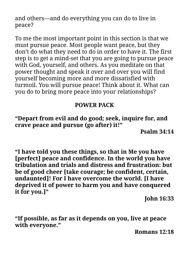and others—and do everything you can do to live in peace?

To me the most important point in this section is that we must pursue peace. Most people want peace, but they don't do what they need to do in order to have it. The first step is to get a mind-set that you are going to pursue peace with God, yourself, and others. As you meditate on that power thought and speak it over and over you will find yourself becoming more and more dissatisfied with turmoil. You will pursue peace! Think about it. What can you do to bring more peace into your relationships?

## **POWER PACK**

**"Depart from evil and do good; seek, inquire for, and crave peace and pursue (go after) it!"**

**Psalm 34:14**

**"I have told you these things, so that in Me you have [perfect] peace and confidence. In the world you have tribulation and trials and distress and frustration: but be of good cheer [take courage; be confident, certain, undaunted]! For I have overcome the world. [I have deprived it of power to harm you and have conquered it for you.]"**

**John 16:33**

**"If possible, as far as it depends on you, live at peace with everyone."** 

 **Romans 12:18**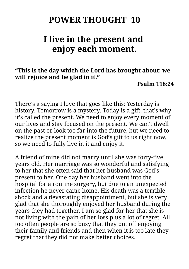# **POWER THOUGHT 10**

# **I live in the present and enjoy each moment.**

**"This is the day which the Lord has brought about; we will rejoice and be glad in it."**

**Psalm 118:24**

There's a saying I love that goes like this: Yesterday is history. Tomorrow is a mystery. Today is a gift; that's why it's called the present. We need to enjoy every moment of our lives and stay focused on the present. We can't dwell on the past or look too far into the future, but we need to realize the present moment is God's gift to us right now, so we need to fully live in it and enjoy it.

A friend of mine did not marry until she was forty-five years old. Her marriage was so wonderful and satisfying to her that she often said that her husband was God's present to her. One day her husband went into the hospital for a routine surgery, but due to an unexpected infection he never came home. His death was a terrible shock and a devastating disappointment, but she is very glad that she thoroughly enjoyed her husband during the years they had together. I am so glad for her that she is not living with the pain of her loss plus a lot of regret. All too often people are so busy that they put off enjoying their family and friends and then when it is too late they regret that they did not make better choices.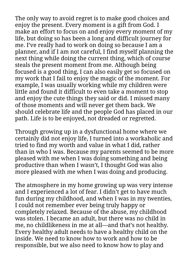The only way to avoid regret is to make good choices and enjoy the present. Every moment is a gift from God. I make an effort to focus on and enjoy every moment of my life, but doing so has been a long and difficult journey for me. I've really had to work on doing so because I am a planner, and if I am not careful, I find myself planning the next thing while doing the current thing, which of course steals the present moment from me. Although being focused is a good thing, I can also easily get so focused on my work that I fail to enjoy the magic of the moment. For example, I was usually working while my children were little and found it difficult to even take a moment to stop and enjoy the cute things they said or did. I missed many of those moments and will never get them back. We should celebrate life and the people God has placed in our path. Life is to be enjoyed, not dreaded or regretted.

Through growing up in a dysfunctional home where we certainly did not enjoy life, I turned into a workaholic and tried to find my worth and value in what I did, rather than in who I was. Because my parents seemed to be more pleased with me when I was doing something and being productive than when I wasn't, I thought God was also more pleased with me when I was doing and producing.

The atmosphere in my home growing up was very intense and I experienced a lot of fear. I didn't get to have much fun during my childhood, and when I was in my twenties, I could not remember ever being truly happy or completely relaxed. Because of the abuse, my childhood was stolen. I became an adult, but there was no child in me, no childlikeness in me at all—and that's not healthy. Every healthy adult needs to have a healthy child on the inside. We need to know how to work and how to be responsible, but we also need to know how to play and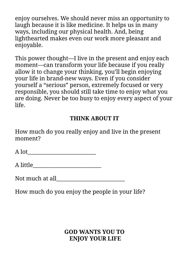enjoy ourselves. We should never miss an opportunity to laugh because it is like medicine. It helps us in many ways, including our physical health. And, being lighthearted makes even our work more pleasant and enjoyable.

This power thought—I live in the present and enjoy each moment—can transform your life because if you really allow it to change your thinking, you'll begin enjoying your life in brand-new ways. Even if you consider yourself a "serious" person, extremely focused or very responsible, you should still take time to enjoy what you are doing. Never be too busy to enjoy every aspect of your life.

## **THINK ABOUT IT**

How much do you really enjoy and live in the present moment?

A lot\_\_\_\_\_\_\_\_\_\_\_\_\_\_\_\_\_\_\_\_\_\_\_\_\_\_

| A little |  |
|----------|--|
|----------|--|

| Not much at all |  |
|-----------------|--|
|-----------------|--|

How much do you enjoy the people in your life?

## **GOD WANTS YOU TO ENJOY YOUR LIFE**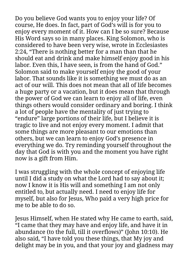Do you believe God wants you to enjoy your life? Of course, He does. In fact, part of God's will is for you to enjoy every moment of it. How can I be so sure? Because His Word says so in many places. King Solomon, who is considered to have been very wise, wrote in Ecclesiastes 2:24, "There is nothing better for a man than that he should eat and drink and make himself enjoy good in his labor. Even this, I have seen, is from the hand of God." Solomon said to make yourself enjoy the good of your labor. That sounds like it is something we must do as an act of our will. This does not mean that all of life becomes a huge party or a vacation, but it does mean that through the power of God we can learn to enjoy all of life, even things others would consider ordinary and boring. I think a lot of people have the mentality of just trying to "endure" large portions of their life, but I believe it is tragic to live and not enjoy every moment. I admit that some things are more pleasant to our emotions than others, but we can learn to enjoy God's presence in everything we do. Try reminding yourself throughout the day that God is with you and the moment you have right now is a gift from Him.

I was struggling with the whole concept of enjoying life until I did a study on what the Lord had to say about it; now I know it is His will and something I am not only entitled to, but actually need. I need to enjoy life for myself, but also for Jesus, Who paid a very high price for me to be able to do so.

Jesus Himself, when He stated why He came to earth, said, "I came that they may have and enjoy life, and have it in abundance (to the full, till it overflows)" (John 10:10). He also said, "I have told you these things, that My joy and delight may be in you, and that your joy and gladness may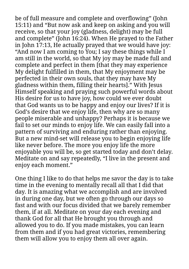be of full measure and complete and overflowing" (John 15:11) and "But now ask and keep on asking and you will receive, so that your joy (gladness, delight) may be full and complete" (John 16:24). When He prayed to the Father in John 17:13, He actually prayed that we would have joy: "And now I am coming to You; I say these things while I am still in the world, so that My joy may be made full and complete and perfect in them [that they may experience My delight fulfilled in them, that My enjoyment may be perfected in their own souls, that they may have My gladness within them, filling their hearts]." With Jesus Himself speaking and praying such powerful words about His desire for us to have joy, how could we ever doubt that God wants us to be happy and enjoy our lives? If it is God's desire that we enjoy life, then why are so many people miserable and unhappy? Perhaps it is because we fail to set our minds to enjoy life. We can easily fall into a pattern of surviving and enduring rather than enjoying. But a new mind-set will release you to begin enjoying life like never before. The more you enjoy life the more enjoyable you will be, so get started today and don't delay. Meditate on and say repeatedly, "I live in the present and enjoy each moment."

One thing I like to do that helps me savor the day is to take time in the evening to mentally recall all that I did that day. It is amazing what we accomplish and are involved in during one day, but we often go through our days so fast and with our focus divided that we barely remember them, if at all. Meditate on your day each evening and thank God for all that He brought you through and allowed you to do. If you made mistakes, you can learn from them and if you had great victories, remembering them will allow you to enjoy them all over again.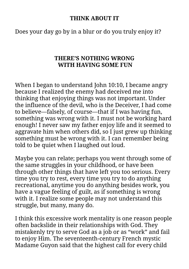#### **THINK ABOUT IT**

Does your day go by in a blur or do you truly enjoy it?

#### **THERE'S NOTHING WRONG WITH HAVING SOME FUN**

When I began to understand John 10:10, I became angry because I realized the enemy had deceived me into thinking that enjoying things was not important. Under the influence of the devil, who is the Deceiver, I had come to believe—falsely, of course—that if I was having fun, something was wrong with it. I must not be working hard enough! I never saw my father enjoy life and it seemed to aggravate him when others did, so I just grew up thinking something must be wrong with it. I can remember being told to be quiet when I laughed out loud.

Maybe you can relate; perhaps you went through some of the same struggles in your childhood, or have been through other things that have left you too serious. Every time you try to rest, every time you try to do anything recreational, anytime you do anything besides work, you have a vague feeling of guilt, as if something is wrong with it. I realize some people may not understand this struggle, but many, many do.

I think this excessive work mentality is one reason people often backslide in their relationships with God. They mistakenly try to serve God as a job or as "work" and fail to enjoy Him. The seventeenth-century French mystic Madame Guyon said that the highest call for every child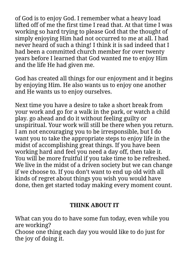of God is to enjoy God. I remember what a heavy load lifted off of me the first time I read that. At that time I was working so hard trying to please God that the thought of simply enjoying Him had not occurred to me at all. I had never heard of such a thing! I think it is sad indeed that I had been a committed church member for over twenty years before I learned that God wanted me to enjoy Him and the life He had given me.

God has created all things for our enjoyment and it begins by enjoying Him. He also wants us to enjoy one another and He wants us to enjoy ourselves.

Next time you have a desire to take a short break from your work and go for a walk in the park, or watch a child play. go ahead and do it without feeling guilty or unspiritual. Your work will still be there when you return. I am not encouraging you to be irresponsible, but I do want you to take the appropriate steps to enjoy life in the midst of accomplishing great things. If you have been working hard and feel you need a day off, then take it. You will be more fruitful if you take time to be refreshed. We live in the midst of a driven society but we can change if we choose to. If you don't want to end up old with all kinds of regret about things you wish you would have done, then get started today making every moment count.

#### **THINK ABOUT IT**

What can you do to have some fun today, even while you are working? Choose one thing each day you would like to do just for the joy of doing it.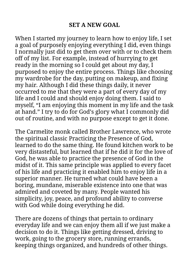When I started my journey to learn how to enjoy life, I set a goal of purposely enjoying everything I did, even things I normally just did to get them over with or to check them off of my list. For example, instead of hurrying to get ready in the morning so I could get about my day, I purposed to enjoy the entire process. Things like choosing my wardrobe for the day, putting on makeup, and fixing my hair. Although I did these things daily, it never occurred to me that they were a part of every day of my life and I could and should enjoy doing them. I said to myself, "I am enjoying this moment in my life and the task at hand." I try to do for God's glory what I commonly did out of routine, and with no purpose except to get it done.

The Carmelite monk called Brother Lawrence, who wrote the spiritual classic Practicing the Presence of God, learned to do the same thing. He found kitchen work to be very distasteful, but learned that if he did it for the love of God, he was able to practice the presence of God in the midst of it. This same principle was applied to every facet of his life and practicing it enabled him to enjoy life in a superior manner. He turned what could have been a boring, mundane, miserable existence into one that was admired and coveted by many. People wanted his simplicity, joy, peace, and profound ability to converse with God while doing everything he did.

There are dozens of things that pertain to ordinary everyday life and we can enjoy them all if we just make a decision to do it. Things like getting dressed, driving to work, going to the grocery store, running errands, keeping things organized, and hundreds of other things.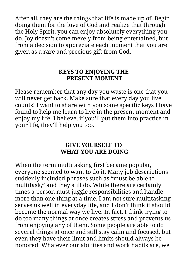After all, they are the things that life is made up of. Begin doing them for the love of God and realize that through the Holy Spirit, you can enjoy absolutely everything you do. Joy doesn't come merely from being entertained, but from a decision to appreciate each moment that you are given as a rare and precious gift from God.

#### **KEYS TO ENJOYING THE PRESENT MOMENT**

Please remember that any day you waste is one that you will never get back. Make sure that every day you live counts! I want to share with you some specific keys I have found to help me learn to live in the present moment and enjoy my life. I believe, if you'll put them into practice in your life, they'll help you too.

#### **GIVE YOURSELF TO WHAT YOU ARE DOING**

When the term multitasking first became popular, everyone seemed to want to do it. Many job descriptions suddenly included phrases such as "must be able to multitask," and they still do. While there are certainly times a person must juggle responsibilities and handle more than one thing at a time, I am not sure multitasking serves us well in everyday life, and I don't think it should become the normal way we live. In fact, I think trying to do too many things at once creates stress and prevents us from enjoying any of them. Some people are able to do several things at once and still stay calm and focused, but even they have their limit and limits should always be honored. Whatever our abilities and work habits are, we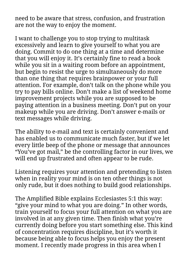need to be aware that stress, confusion, and frustration are not the way to enjoy the moment.

I want to challenge you to stop trying to multitask excessively and learn to give yourself to what you are doing. Commit to do one thing at a time and determine that you will enjoy it. It's certainly fine to read a book while you sit in a waiting room before an appointment, but begin to resist the urge to simultaneously do more than one thing that requires brainpower or your full attention. For example, don't talk on the phone while you try to pay bills online. Don't make a list of weekend home improvement projects while you are supposed to be paying attention in a business meeting. Don't put on your makeup while you are driving. Don't answer e-mails or text messages while driving.

The ability to e-mail and text is certainly convenient and has enabled us to communicate much faster, but if we let every little beep of the phone or message that announces "You've got mail," be the controlling factor in our lives, we will end up frustrated and often appear to be rude.

Listening requires your attention and pretending to listen when in reality your mind is on ten other things is not only rude, but it does nothing to build good relationships.

The Amplified Bible explains Ecclesiastes 5:1 this way: "give your mind to what you are doing." In other words, train yourself to focus your full attention on what you are involved in at any given time. Then finish what you're currently doing before you start something else. This kind of concentration requires discipline, but it's worth it because being able to focus helps you enjoy the present moment. I recently made progress in this area when I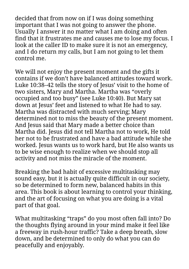decided that from now on if I was doing something important that I was not going to answer the phone. Usually I answer it no matter what I am doing and often find that it frustrates me and causes me to lose my focus. I look at the caller ID to make sure it is not an emergency, and I do return my calls, but I am not going to let them control me.

We will not enjoy the present moment and the gifts it contains if we don't have balanced attitudes toward work. Luke 10:38–42 tells the story of Jesus' visit to the home of two sisters, Mary and Martha. Martha was "overly occupied and too busy" (see Luke 10:40). But Mary sat down at Jesus' feet and listened to what He had to say. Martha was distracted with much serving; Mary determined not to miss the beauty of the present moment. And Jesus said that Mary made a better choice than Martha did. Jesus did not tell Martha not to work, He told her not to be frustrated and have a bad attitude while she worked. Jesus wants us to work hard, but He also wants us to be wise enough to realize when we should stop all activity and not miss the miracle of the moment.

Breaking the bad habit of excessive multitasking may sound easy, but it is actually quite difficult in our society, so be determined to form new, balanced habits in this area. This book is about learning to control your thinking, and the art of focusing on what you are doing is a vital part of that goal.

What multitasking "traps" do you most often fall into? Do the thoughts flying around in your mind make it feel like a freeway in rush-hour traffic? Take a deep breath, slow down, and be determined to only do what you can do peacefully and enjoyably.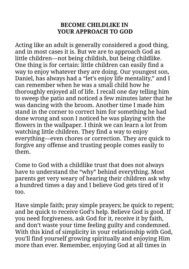#### **BECOME CHILDLIKE IN YOUR APPROACH TO GOD**

Acting like an adult is generally considered a good thing, and in most cases it is. But we are to approach God as little children—not being childish, but being childlike. One thing is for certain: little children can easily find a way to enjoy whatever they are doing. Our youngest son, Daniel, has always had a "let's enjoy life mentality," and I can remember when he was a small child how he thoroughly enjoyed all of life. I recall one day telling him to sweep the patio and noticed a few minutes later that he was dancing with the broom. Another time I made him stand in the corner to correct him for something he had done wrong and soon I noticed he was playing with the flowers in the wallpaper. I think we can learn a lot from watching little children. They find a way to enjoy everything—even chores or correction. They are quick to forgive any offense and trusting people comes easily to them.

Come to God with a childlike trust that does not always have to understand the "why" behind everything. Most parents get very weary of hearing their children ask why a hundred times a day and I believe God gets tired of it too.

Have simple faith; pray simple prayers; be quick to repent; and be quick to receive God's help. Believe God is good. If you need forgiveness, ask God for it, receive it by faith, and don't waste your time feeling guilty and condemned. With this kind of simplicity in your relationship with God, you'll find yourself growing spiritually and enjoying Him more than ever. Remember, enjoying God at all times in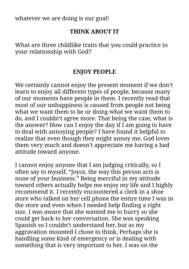whatever we are doing is our goal!

#### **THINK ABOUT IT**

What are three childlike traits that you could practice in your relationship with God?

#### **ENJOY PEOPLE**

We certainly cannot enjoy the present moment if we don't learn to enjoy all different types of people, because many of our moments have people in them. I recently read that most of our unhappiness is caused from people not being what we want them to be or doing what we want them to do, and I couldn't agree more. That being the case, what is the answer? How can I enjoy the day if  $\overline{I}$  am going to have to deal with annoying people? I have found it helpful to realize that even though they might annoy me, God loves them very much and doesn't appreciate me having a bad attitude toward anyone.

I cannot enjoy anyone that I am judging critically, so I often say to myself, "Joyce, the way this person acts is none of your business." Being merciful in my attitude toward others actually helps me enjoy my life and I highly recommend it. I recently encountered a clerk in a shoe store who talked on her cell phone the entire time I was in the store and even when I needed help finding a right size. I was aware that she wanted me to hurry so she could get back to her conversation. She was speaking Spanish so I couldn't understand her, but as my aggravation mounted I chose to think, Perhaps she is handling some kind of emergency or is dealing with something that is very important to her. I was on the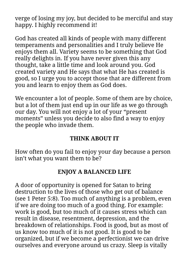verge of losing my joy, but decided to be merciful and stay happy. I highly recommend it!

God has created all kinds of people with many different temperaments and personalities and I truly believe He enjoys them all. Variety seems to be something that God really delights in. If you have never given this any thought, take a little time and look around you. God created variety and He says that what He has created is good, so I urge you to accept those that are different from you and learn to enjoy them as God does.

We encounter a lot of people. Some of them are by choice, but a lot of them just end up in our life as we go through our day. You will not enjoy a lot of your "present moments" unless you decide to also find a way to enjoy the people who invade them.

## **THINK ABOUT IT**

How often do you fail to enjoy your day because a person isn't what you want them to be?

## **ENJOY A BALANCED LIFE**

A door of opportunity is opened for Satan to bring destruction to the lives of those who get out of balance (see 1 Peter 5:8). Too much of anything is a problem, even if we are doing too much of a good thing. For example: work is good, but too much of it causes stress which can result in disease, resentment, depression, and the breakdown of relationships. Food is good, but as most of us know too much of it is not good. It is good to be organized, but if we become a perfectionist we can drive ourselves and everyone around us crazy. Sleep is vitally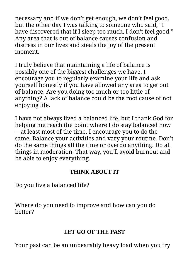necessary and if we don't get enough, we don't feel good, but the other day I was talking to someone who said, "I have discovered that if I sleep too much, I don't feel good." Any area that is out of balance causes confusion and distress in our lives and steals the joy of the present moment.

I truly believe that maintaining a life of balance is possibly one of the biggest challenges we have. I encourage you to regularly examine your life and ask yourself honestly if you have allowed any area to get out of balance. Are you doing too much or too little of anything? A lack of balance could be the root cause of not enjoying life.

I have not always lived a balanced life, but I thank God for helping me reach the point where I do stay balanced now —at least most of the time. I encourage you to do the same. Balance your activities and vary your routine. Don't do the same things all the time or overdo anything. Do all things in moderation. That way, you'll avoid burnout and be able to enjoy everything.

## **THINK ABOUT IT**

Do you live a balanced life?

Where do you need to improve and how can you do better?

## **LET GO OF THE PAST**

Your past can be an unbearably heavy load when you try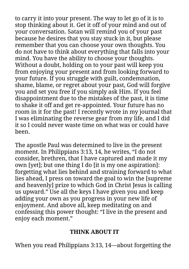to carry it into your present. The way to let go of it is to stop thinking about it. Get it off of your mind and out of your conversation. Satan will remind you of your past because he desires that you stay stuck in it, but please remember that you can choose your own thoughts. You do not have to think about everything that falls into your mind. You have the ability to choose your thoughts. Without a doubt, holding on to your past will keep you from enjoying your present and from looking forward to your future. If you struggle with guilt, condemnation, shame, blame, or regret about your past, God will forgive you and set you free if you simply ask Him. If you feel disappointment due to the mistakes of the past, it is time to shake it off and get re-appointed. Your future has no room in it for the past! I recently wrote in my journal that I was eliminating the reverse gear from my life, and I did it so I could never waste time on what was or could have been.

The apostle Paul was determined to live in the present moment. In Philippians 3:13, 14, he writes, "I do not consider, brethren, that I have captured and made it my own [yet]; but one thing I do [it is my one aspiration]: forgetting what lies behind and straining forward to what lies ahead, I press on toward the goal to win the [supreme and heavenly] prize to which God in Christ Jesus is calling us upward." Use all the keys I have given you and keep adding your own as you progress in your new life of enjoyment. And above all, keep meditating on and confessing this power thought: "I live in the present and enjoy each moment."

### **THINK ABOUT IT**

When you read Philippians 3:13, 14—about forgetting the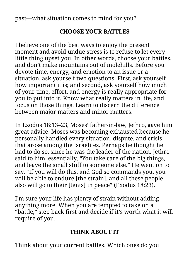past—what situation comes to mind for you?

#### **CHOOSE YOUR BATTLES**

I believe one of the best ways to enjoy the present moment and avoid undue stress is to refuse to let every little thing upset you. In other words, choose your battles, and don't make mountains out of molehills. Before you devote time, energy, and emotion to an issue or a situation, ask yourself two questions. First, ask yourself how important it is; and second, ask yourself how much of your time, effort, and energy is really appropriate for you to put into it. Know what really matters in life, and focus on those things. Learn to discern the difference between major matters and minor matters.

In Exodus 18:13–23, Moses' father-in-law, Jethro, gave him great advice. Moses was becoming exhausted because he personally handled every situation, dispute, and crisis that arose among the Israelites. Perhaps he thought he had to do so, since he was the leader of the nation. Jethro said to him, essentially, "You take care of the big things, and leave the small stuff to someone else." He went on to say, "If you will do this, and God so commands you, you will be able to endure [the strain], and all these people also will go to their [tents] in peace" (Exodus 18:23).

I'm sure your life has plenty of strain without adding anything more. When you are tempted to take on a "battle," step back first and decide if it's worth what it will require of you.

## **THINK ABOUT IT**

Think about your current battles. Which ones do you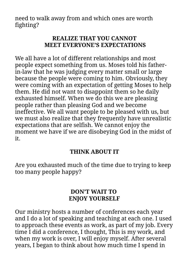need to walk away from and which ones are worth fighting?

## **REALIZE THAT YOU CANNOT MEET EVERYONE'S EXPECTATIONS**

We all have a lot of different relationships and most people expect something from us. Moses told his fatherin-law that he was judging every matter small or large because the people were coming to him. Obviously, they were coming with an expectation of getting Moses to help them. He did not want to disappoint them so he daily exhausted himself. When we do this we are pleasing people rather than pleasing God and we become ineffective. We all want people to be pleased with us, but we must also realize that they frequently have unrealistic expectations that are selfish. We cannot enjoy the moment we have if we are disobeying God in the midst of it.

## **THINK ABOUT IT**

Are you exhausted much of the time due to trying to keep too many people happy?

## **DON'T WAIT TO ENJOY YOURSELF**

Our ministry hosts a number of conferences each year and I do a lot of speaking and teaching at each one. I used to approach these events as work, as part of my job. Every time I did a conference, I thought, This is my work, and when my work is over, I will enjoy myself. After several years, I began to think about how much time I spend in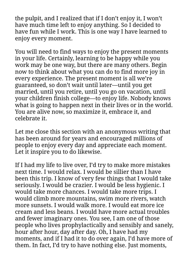the pulpit, and I realized that if I don't enjoy it, I won't have much time left to enjoy anything. So I decided to have fun while I work. This is one way I have learned to enjoy every moment.

You will need to find ways to enjoy the present moments in your life. Certainly, learning to be happy while you work may be one way, but there are many others. Begin now to think about what you can do to find more joy in every experience. The present moment is all we're guaranteed, so don't wait until later—until you get married, until you retire, until you go on vacation, until your children finish college—to enjoy life. Nobody knows what is going to happen next in their lives or in the world. You are alive now, so maximize it, embrace it, and celebrate it.

Let me close this section with an anonymous writing that has been around for years and encouraged millions of people to enjoy every day and appreciate each moment. Let it inspire you to do likewise.

If I had my life to live over, I'd try to make more mistakes next time. I would relax. I would be sillier than I have been this trip. I know of very few things that I would take seriously. I would be crazier. I would be less hygienic. I would take more chances. I would take more trips. I would climb more mountains, swim more rivers, watch more sunsets. I would walk more. I would eat more ice cream and less beans. I would have more actual troubles and fewer imaginary ones. You see, I am one of those people who lives prophylactically and sensibly and sanely, hour after hour, day after day. Oh, I have had my moments, and if I had it to do over again, I'd have more of them. In fact, I'd try to have nothing else. Just moments,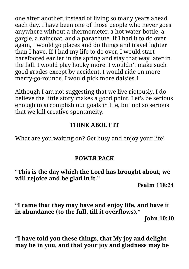one after another, instead of living so many years ahead each day. I have been one of those people who never goes anywhere without a thermometer, a hot water bottle, a gargle, a raincoat, and a parachute. If I had it to do over again, I would go places and do things and travel lighter than I have. If I had my life to do over, I would start barefooted earlier in the spring and stay that way later in the fall. I would play hooky more. I wouldn't make such good grades except by accident. I would ride on more merry-go-rounds. I would pick more daisies.1

Although I am not suggesting that we live riotously, I do believe the little story makes a good point. Let's be serious enough to accomplish our goals in life, but not so serious that we kill creative spontaneity.

#### **THINK ABOUT IT**

What are you waiting on? Get busy and enjoy your life!

## **POWER PACK**

**"This is the day which the Lord has brought about; we will rejoice and be glad in it."**

**Psalm 118:24**

**"I came that they may have and enjoy life, and have it in abundance (to the full, till it overflows)." John 10:10**

**"I have told you these things, that My joy and delight may be in you, and that your joy and gladness may be**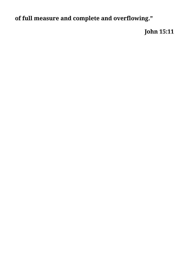**of full measure and complete and overflowing."**

**John 15:11**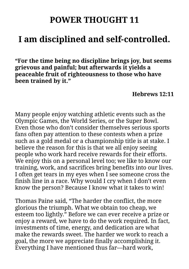# **POWER THOUGHT 11**

# **I am disciplined and self-controlled.**

**"For the time being no discipline brings joy, but seems grievous and painful; but afterwards it yields a peaceable fruit of righteousness to those who have been trained by it."**

#### **Hebrews 12:11**

Many people enjoy watching athletic events such as the Olympic Games, the World Series, or the Super Bowl. Even those who don't consider themselves serious sports fans often pay attention to these contests when a prize such as a gold medal or a championship title is at stake. I believe the reason for this is that we all enjoy seeing people who work hard receive rewards for their efforts. We enjoy this on a personal level too; we like to know our training, work, and sacrifices bring benefits into our lives. I often get tears in my eyes when I see someone cross the finish line in a race. Why would I cry when I don't even know the person? Because I know what it takes to win!

Thomas Paine said, "The harder the conflict, the more glorious the triumph. What we obtain too cheap, we esteem too lightly." Before we can ever receive a prize or enjoy a reward, we have to do the work required. In fact, investments of time, energy, and dedication are what make the rewards sweet. The harder we work to reach a goal, the more we appreciate finally accomplishing it. Everything I have mentioned thus far—hard work,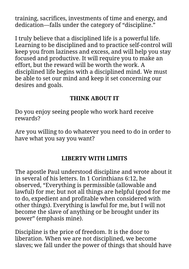training, sacrifices, investments of time and energy, and dedication—falls under the category of "discipline."

I truly believe that a disciplined life is a powerful life. Learning to be disciplined and to practice self-control will keep you from laziness and excess, and will help you stay focused and productive. It will require you to make an effort, but the reward will be worth the work. A disciplined life begins with a disciplined mind. We must be able to set our mind and keep it set concerning our desires and goals.

## **THINK ABOUT IT**

Do you enjoy seeing people who work hard receive rewards?

Are you willing to do whatever you need to do in order to have what you say you want?

## **LIBERTY WITH LIMITS**

The apostle Paul understood discipline and wrote about it in several of his letters. In 1 Corinthians 6:12, he observed, "Everything is permissible (allowable and lawful) for me; but not all things are helpful (good for me to do, expedient and profitable when considered with other things). Everything is lawful for me, but I will not become the slave of anything or be brought under its power" (emphasis mine).

Discipline is the price of freedom. It is the door to liberation. When we are not disciplined, we become slaves; we fall under the power of things that should have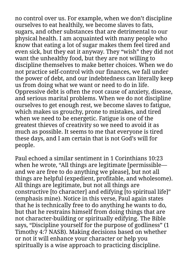no control over us. For example, when we don't discipline ourselves to eat healthily, we become slaves to fats, sugars, and other substances that are detrimental to our physical health. I am acquainted with many people who know that eating a lot of sugar makes them feel tired and even sick, but they eat it anyway. They "wish" they did not want the unhealthy food, but they are not willing to discipline themselves to make better choices. When we do not practice self-control with our finances, we fall under the power of debt, and our indebtedness can literally keep us from doing what we want or need to do in life. Oppressive debt is often the root cause of anxiety, disease, and serious marital problems. When we do not discipline ourselves to get enough rest, we become slaves to fatigue, which makes us grouchy, prone to mistakes, and tired when we need to be energetic. Fatigue is one of the greatest thieves of creativity so we need to avoid it as much as possible. It seems to me that everyone is tired these days, and I am certain that is not God's will for people.

Paul echoed a similar sentiment in 1 Corinthians 10:23 when he wrote, "All things are legitimate [permissible and we are free to do anything we please], but not all things are helpful (expedient, profitable, and wholesome). All things are legitimate, but not all things are constructive [to character] and edifying [to spiritual life]" (emphasis mine). Notice in this verse, Paul again states that he is technically free to do anything he wants to do, but that he restrains himself from doing things that are not character-building or spiritually edifying. The Bible says, "Discipline yourself for the purpose of godliness" (1 Timothy 4:7 NASB). Making decisions based on whether or not it will enhance your character or help you spiritually is a wise approach to practicing discipline.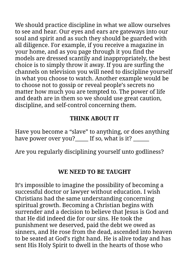We should practice discipline in what we allow ourselves to see and hear. Our eyes and ears are gateways into our soul and spirit and as such they should be guarded with all diligence. For example, if you receive a magazine in your home, and as you page through it you find the models are dressed scantily and inappropriately, the best choice is to simply throw it away. If you are surfing the channels on television you will need to discipline yourself in what you choose to watch. Another example would be to choose not to gossip or reveal people's secrets no matter how much you are tempted to. The power of life and death are in them so we should use great caution, discipline, and self-control concerning them.

## **THINK ABOUT IT**

Have you become a "slave" to anything, or does anything have power over you? If so, what is it?

Are you regularly disciplining yourself unto godliness?

## **WE NEED TO BE TAUGHT**

It's impossible to imagine the possibility of becoming a successful doctor or lawyer without education. I wish Christians had the same understanding concerning spiritual growth. Becoming a Christian begins with surrender and a decision to believe that Jesus is God and that He did indeed die for our sins. He took the punishment we deserved, paid the debt we owed as sinners, and He rose from the dead, ascended into heaven to be seated at God's right hand. He is alive today and has sent His Holy Spirit to dwell in the hearts of those who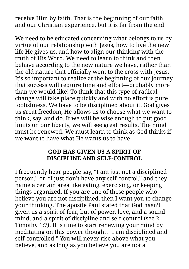receive Him by faith. That is the beginning of our faith and our Christian experience, but it is far from the end.

We need to be educated concerning what belongs to us by virtue of our relationship with Jesus, how to live the new life He gives us, and how to align our thinking with the truth of His Word. We need to learn to think and then behave according to the new nature we have, rather than the old nature that officially went to the cross with Jesus. It's so important to realize at the beginning of our journey that success will require time and effort—probably more than we would like! To think that this type of radical change will take place quickly and with no effort is pure foolishness. We have to be disciplined about it. God gives us great freedom; He allows us to choose what we want to think, say, and do. If we will be wise enough to put good limits on our liberty, we will see great results. The mind must be renewed. We must learn to think as God thinks if we want to have what He wants us to have.

#### **GOD HAS GIVEN US A SPIRIT OF DISCIPLINE AND SELF-CONTROL**

I frequently hear people say, "I am just not a disciplined person," or, "I just don't have any self-control," and they name a certain area like eating, exercising, or keeping things organized. If you are one of these people who believe you are not disciplined, then I want you to change your thinking. The apostle Paul stated that God hasn't given us a spirit of fear, but of power, love, and a sound mind, and a spirit of discipline and self-control (see 2 Timothy 1:7). It is time to start renewing your mind by meditating on this power thought: "I am disciplined and self-controlled." You will never rise above what you believe, and as long as you believe you are not a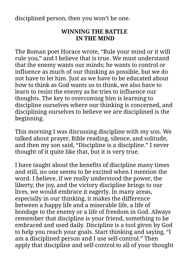disciplined person, then you won't be one.

#### **WINNING THE BATTLE IN THE MIND**

The Roman poet Horace wrote, "Rule your mind or it will rule you," and I believe that is true. We must understand that the enemy wants our minds; he wants to control or influence as much of our thinking as possible, but we do not have to let him. Just as we have to be educated about how to think as God wants us to think, we also have to learn to resist the enemy as he tries to influence our thoughts. The key to overcoming him is learning to discipline ourselves where our thinking is concerned, and disciplining ourselves to believe we are disciplined is the beginning.

This morning I was discussing discipline with my son. We talked about prayer, Bible reading, silence, and solitude, and then my son said, "Discipline is a discipline." I never thought of it quite like that, but it is very true.

I have taught about the benefits of discipline many times and still, no one seems to be excited when I mention the word. I believe, if we really understood the power, the liberty, the joy, and the victory discipline brings to our lives, we would embrace it eagerly. In many areas, especially in our thinking, it makes the difference between a happy life and a miserable life, a life of bondage to the enemy or a life of freedom in God. Always remember that discipline is your friend, something to be embraced and used daily. Discipline is a tool given by God to help you reach your goals. Start thinking and saying, "I am a disciplined person and I use self-control." Then apply that discipline and self-control to all of your thought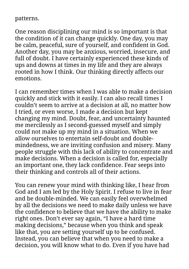#### patterns.

One reason disciplining our mind is so important is that the condition of it can change quickly. One day, you may be calm, peaceful, sure of yourself, and confident in God. Another day, you may be anxious, worried, insecure, and full of doubt. I have certainly experienced these kinds of ups and downs at times in my life and they are always rooted in how I think. Our thinking directly affects our emotions.

I can remember times when I was able to make a decision quickly and stick with it easily. I can also recall times I couldn't seem to arrive at a decision at all, no matter how I tried, or even worse, I made a decision but kept changing my mind. Doubt, fear, and uncertainty haunted me mercilessly as I second-guessed myself and simply could not make up my mind in a situation. When we allow ourselves to entertain self-doubt and doublemindedness, we are inviting confusion and misery. Many people struggle with this lack of ability to concentrate and make decisions. When a decision is called for, especially an important one, they lack confidence. Fear seeps into their thinking and controls all of their actions.

You can renew your mind with thinking like, I hear from God and I am led by the Holy Spirit. I refuse to live in fear and be double-minded. We can easily feel overwhelmed by all the decisions we need to make daily unless we have the confidence to believe that we have the ability to make right ones. Don't ever say again, "I have a hard time making decisions," because when you think and speak like that, you are setting yourself up to be confused. Instead, you can believe that when you need to make a decision, you will know what to do. Even if you have had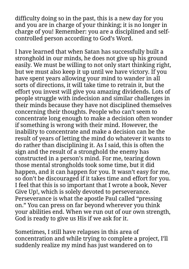difficulty doing so in the past, this is a new day for you and you are in charge of your thinking; it is no longer in charge of you! Remember: you are a disciplined and selfcontrolled person according to God's Word.

I have learned that when Satan has successfully built a stronghold in our minds, he does not give up his ground easily. We must be willing to not only start thinking right, but we must also keep it up until we have victory. If you have spent years allowing your mind to wander in all sorts of directions, it will take time to retrain it, but the effort you invest will give you amazing dividends. Lots of people struggle with indecision and similar challenges in their minds because they have not disciplined themselves concerning their thoughts. People who can't seem to concentrate long enough to make a decision often wonder if something is wrong with their mind. However, the inability to concentrate and make a decision can be the result of years of letting the mind do whatever it wants to do rather than disciplining it. As I said, this is often the sign and the result of a stronghold the enemy has constructed in a person's mind. For me, tearing down those mental strongholds took some time, but it did happen, and it can happen for you. It wasn't easy for me, so don't be discouraged if it takes time and effort for you. I feel that this is so important that I wrote a book, Never Give Up!, which is solely devoted to perseverance. Perseverance is what the apostle Paul called "pressing on." You can press on far beyond wherever you think your abilities end. When we run out of our own strength, God is ready to give us His if we ask for it.

Sometimes, I still have relapses in this area of concentration and while trying to complete a project, I'll suddenly realize my mind has just wandered on to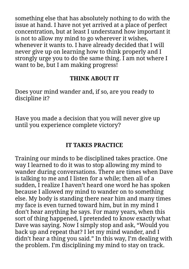something else that has absolutely nothing to do with the issue at hand. I have not yet arrived at a place of perfect concentration, but at least I understand how important it is not to allow my mind to go wherever it wishes, whenever it wants to. I have already decided that I will never give up on learning how to think properly and I strongly urge you to do the same thing. I am not where I want to be, but I am making progress!

## **THINK ABOUT IT**

Does your mind wander and, if so, are you ready to discipline it?

Have you made a decision that you will never give up until you experience complete victory?

## **IT TAKES PRACTICE**

Training our minds to be disciplined takes practice. One way I learned to do it was to stop allowing my mind to wander during conversations. There are times when Dave is talking to me and I listen for a while; then all of a sudden, I realize I haven't heard one word he has spoken because I allowed my mind to wander on to something else. My body is standing there near him and many times my face is even turned toward him, but in my mind I don't hear anything he says. For many years, when this sort of thing happened, I pretended to know exactly what Dave was saying. Now I simply stop and ask, "Would you back up and repeat that? I let my mind wander, and I didn't hear a thing you said." In this way, I'm dealing with the problem. I'm disciplining my mind to stay on track.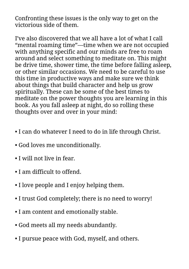Confronting these issues is the only way to get on the victorious side of them.

I've also discovered that we all have a lot of what I call "mental roaming time"—time when we are not occupied with anything specific and our minds are free to roam around and select something to meditate on. This might be drive time, shower time, the time before falling asleep, or other similar occasions. We need to be careful to use this time in productive ways and make sure we think about things that build character and help us grow spiritually. These can be some of the best times to meditate on the power thoughts you are learning in this book. As you fall asleep at night, do so rolling these thoughts over and over in your mind:

- I can do whatever I need to do in life through Christ.
- God loves me unconditionally.
- I will not live in fear.
- I am difficult to offend.
- I love people and I enjoy helping them.
- I trust God completely; there is no need to worry!
- I am content and emotionally stable.
- God meets all my needs abundantly.
- I pursue peace with God, myself, and others.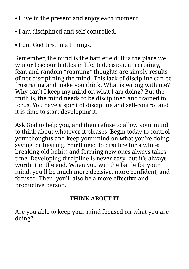- I live in the present and enjoy each moment.
- I am disciplined and self-controlled.
- I put God first in all things.

Remember, the mind is the battlefield. It is the place we win or lose our battles in life. Indecision, uncertainty, fear, and random "roaming" thoughts are simply results of not disciplining the mind. This lack of discipline can be frustrating and make you think, What is wrong with me? Why can't I keep my mind on what I am doing? But the truth is, the mind needs to be disciplined and trained to focus. You have a spirit of discipline and self-control and it is time to start developing it.

Ask God to help you, and then refuse to allow your mind to think about whatever it pleases. Begin today to control your thoughts and keep your mind on what you're doing, saying, or hearing. You'll need to practice for a while; breaking old habits and forming new ones always takes time. Developing discipline is never easy, but it's always worth it in the end. When you win the battle for your mind, you'll be much more decisive, more confident, and focused. Then, you'll also be a more effective and productive person.

#### **THINK ABOUT IT**

Are you able to keep your mind focused on what you are doing?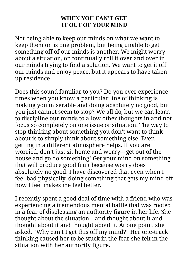#### **WHEN YOU CAN'T GET IT OUT OF YOUR MIND**

Not being able to keep our minds on what we want to keep them on is one problem, but being unable to get something off of our minds is another. We might worry about a situation, or continually roll it over and over in our minds trying to find a solution. We want to get it off our minds and enjoy peace, but it appears to have taken up residence.

Does this sound familiar to you? Do you ever experience times when you know a particular line of thinking is making you miserable and doing absolutely no good, but you just cannot seem to stop? We all do, but we can learn to discipline our minds to allow other thoughts in and not focus so completely on one issue or situation. The way to stop thinking about something you don't want to think about is to simply think about something else. Even getting in a different atmosphere helps. If you are worried, don't just sit home and worry—get out of the house and go do something! Get your mind on something that will produce good fruit because worry does absolutely no good. I have discovered that even when I feel bad physically, doing something that gets my mind off how I feel makes me feel better.

I recently spent a good deal of time with a friend who was experiencing a tremendous mental battle that was rooted in a fear of displeasing an authority figure in her life. She thought about the situation—and thought about it and thought about it and thought about it. At one point, she asked, "Why can't I get this off my mind?" Her one-track thinking caused her to be stuck in the fear she felt in the situation with her authority figure.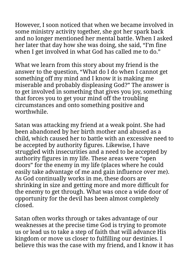However, I soon noticed that when we became involved in some ministry activity together, she got her spark back and no longer mentioned her mental battle. When I asked her later that day how she was doing, she said, "I'm fine when I get involved in what God has called me to do."

What we learn from this story about my friend is the answer to the question, "What do I do when I cannot get something off my mind and I know it is making me miserable and probably displeasing God?" The answer is to get involved in something that gives you joy, something that forces you to get your mind off the troubling circumstances and onto something positive and worthwhile.

Satan was attacking my friend at a weak point. She had been abandoned by her birth mother and abused as a child, which caused her to battle with an excessive need to be accepted by authority figures. Likewise, I have struggled with insecurities and a need to be accepted by authority figures in my life. These areas were "open doors" for the enemy in my life (places where he could easily take advantage of me and gain influence over me). As God continually works in me, these doors are shrinking in size and getting more and more difficult for the enemy to get through. What was once a wide door of opportunity for the devil has been almost completely closed.

Satan often works through or takes advantage of our weaknesses at the precise time God is trying to promote us or lead us to take a step of faith that will advance His kingdom or move us closer to fulfilling our destinies. I believe this was the case with my friend, and I know it has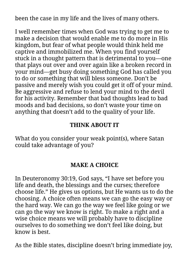been the case in my life and the lives of many others.

I well remember times when God was trying to get me to make a decision that would enable me to do more in His kingdom, but fear of what people would think held me captive and immobilized me. When you find yourself stuck in a thought pattern that is detrimental to you—one that plays out over and over again like a broken record in your mind—get busy doing something God has called you to do or something that will bless someone. Don't be passive and merely wish you could get it off of your mind. Be aggressive and refuse to lend your mind to the devil for his activity. Remember that bad thoughts lead to bad moods and bad decisions, so don't waste your time on anything that doesn't add to the quality of your life.

#### **THINK ABOUT IT**

What do you consider your weak point(s), where Satan could take advantage of you?

#### **MAKE A CHOICE**

In Deuteronomy 30:19, God says, "I have set before you life and death, the blessings and the curses; therefore choose life." He gives us options, but He wants us to do the choosing. A choice often means we can go the easy way or the hard way. We can go the way we feel like going or we can go the way we know is right. To make a right and a wise choice means we will probably have to discipline ourselves to do something we don't feel like doing, but know is best.

As the Bible states, discipline doesn't bring immediate joy,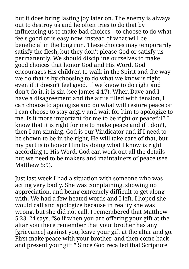but it does bring lasting joy later on. The enemy is always out to destroy us and he often tries to do that by influencing us to make bad choices—to choose to do what feels good or is easy now, instead of what will be beneficial in the long run. These choices may temporarily satisfy the flesh, but they don't please God or satisfy us permanently. We should discipline ourselves to make good choices that honor God and His Word. God encourages His children to walk in the Spirit and the way we do that is by choosing to do what we know is right even if it doesn't feel good. If we know to do right and don't do it, it is sin (see James 4:17). When Dave and I have a disagreement and the air is filled with tension, I can choose to apologize and do what will restore peace or I can choose to stay angry and wait for him to apologize to me. Is it more important for me to be right or peaceful? I know that it is right for me to make peace and if I don't, then I am sinning. God is our Vindicator and if I need to be shown to be in the right, He will take care of that, but my part is to honor Him by doing what I know is right according to His Word. God can work out all the details but we need to be makers and maintainers of peace (see Matthew 5:9).

Just last week I had a situation with someone who was acting very badly. She was complaining, showing no appreciation, and being extremely difficult to get along with. We had a few heated words and I left. I hoped she would call and apologize because in reality she was wrong, but she did not call. I remembered that Matthew 5:23–24 says, "So if when you are offering your gift at the altar you there remember that your brother has any [grievance] against you, leave your gift at the altar and go. First make peace with your brother, and then come back and present your gift." Since God recalled that Scripture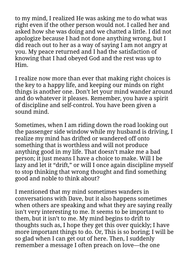to my mind, I realized He was asking me to do what was right even if the other person would not. I called her and asked how she was doing and we chatted a little. I did not apologize because I had not done anything wrong, but I did reach out to her as a way of saying I am not angry at you. My peace returned and I had the satisfaction of knowing that I had obeyed God and the rest was up to Him.

I realize now more than ever that making right choices is the key to a happy life, and keeping our minds on right things is another one. Don't let your mind wander around and do whatever it pleases. Remember, you have a spirit of discipline and self-control. You have been given a sound mind.

Sometimes, when I am riding down the road looking out the passenger side window while my husband is driving, I realize my mind has drifted or wandered off onto something that is worthless and will not produce anything good in my life. That doesn't make me a bad person; it just means I have a choice to make. Will I be lazy and let it "drift," or will I once again discipline myself to stop thinking that wrong thought and find something good and noble to think about?

I mentioned that my mind sometimes wanders in conversations with Dave, but it also happens sometimes when others are speaking and what they are saying really isn't very interesting to me. It seems to be important to them, but it isn't to me. My mind begins to drift to thoughts such as, I hope they get this over quickly; I have more important things to do. Or, This is so boring; I will be so glad when I can get out of here. Then, I suddenly remember a message I often preach on love—the one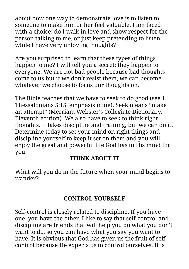about how one way to demonstrate love is to listen to someone to make him or her feel valuable. I am faced with a choice: do I walk in love and show respect for the person talking to me, or just keep pretending to listen while I have very unloving thoughts?

Are you surprised to learn that these types of things happen to me? I will tell you a secret: they happen to everyone. We are not bad people because bad thoughts come to us but if we don't resist them, we can become whatever we choose to focus our thoughts on.

The Bible teaches that we have to seek to do good (see 1 Thessalonians 5:15, emphasis mine). Seek means "make an attempt" (Merriam-Webster's Collegiate Dictionary, Eleventh edition). We also have to seek to think right thoughts. It takes discipline and training, but we can do it. Determine today to set your mind on right things and discipline yourself to keep it set on them and you will enjoy the great and powerful life God has in His mind for you.

#### **THINK ABOUT IT**

What will you do in the future when your mind begins to wander?

#### **CONTROL YOURSELF**

Self-control is closely related to discipline. If you have one, you have the other. I like to say that self-control and discipline are friends that will help you do what you don't want to do, so you can have what you say you want to have. It is obvious that God has given us the fruit of selfcontrol because He expects us to control ourselves. It is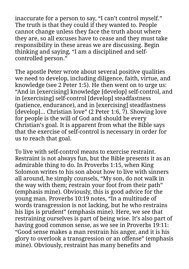inaccurate for a person to say, "I can't control myself." The truth is that they could if they wanted to. People cannot change unless they face the truth about where they are, so all excuses have to cease and they must take responsibility in these areas we are discussing. Begin thinking and saying, "I am a disciplined and selfcontrolled person."

The apostle Peter wrote about several positive qualities we need to develop, including diligence, faith, virtue, and knowledge (see 2 Peter 1:5). He then went on to urge us: "And in [exercising] knowledge [develop] self-control, and in [exercising] self-control [develop] steadfastness (patience, endurance), and in [exercising] steadfastness [develop]… Christian love" (2 Peter 1:6, 7). Showing love for people is the will of God and should be every Christian's goal. It is apparent from what the Bible says that the exercise of self-control is necessary in order for us to reach that goal.

To live with self-control means to exercise restraint. Restraint is not always fun, but the Bible presents it as an admirable thing to do. In Proverbs 1:15, when King Solomon writes to his son about how to live with sinners all around, he simply counsels, "My son, do not walk in the way with them; restrain your foot from their path" (emphasis mine). Obviously, this is good advice for the young man. Proverbs 10:19 notes, "In a multitude of words transgression is not lacking, but he who restrains his lips is prudent" (emphasis mine). Here, we see that restraining ourselves is part of being wise. It's also part of having good common sense, as we see in Proverbs 19:11: "Good sense makes a man restrain his anger, and it is his glory to overlook a transgression or an offense" (emphasis mine). Obviously, restraint has many benefits and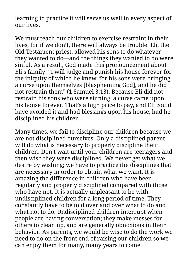learning to practice it will serve us well in every aspect of our lives.

We must teach our children to exercise restraint in their lives, for if we don't, there will always be trouble. Eli, the Old Testament priest, allowed his sons to do whatever they wanted to do—and the things they wanted to do were sinful. As a result, God made this pronouncement about Eli's family: "I will judge and punish his house forever for the iniquity of which he knew, for his sons were bringing a curse upon themselves [blaspheming God], and he did not restrain them" (1 Samuel 3:13). Because Eli did not restrain his sons who were sinning, a curse came upon his house forever. That's a high price to pay, and Eli could have avoided it and had blessings upon his house, had he disciplined his children.

Many times, we fail to discipline our children because we are not disciplined ourselves. Only a disciplined parent will do what is necessary to properly discipline their children. Don't wait until your children are teenagers and then wish they were disciplined. We never get what we desire by wishing; we have to practice the disciplines that are necessary in order to obtain what we want. It is amazing the difference in children who have been regularly and properly disciplined compared with those who have not. It is actually unpleasant to be with undisciplined children for a long period of time. They constantly have to be told over and over what to do and what not to do. Undisciplined children interrupt when people are having conversation; they make messes for others to clean up, and are generally obnoxious in their behavior. As parents, we would be wise to do the work we need to do on the front end of raising our children so we can enjoy them for many, many years to come.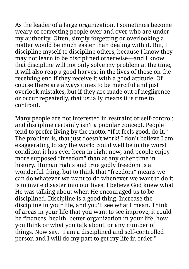As the leader of a large organization, I sometimes become weary of correcting people over and over who are under my authority. Often, simply forgetting or overlooking a matter would be much easier than dealing with it. But, I discipline myself to discipline others, because I know they may not learn to be disciplined otherwise—and I know that discipline will not only solve my problem at the time, it will also reap a good harvest in the lives of those on the receiving end if they receive it with a good attitude. Of course there are always times to be merciful and just overlook mistakes, but if they are made out of negligence or occur repeatedly, that usually means it is time to confront.

Many people are not interested in restraint or self-control; and discipline certainly isn't a popular concept. People tend to prefer living by the motto, "If it feels good, do it." The problem is, that just doesn't work! I don't believe I am exaggerating to say the world could well be in the worst condition it has ever been in right now, and people enjoy more supposed "freedom" than at any other time in history. Human rights and true godly freedom is a wonderful thing, but to think that "freedom" means we can do whatever we want to do whenever we want to do it is to invite disaster into our lives. I believe God knew what He was talking about when He encouraged us to be disciplined. Discipline is a good thing. Increase the discipline in your life, and you'll see what I mean. Think of areas in your life that you want to see improve; it could be finances, health, better organization in your life, how you think or what you talk about, or any number of things. Now say, "I am a disciplined and self-controlled person and I will do my part to get my life in order."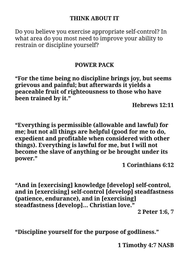#### **THINK ABOUT IT**

Do you believe you exercise appropriate self-control? In what area do you most need to improve your ability to restrain or discipline yourself?

#### **POWER PACK**

**"For the time being no discipline brings joy, but seems grievous and painful; but afterwards it yields a peaceable fruit of righteousness to those who have been trained by it."**

**Hebrews 12:11**

**"Everything is permissible (allowable and lawful) for me; but not all things are helpful (good for me to do, expedient and profitable when considered with other things). Everything is lawful for me, but I will not become the slave of anything or be brought under its power."**

**1 Corinthians 6:12**

**"And in [exercising] knowledge [develop] self-control, and in [exercising] self-control [develop] steadfastness (patience, endurance), and in [exercising] steadfastness [develop]… Christian love."**

**2 Peter 1:6, 7**

**"Discipline yourself for the purpose of godliness."**

**1 Timothy 4:7 NASB**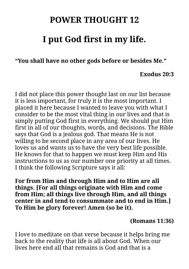### **POWER THOUGHT 12**

# **I put God first in my life.**

**"You shall have no other gods before or besides Me."**

#### **Exodus 20:3**

I did not place this power thought last on our list because it is less important, for truly it is the most important. I placed it here because I wanted to leave you with what I consider to be the most vital thing in our lives and that is simply putting God first in everything. We should put Him first in all of our thoughts, words, and decisions. The Bible says that God is a jealous god. That means He is not willing to be second place in any area of our lives. He loves us and wants us to have the very best life possible. He knows for that to happen we must keep Him and His instructions to us as our number one priority at all times. I think the following Scripture says it all:

**For from Him and through Him and to Him are all things. [For all things originate with Him and come from Him; all things live through Him, and all things center in and tend to consummate and to end in Him.] To Him be glory forever! Amen (so be it).**

#### **(Romans 11:36)**

I love to meditate on that verse because it helps bring me back to the reality that life is all about God. When our lives here end all that remains is God and that is a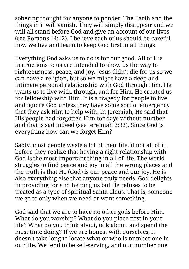sobering thought for anyone to ponder. The Earth and the things in it will vanish. They will simply disappear and we will all stand before God and give an account of our lives (see Romans 14:12). I believe each of us should be careful how we live and learn to keep God first in all things.

Everything God asks us to do is for our good. All of His instructions to us are intended to show us the way to righteousness, peace, and joy. Jesus didn't die for us so we can have a religion, but so we might have a deep and intimate personal relationship with God through Him. He wants us to live with, through, and for Him. He created us for fellowship with Him. It is a tragedy for people to live and ignore God unless they have some sort of emergency that they ask Him to help with. In Jeremiah, He said that His people had forgotten Him for days without number and that is sad indeed (see Jeremiah 2:32). Since God is everything how can we forget Him?

Sadly, most people waste a lot of their life, if not all of it, before they realize that having a right relationship with God is the most important thing in all of life. The world struggles to find peace and joy in all the wrong places and the truth is that He (God) is our peace and our joy. He is also everything else that anyone truly needs. God delights in providing for and helping us but He refuses to be treated as a type of spiritual Santa Claus. That is, someone we go to only when we need or want something.

God said that we are to have no other gods before Him. What do you worship? What do you place first in your life? What do you think about, talk about, and spend the most time doing? If we are honest with ourselves, it doesn't take long to locate what or who is number one in our life. We tend to be self-serving, and our number one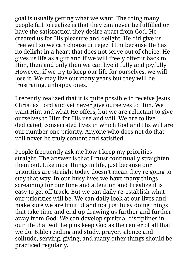goal is usually getting what we want. The thing many people fail to realize is that they can never be fulfilled or have the satisfaction they desire apart from God. He created us for His pleasure and delight. He did give us free will so we can choose or reject Him because He has no delight in a heart that does not serve out of choice. He gives us life as a gift and if we will freely offer it back to Him, then and only then we can live it fully and joyfully. However, if we try to keep our life for ourselves, we will lose it. We may live out many years but they will be frustrating, unhappy ones.

I recently realized that it is quite possible to receive Jesus Christ as Lord and yet never give ourselves to Him. We want Him and what He offers, but we are reluctant to give ourselves to Him for His use and will. We are to live dedicated, consecrated lives in which God and His will are our number one priority. Anyone who does not do that will never be truly content and satisfied.

People frequently ask me how I keep my priorities straight. The answer is that I must continually straighten them out. Like most things in life, just because our priorities are straight today doesn't mean they're going to stay that way. In our busy lives we have many things screaming for our time and attention and I realize it is easy to get off track. But we can daily re-establish what our priorities will be. We can daily look at our lives and make sure we are fruitful and not just busy doing things that take time and end up drawing us further and further away from God. We can develop spiritual disciplines in our life that will help us keep God as the center of all that we do. Bible reading and study, prayer, silence and solitude, serving, giving, and many other things should be practiced regularly.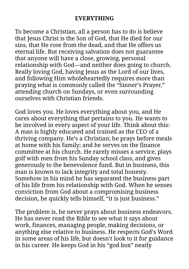#### **EVERYTHING**

To become a Christian, all a person has to do is believe that Jesus Christ is the Son of God, that He died for our sins, that He rose from the dead, and that He offers us eternal life. But receiving salvation does not guarantee that anyone will have a close, growing, personal relationship with God—and neither does going to church. Really loving God, having Jesus as the Lord of our lives, and following Him wholeheartedly requires more than praying what is commonly called the "Sinner's Prayer," attending church on Sundays, or even surrounding ourselves with Christian friends.

God loves you. He loves everything about you, and He cares about everything that pertains to you. He wants to be involved in every aspect of your life. Think about this: A man is highly educated and trained as the CEO of a thriving company. He's a Christian; he prays before meals at home with his family; and he serves on the finance committee at his church. He rarely misses a service, plays golf with men from his Sunday school class, and gives generously to the benevolence fund. But in business, this man is known to lack integrity and total honesty. Somehow in his mind he has separated the business part of his life from his relationship with God. When he senses conviction from God about a compromising business decision, he quickly tells himself, "it is just business."

The problem is, he never prays about business endeavors. He has never read the Bible to see what it says about work, finances, managing people, making decisions, or anything else relative to business. He respects God's Word in some areas of his life, but doesn't look to it for guidance in his career. He keeps God in his "god box" neatly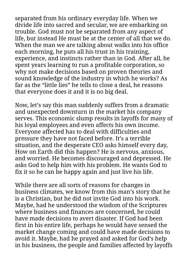separated from his ordinary everyday life. When we divide life into sacred and secular, we are embarking on trouble. God must not be separated from any aspect of life, but instead He must be at the center of all that we do. When the man we are talking about walks into his office each morning, he puts all his trust in his training, experience, and instincts rather than in God. After all, he spent years learning to run a profitable corporation, so why not make decisions based on proven theories and sound knowledge of the industry in which he works? As far as the "little lies" he tells to close a deal, he reasons that everyone does it and it is no big deal.

Now, let's say this man suddenly suffers from a dramatic and unexpected downturn in the market his company serves. This economic slump results in layoffs for many of his loyal employees and even affects his own income. Everyone affected has to deal with difficulties and pressure they have not faced before. It's a terrible situation, and the desperate CEO asks himself every day, How on Earth did this happen? He is nervous, anxious, and worried. He becomes discouraged and depressed. He asks God to help him with his problem. He wants God to fix it so he can be happy again and just live his life.

While there are all sorts of reasons for changes in business climates, we know from this man's story that he is a Christian, but he did not invite God into his work. Maybe, had he understood the wisdom of the Scriptures where business and finances are concerned, he could have made decisions to avert disaster. If God had been first in his entire life, perhaps he would have sensed the market change coming and could have made decisions to avoid it. Maybe, had he prayed and asked for God's help in his business, the people and families affected by layoffs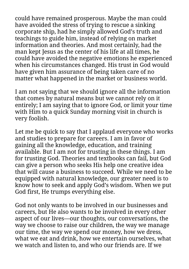could have remained prosperous. Maybe the man could have avoided the stress of trying to rescue a sinking corporate ship, had he simply allowed God's truth and teachings to guide him, instead of relying on market information and theories. And most certainly, had the man kept Jesus as the center of his life at all times, he could have avoided the negative emotions he experienced when his circumstances changed. His trust in God would have given him assurance of being taken care of no matter what happened in the market or business world.

I am not saying that we should ignore all the information that comes by natural means but we cannot rely on it entirely; I am saying that to ignore God, or limit your time with Him to a quick Sunday morning visit in church is very foolish.

Let me be quick to say that I applaud everyone who works and studies to prepare for careers. I am in favor of gaining all the knowledge, education, and training available. But I am not for trusting in these things. I am for trusting God. Theories and textbooks can fail, but God can give a person who seeks His help one creative idea that will cause a business to succeed. While we need to be equipped with natural knowledge, our greater need is to know how to seek and apply God's wisdom. When we put God first, He trumps everything else.

God not only wants to be involved in our businesses and careers, but He also wants to be involved in every other aspect of our lives—our thoughts, our conversations, the way we choose to raise our children, the way we manage our time, the way we spend our money, how we dress, what we eat and drink, how we entertain ourselves, what we watch and listen to, and who our friends are. If we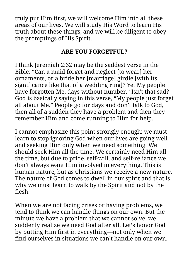truly put Him first, we will welcome Him into all these areas of our lives. We will study His Word to learn His truth about these things, and we will be diligent to obey the promptings of His Spirit.

#### **ARE YOU FORGETFUL?**

I think Jeremiah 2:32 may be the saddest verse in the Bible: "Can a maid forget and neglect [to wear] her ornaments, or a bride her [marriage] girdle [with its significance like that of a wedding ring]? Yet My people have forgotten Me, days without number." Isn't that sad? God is basically saying in this verse, "My people just forget all about Me." People go for days and don't talk to God, then all of a sudden they have a problem and then they remember Him and come running to Him for help.

I cannot emphasize this point strongly enough: we must learn to stop ignoring God when our lives are going well and seeking Him only when we need something. We should seek Him all the time. We certainly need Him all the time, but due to pride, self-will, and self-reliance we don't always want Him involved in everything. This is human nature, but as Christians we receive a new nature. The nature of God comes to dwell in our spirit and that is why we must learn to walk by the Spirit and not by the flesh.

When we are not facing crises or having problems, we tend to think we can handle things on our own. But the minute we have a problem that we cannot solve, we suddenly realize we need God after all. Let's honor God by putting Him first in everything—not only when we find ourselves in situations we can't handle on our own.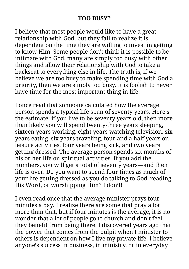#### **TOO BUSY?**

I believe that most people would like to have a great relationship with God, but they fail to realize it is dependent on the time they are willing to invest in getting to know Him. Some people don't think it is possible to be intimate with God, many are simply too busy with other things and allow their relationship with God to take a backseat to everything else in life. The truth is, if we believe we are too busy to make spending time with God a priority, then we are simply too busy. It is foolish to never have time for the most important thing in life.

I once read that someone calculated how the average person spends a typical life span of seventy years. Here's the estimate: if you live to be seventy years old, then more than likely you will spend twenty-three years sleeping, sixteen years working, eight years watching television, six years eating, six years traveling, four and a half years on leisure activities, four years being sick, and two years getting dressed. The average person spends six months of his or her life on spiritual activities. If you add the numbers, you will get a total of seventy years—and then life is over. Do you want to spend four times as much of your life getting dressed as you do talking to God, reading His Word, or worshipping Him? I don't!

I even read once that the average minister prays four minutes a day. I realize there are some that pray a lot more than that, but if four minutes is the average, it is no wonder that a lot of people go to church and don't feel they benefit from being there. I discovered years ago that the power that comes from the pulpit when I minister to others is dependent on how I live my private life. I believe anyone's success in business, in ministry, or in everyday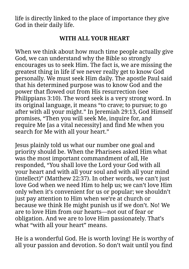life is directly linked to the place of importance they give God in their daily life.

#### **WITH ALL YOUR HEART**

When we think about how much time people actually give God, we can understand why the Bible so strongly encourages us to seek Him. The fact is, we are missing the greatest thing in life if we never really get to know God personally. We must seek Him daily. The apostle Paul said that his determined purpose was to know God and the power that flowed out from His resurrection (see Philippians 3:10). The word seek is a very strong word. In its original language, it means "to crave; to pursue; to go after with all your might." In Jeremiah 29:13, God Himself promises, "Then you will seek Me, inquire for, and require Me [as a vital necessity] and find Me when you search for Me with all your heart."

Jesus plainly told us what our number one goal and priority should be. When the Pharisees asked Him what was the most important commandment of all, He responded, "You shall love the Lord your God with all your heart and with all your soul and with all your mind (intellect)" (Matthew 22:37). In other words, we can't just love God when we need Him to help us; we can't love Him only when it's convenient for us or popular; we shouldn't just pay attention to Him when we're at church or because we think He might punish us if we don't. No! We are to love Him from our hearts—not out of fear or obligation. And we are to love Him passionately. That's what "with all your heart" means.

He is a wonderful God. He is worth loving! He is worthy of all your passion and devotion. So don't wait until you find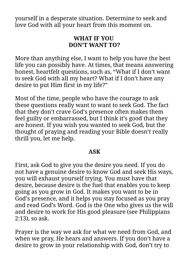yourself in a desperate situation. Determine to seek and love God with all your heart from this moment on.

#### **WHAT IF YOU DON'T WANT TO?**

More than anything else, I want to help you have the best life you can possibly have. At times, that means answering honest, heartfelt questions, such as, "What if I don't want to seek God with all my heart? What if I don't have any desire to put Him first in my life?"

Most of the time, people who have the courage to ask these questions really want to want to seek God. The fact that they don't crave God's presence often makes them feel guilty or embarrassed, but I think it's good that they are honest. If you wish you wanted to seek God, but the thought of praying and reading your Bible doesn't really thrill you, let me help.

#### **ASK**

First, ask God to give you the desire you need. If you do not have a genuine desire to know God and seek His ways, you will exhaust yourself trying. You must have that desire, because desire is the fuel that enables you to keep going as you grow in God. It makes you want to be in God's presence, and it helps you stay focused as you pray and read God's Word. God is the One who gives us the will and desire to work for His good pleasure (see Philippians 2:13), so ask.

Prayer is the way we ask for what we need from God, and when we pray, He hears and answers. If you don't have a desire to grow in your relationship with God, don't try to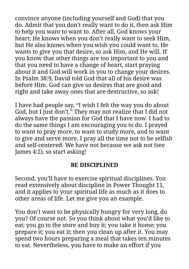convince anyone (including yourself and God) that you do. Admit that you don't really want to do it, then ask Him to help you want to want to. After all, God knows your heart; He knows when you don't really want to seek Him, but He also knows when you wish you could want to. He wants to give you that desire, so ask Him, and He will. If you know that other things are too important to you and that you need to have a change of heart, start praying about it and God will work in you to change your desires. In Psalm 38:9, David told God that all of his desire was before Him. God can give us desires that are good and right and take away ones that are destructive, so ask!

I have had people say, "I wish I felt the way you do about God, but I just don't." They may not realize that I did not always have the passion for God that I have now. I had to do the same things I am encouraging you to do. I prayed to want to pray more, to want to study more, and to want to give and serve more. I pray all the time not to be selfish and self-centered. We have not because we ask not (see James 4:2), so start asking!

#### **BE DISCIPLINED**

Second, you'll have to exercise spiritual disciplines. You read extensively about discipline in Power Thought 11, and it applies to your spiritual life as much as it does to other areas of life. Let me give you an example.

You don't want to be physically hungry for very long, do you? Of course not. So you think about what you'd like to eat; you go to the store and buy it; you take it home; you prepare it; you eat it; then you clean up after it. You may spend two hours preparing a meal that takes ten minutes to eat. Nevertheless, you have to make an effort if you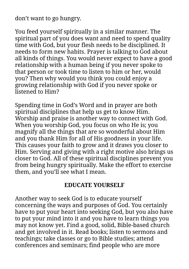don't want to go hungry.

You feed yourself spiritually in a similar manner. The spiritual part of you does want and need to spend quality time with God, but your flesh needs to be disciplined. It needs to form new habits. Prayer is talking to God about all kinds of things. You would never expect to have a good relationship with a human being if you never spoke to that person or took time to listen to him or her, would you? Then why would you think you could enjoy a growing relationship with God if you never spoke or listened to Him?

Spending time in God's Word and in prayer are both spiritual disciplines that help us get to know Him. Worship and praise is another way to connect with God. When you worship God, you focus on who He is; you magnify all the things that are so wonderful about Him and you thank Him for all of His goodness in your life. This causes your faith to grow and it draws you closer to Him. Serving and giving with a right motive also brings us closer to God. All of these spiritual disciplines prevent you from being hungry spiritually. Make the effort to exercise them, and you'll see what I mean.

#### **EDUCATE YOURSELF**

Another way to seek God is to educate yourself concerning the ways and purposes of God. You certainly have to put your heart into seeking God, but you also have to put your mind into it and you have to learn things you may not know yet. Find a good, solid, Bible-based church and get involved in it. Read books; listen to sermons and teachings; take classes or go to Bible studies; attend conferences and seminars; find people who are more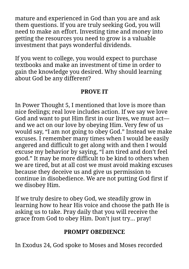mature and experienced in God than you are and ask them questions. If you are truly seeking God, you will need to make an effort. Investing time and money into getting the resources you need to grow is a valuable investment that pays wonderful dividends.

If you went to college, you would expect to purchase textbooks and make an investment of time in order to gain the knowledge you desired. Why should learning about God be any different?

#### **PROVE IT**

In Power Thought 5, I mentioned that love is more than nice feelings; real love includes action. If we say we love God and want to put Him first in our lives, we must act and we act on our love by obeying Him. Very few of us would say, "I am not going to obey God." Instead we make excuses. I remember many times when I would be easily angered and difficult to get along with and then I would excuse my behavior by saying, "I am tired and don't feel good." It may be more difficult to be kind to others when we are tired, but at all cost we must avoid making excuses because they deceive us and give us permission to continue in disobedience. We are not putting God first if we disobey Him.

If we truly desire to obey God, we steadily grow in learning how to hear His voice and choose the path He is asking us to take. Pray daily that you will receive the grace from God to obey Him. Don't just try… pray!

#### **PROMPT OBEDIENCE**

In Exodus 24, God spoke to Moses and Moses recorded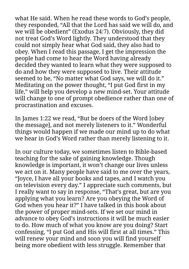what He said. When he read these words to God's people, they responded, "All that the Lord has said we will do, and we will be obedient" (Exodus 24:7). Obviously, they did not treat God's Word lightly. They understood that they could not simply hear what God said, they also had to obey. When I read this passage, I get the impression the people had come to hear the Word having already decided they wanted to learn what they were supposed to do and how they were supposed to live. Their attitude seemed to be, "No matter what God says, we will do it." Meditating on the power thought, "I put God first in my life," will help you develop a new mind-set. Your attitude will change to one of prompt obedience rather than one of procrastination and excuses.

In James 1:22 we read, "But be doers of the Word [obey the message], and not merely listeners to it." Wonderful things would happen if we made our mind up to do what we hear in God's Word rather than merely listening to it.

In our culture today, we sometimes listen to Bible-based teaching for the sake of gaining knowledge. Though knowledge is important, it won't change our lives unless we act on it. Many people have said to me over the years, "Joyce, I have all your books and tapes, and I watch you on television every day." I appreciate such comments, but I really want to say in response, "That's great, but are you applying what you learn? Are you obeying the Word of God when you hear it?" I have talked in this book about the power of proper mind-sets. If we set our mind in advance to obey God's instructions it will be much easier to do. How much of what you know are you doing? Start confessing, "I put God and His will first at all times." This will renew your mind and soon you will find yourself being more obedient with less struggle. Remember that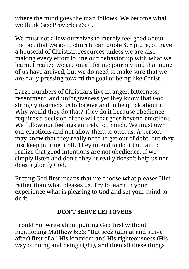where the mind goes the man follows. We become what we think (see Proverbs 23:7).

We must not allow ourselves to merely feel good about the fact that we go to church, can quote Scripture, or have a houseful of Christian resources unless we are also making every effort to line our behavior up with what we learn. I realize we are on a lifetime journey and that none of us have arrived, but we do need to make sure that we are daily pressing toward the goal of being like Christ.

Large numbers of Christians live in anger, bitterness, resentment, and unforgiveness yet they know that God strongly instructs us to forgive and to be quick about it. Why would they do that? They do it because obedience requires a decision of the will that goes beyond emotions. We follow our feelings entirely too much. We must own our emotions and not allow them to own us. A person may know that they really need to get out of debt, but they just keep putting it off. They intend to do it but fail to realize that good intentions are not obedience. If we simply listen and don't obey, it really doesn't help us nor does it glorify God.

Putting God first means that we choose what pleases Him rather than what pleases us. Try to learn in your experience what is pleasing to God and set your mind to do it.

#### **DON'T SERVE LEFTOVERS**

I could not write about putting God first without mentioning Matthew 6:33: "But seek (aim at and strive after) first of all His kingdom and His righteousness (His way of doing and being right), and then all these things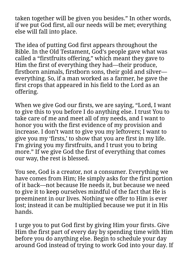taken together will be given you besides." In other words, if we put God first, all our needs will be met; everything else will fall into place.

The idea of putting God first appears throughout the Bible. In the Old Testament, God's people gave what was called a "firstfruits offering," which meant they gave to Him the first of everything they had—their produce, firstborn animals, firstborn sons, their gold and silver everything. So, if a man worked as a farmer, he gave the first crops that appeared in his field to the Lord as an offering.

When we give God our firsts, we are saying, "Lord, I want to give this to you before I do anything else. I trust You to take care of me and meet all of my needs, and I want to honor you with the first evidence of my provision and increase. I don't want to give you my leftovers; I want to give you my 'firsts,' to show that you are first in my life. I'm giving you my firstfruits, and I trust you to bring more." If we give God the first of everything that comes our way, the rest is blessed.

You see, God is a creator, not a consumer. Everything we have comes from Him; He simply asks for the first portion of it back—not because He needs it, but because we need to give it to keep ourselves mindful of the fact that He is preeminent in our lives. Nothing we offer to Him is ever lost; instead it can be multiplied because we put it in His hands.

I urge you to put God first by giving Him your firsts. Give Him the first part of every day by spending time with Him before you do anything else. Begin to schedule your day around God instead of trying to work God into your day. If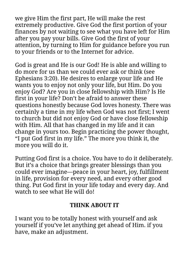we give Him the first part, He will make the rest extremely productive. Give God the first portion of your finances by not waiting to see what you have left for Him after you pay your bills. Give God the first of your attention, by turning to Him for guidance before you run to your friends or to the Internet for advice.

God is great and He is our God! He is able and willing to do more for us than we could ever ask or think (see Ephesians 3:20). He desires to enlarge your life and He wants you to enjoy not only your life, but Him. Do you enjoy God? Are you in close fellowship with Him? Is He first in your life? Don't be afraid to answer these questions honestly because God loves honesty. There was certainly a time in my life when God was not first; I went to church but did not enjoy God or have close fellowship with Him. All that has changed in my life and it can change in yours too. Begin practicing the power thought, "I put God first in my life." The more you think it, the more you will do it.

Putting God first is a choice. You have to do it deliberately. But it's a choice that brings greater blessings than you could ever imagine—peace in your heart, joy, fulfillment in life, provision for every need, and every other good thing. Put God first in your life today and every day. And watch to see what He will do!

#### **THINK ABOUT IT**

I want you to be totally honest with yourself and ask yourself if you've let anything get ahead of Him. if you have, make an adjustment.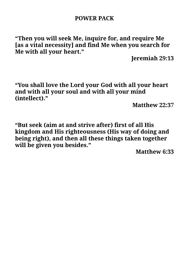#### **POWER PACK**

**"Then you will seek Me, inquire for, and require Me [as a vital necessity] and find Me when you search for Me with all your heart."**

**Jeremiah 29:13**

**"You shall love the Lord your God with all your heart and with all your soul and with all your mind (intellect)."**

**Matthew 22:37**

**"But seek (aim at and strive after) first of all His kingdom and His righteousness (His way of doing and being right), and then all these things taken together will be given you besides."**

**Matthew 6:33**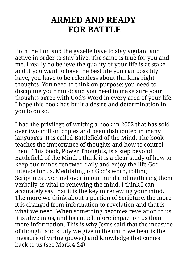## **ARMED AND READY FOR BATTLE**

Both the lion and the gazelle have to stay vigilant and active in order to stay alive. The same is true for you and me. I really do believe the quality of your life is at stake and if you want to have the best life you can possibly have, you have to be relentless about thinking right thoughts. You need to think on purpose; you need to discipline your mind; and you need to make sure your thoughts agree with God's Word in every area of your life. I hope this book has built a desire and determination in you to do so.

I had the privilege of writing a book in 2002 that has sold over two million copies and been distributed in many languages. It is called Battlefield of the Mind. The book teaches the importance of thoughts and how to control them. This book, Power Thoughts, is a step beyond Battlefield of the Mind. I think it is a clear study of how to keep our minds renewed daily and enjoy the life God intends for us. Meditating on God's word, rolling Scriptures over and over in our mind and muttering them verbally, is vital to renewing the mind. I think I can accurately say that it is the key to renewing your mind. The more we think about a portion of Scripture, the more it is changed from information to revelation and that is what we need. When something becomes revelation to us it is alive in us, and has much more impact on us than mere information. This is why Jesus said that the measure of thought and study we give to the truth we hear is the measure of virtue (power) and knowledge that comes back to us (see Mark 4:24).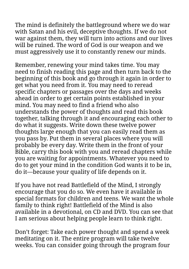The mind is definitely the battleground where we do war with Satan and his evil, deceptive thoughts. If we do not war against them, they will turn into actions and our lives will be ruined. The word of God is our weapon and we must aggressively use it to constantly renew our minds.

Remember, renewing your mind takes time. You may need to finish reading this page and then turn back to the beginning of this book and go through it again in order to get what you need from it. You may need to reread specific chapters or passages over the days and weeks ahead in order to get certain points established in your mind. You may need to find a friend who also understands the power of thoughts and read this book together, talking through it and encouraging each other to do what it suggests. Write down these twelve power thoughts large enough that you can easily read them as you pass by. Put them in several places where you will probably be every day. Write them in the front of your Bible, carry this book with you and reread chapters while you are waiting for appointments. Whatever you need to do to get your mind in the condition God wants it to be in, do it—because your quality of life depends on it.

If you have not read Battlefield of the Mind, I strongly encourage that you do so. We even have it available in special formats for children and teens. We want the whole family to think right! Battlefield of the Mind is also available in a devotional, on CD and DVD. You can see that I am serious about helping people learn to think right.

Don't forget: Take each power thought and spend a week meditating on it. The entire program will take twelve weeks. You can consider going through the program four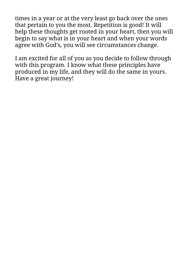times in a year or at the very least go back over the ones that pertain to you the most. Repetition is good! It will help these thoughts get rooted in your heart, then you will begin to say what is in your heart and when your words agree with God's, you will see circumstances change.

I am excited for all of you as you decide to follow through with this program. I know what these principles have produced in my life, and they will do the same in yours. Have a great journey!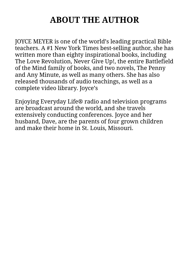# **ABOUT THE AUTHOR**

JOYCE MEYER is one of the world's leading practical Bible teachers. A #1 New York Times best-selling author, she has written more than eighty inspirational books, including The Love Revolution, Never Give Up!, the entire Battlefield of the Mind family of books, and two novels, The Penny and Any Minute, as well as many others. She has also released thousands of audio teachings, as well as a complete video library. Joyce's

Enjoying Everyday Life® radio and television programs are broadcast around the world, and she travels extensively conducting conferences. Joyce and her husband, Dave, are the parents of four grown children and make their home in St. Louis, Missouri.